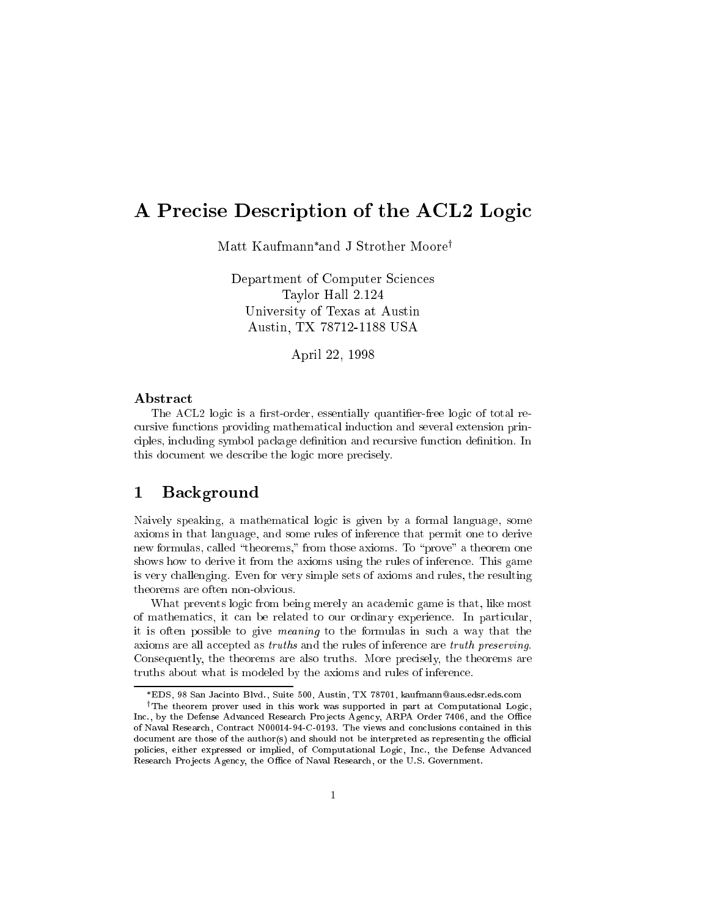# A Precise Description of the ACL2 Logic

Matt Kaufmann\*and J Strother Moore<sup>t</sup>

Department of Computer Sciences Taylor Hall 2.124 University of Texas at Austin Austin, TX 78712-1188 USA

April 22, 1998

## Abstract

The ACL2 logic is a first-order, essentially quantifier-free logic of total recursive functions providing mathematical induction and several extension principles, including symbol package definition and recursive function definition. In this document we describe the logic more precisely.

# 1 Background

Naively speaking, a mathematical logic is given by a formal language, some axioms in that language, and some rules of inference that permit one to derive new formulas, called "theorems," from those axioms. To "prove" a theorem one shows how to derive it from the axioms using the rules of inference. This game is very challenging. Even for very simple sets of axioms and rules, the resulting theorems are often non-obvious.

What prevents logic from being merely an academic game is that, like most of mathematics, it can be related to our ordinary experience. In particular, it is often possible to give meaning to the formulas in such a way that the axioms are all accepted as truths and the rules of inference are truth preserving. Consequently, the theorems are also truths. More precisely, the theorems are truths about what is modeled by the axioms and rules of inference.

EDS, 98 San Jacinto Blvd., Suite 500, Austin, TX 78701, kaufmann@aus.edsr.eds.com

<sup>&</sup>lt;sup> $\dagger$ </sup>The theorem prover used in this work was supported in part at Computational Logic, Inc., by the Defense Advanced Research Projects Agency, ARPA Order 7406, and the Office of Naval Research, Contract N00014-94-C-0193. The views and conclusions contained in this document are those of the author(s) and should not be interpreted as representing the official policies, either expressed or implied, of Computational Logic, Inc., the Defense Advanced Research Projects Agency, the Office of Naval Research, or the U.S. Government.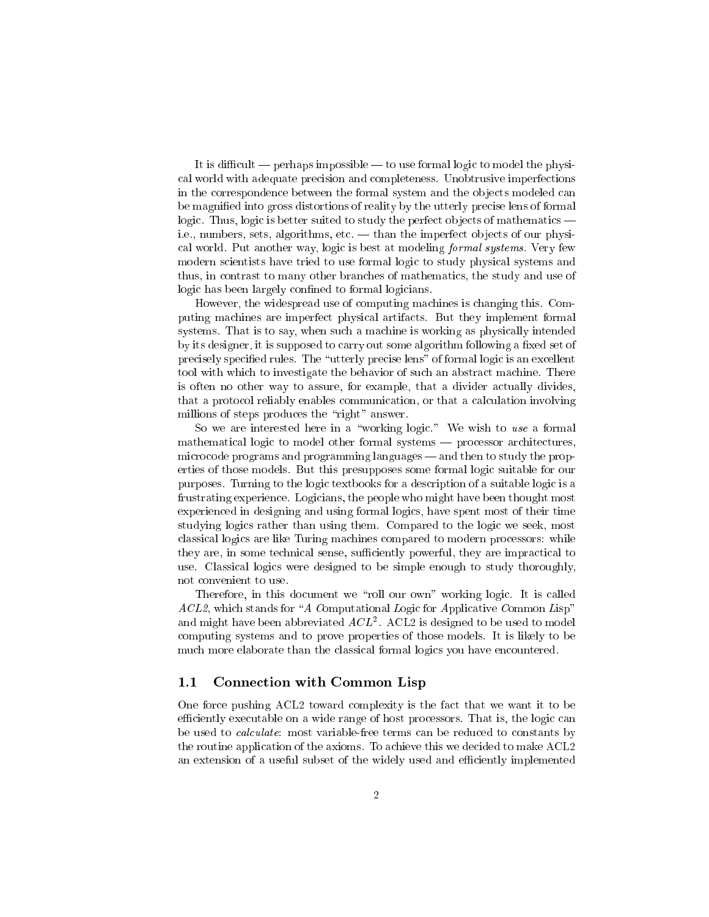It is difficult  $-$  perhaps impossible  $-$  to use formal logic to model the physical world with adequate precision and completeness. Unobtrusive imperfections in the correspondence between the formal system and the ob jects modeled can be magnied into gross distortions of reality by the utterly precise lens of formal logic. Thus, logic is better suited to study the perfect objects of mathematics  $\overline{\phantom{a}}$ i.e., numbers, sets, algorithms, etc.  $-$  than the imperfect objects of our physical world. Put another way, logic is best at modeling formal systems. Very few modern scientists have tried to use formal logic to study physical systems and thus, in contrast to many other branches of mathematics, the study and use of logic has been largely confined to formal logicians.

However, the widespread use of computing machines is changing this. Computing machines are imperfect physical artifacts. But they implement formal systems. That is to say, when such a machine is working as physically intended by its designer, it is supposed to carry out some algorithm following a fixed set of precisely specified rules. The "utterly precise lens" of formal logic is an excellent tool with which to investigate the behavior of such an abstract machine. There is often no other way to assure, for example, that a divider actually divides, that a protocol reliably enables communication, or that a calculation involving millions of steps produces the "right" answer.

So we are interested here in a "working logic." We wish to use a formal mathematical logic to model other formal systems — processor architectures, microcode programs and programming languages — and then to study the properties of those models. But this presupposes some formal logic suitable for our purposes. Turning to the logic textbooks for a description of a suitable logic is a frustrating experience. Logicians, the people who might have been thought most experienced in designing and using formal logics, have spent most of their time studying logics rather than using them. Compared to the logic we seek, most classical logics are like Turing machines compared to modern processors: while they are, in some technical sense, sufficiently powerful, they are impractical to use. Classical logics were designed to be simple enough to study thoroughly, not convenient to use.

Therefore, in this document we "roll our own" working logic. It is called  $ACL2$ , which stands for "A Computational Logic for Applicative Common Lisp" and might have been abbreviated  $ACL^+$ . ACL2 is designed to be used to model computing systems and to prove properties of those models. It is likely to be much more elaborate than the classical formal logics you have encountered.

## 1.1 Connection with Common Lisp

One force pushing ACL2 toward complexity is the fact that we want it to be efficiently executable on a wide range of host processors. That is, the logic can be used to calculate: most variable-free terms can be reduced to constants by the routine application of the axioms. To achieve this we decided to make ACL2 an extension of a useful subset of the widely used and efficiently implemented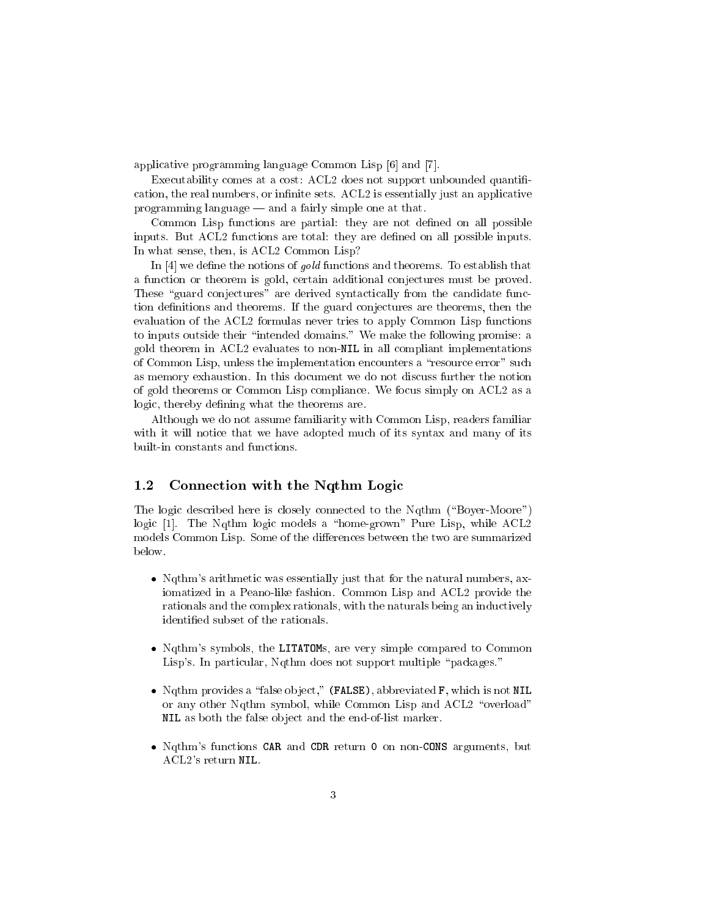applicative programming language Common Lisp [6] and [7].

Executability comes at a cost: ACL2 does not support unbounded quantification, the real numbers, or infinite sets. ACL2 is essentially just an applicative programming language  $-$  and a fairly simple one at that.

Common Lisp functions are partial: they are not defined on all possible inputs. But ACL2 functions are total: they are defined on all possible inputs. In what sense, then, is ACL2 Common Lisp?

In  $[4]$  we define the notions of *gold* functions and theorems. To establish that a function or theorem is gold, certain additional conjectures must be proved. These "guard conjectures" are derived syntactically from the candidate function definitions and theorems. If the guard conjectures are theorems, then the evaluation of the ACL2 formulas never tries to apply Common Lisp functions to inputs outside their "intended domains." We make the following promise: a gold theorem in ACL2 evaluates to non-NIL in all compliant implementations of Common Lisp, unless the implementation encounters a "resource error" such as memory exhaustion. In this document we do not discuss further the notion of gold theorems or Common Lisp compliance. We focus simply on ACL2 as a logic, thereby defining what the theorems are.

Although we do not assume familiarity with Common Lisp, readers familiar with it will notice that we have adopted much of its syntax and many of its built-in constants and functions.

#### $1.2$ Connection with the Nqthm Logic

The logic described here is closely connected to the Nqthm ("Boyer-Moore") logic [1]. The Nqthm logic models a "home-grown" Pure Lisp, while ACL2 models Common Lisp. Some of the differences between the two are summarized below.

- Nqthm's arithmetic was essentially just that for the natural numbers, axiomatized in a Peano-like fashion. Common Lisp and ACL2 provide the rationals and the complex rationals, with the naturals being an inductively identied subset of the rationals.
- Nqthm's symbols, the LITATOMs, are very simple compared to Common Lisp's. In particular, Nqthm does not support multiple "packages."
- Ngthm provides a "false object," (FALSE), abbreviated F, which is not NIL or any other Nqthm symbol, while Common Lisp and ACL2 "overload" NIL as both the false ob ject and the end-of-list marker.
- Nqthm's functions CAR and CDR return 0 on non-CONS arguments, but ACL2's return NIL.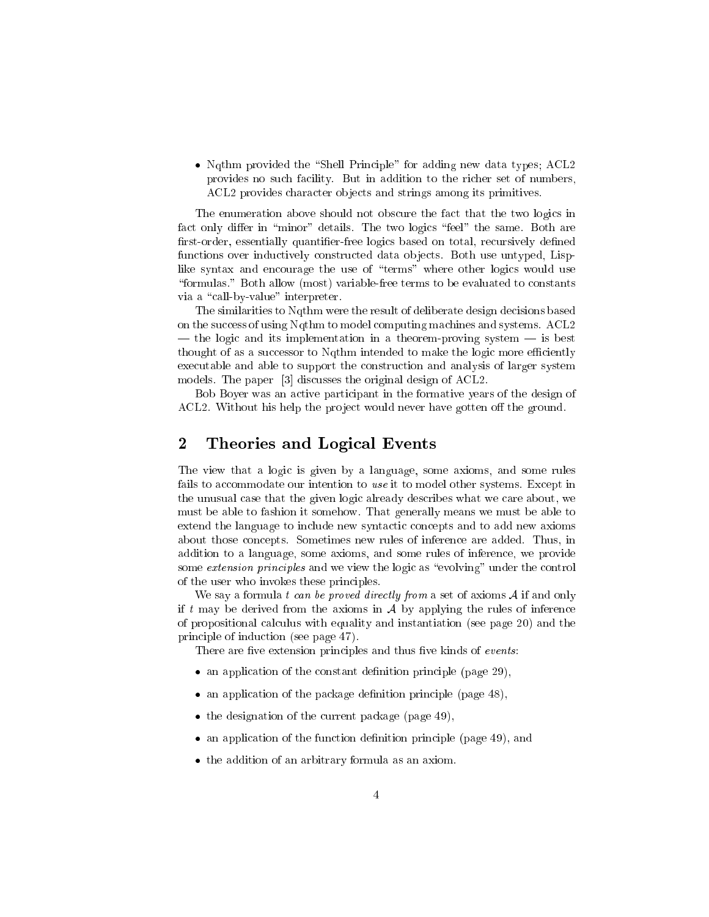• Ngthm provided the "Shell Principle" for adding new data types; ACL2 provides no such facility. But in addition to the richer set of numbers, ACL2 provides character objects and strings among its primitives.

The enumeration above should not obscure the fact that the two logics in fact only differ in "minor" details. The two logics "feel" the same. Both are first-order, essentially quantifier-free logics based on total, recursively defined functions over inductively constructed data objects. Both use untyped, Lisplike syntax and encourage the use of "terms" where other logics would use \formulas." Both allow (most) variable-free terms to be evaluated to constants via a "call-by-value" interpreter.

The similarities to Nqthm were the result of deliberate design decisions based on the success of using Nqthm to model computing machines and systems. ACL2  $\frac{1}{1}$  the logic and its implementation in a theorem-proving system  $\frac{1}{1}$  is best thought of as a successor to Nqthm intended to make the logic more efficiently executable and able to support the construction and analysis of larger system models. The paper [3] discusses the original design of ACL2.

Bob Boyer was an active participant in the formative years of the design of ACL2. Without his help the project would never have gotten off the ground.

#### $\bf{2}$ 2 Theories and Logical Events

The view that a logic is given by a language, some axioms, and some rules fails to accommodate our intention to use it to model other systems. Except in the unusual case that the given logic already describes what we care about, we must be able to fashion it somehow. That generally means we must be able to extend the language to include new syntactic concepts and to add new axioms about those concepts. Sometimes new rules of inference are added. Thus, in addition to a language, some axioms, and some rules of inference, we provide some extension principles and we view the logic as "evolving" under the control of the user who invokes these principles.

We say a formula t can be proved directly from a set of axioms  $A$  if and only if t may be derived from the axioms in  $A$  by applying the rules of inference of propositional calculus with equality and instantiation (see page 20) and the principle of induction (see page 47).

There are five extension principles and thus five kinds of events:

- $\bullet$  an application of the constant definition principle (page 29),
- $\bullet$  an application of the package definition principle (page 48),
- the designation of the current package (page 49),
- an application of the function definition principle (page 49), and
- the addition of an arbitrary formula as an axiom.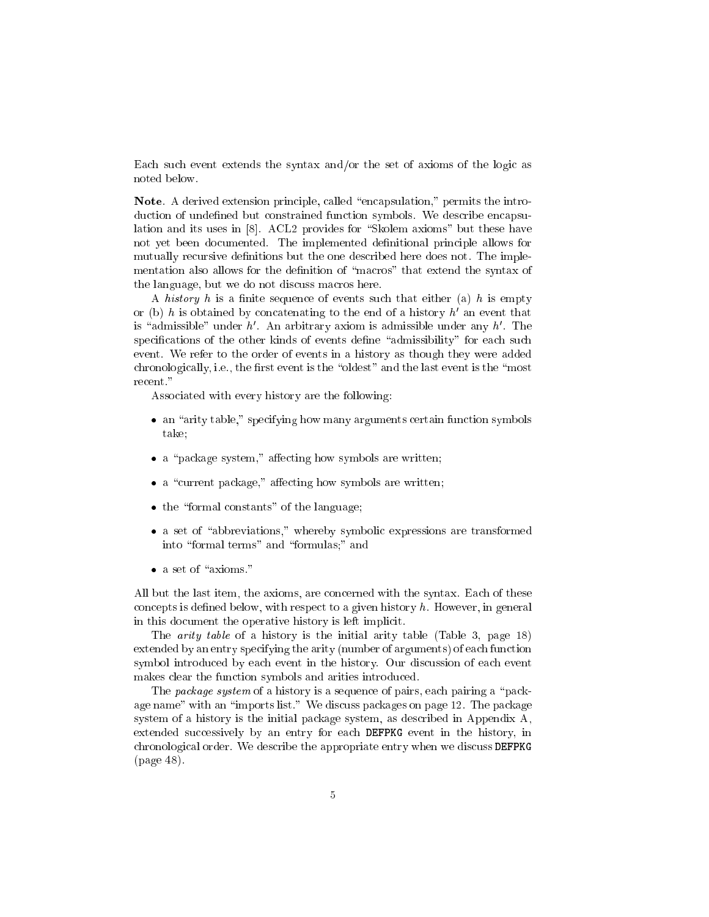Each such event extends the syntax and/or the set of axioms of the logic as noted below.

Note. A derived extension principle, called "encapsulation," permits the introduction of undefined but constrained function symbols. We describe encapsulation and its uses in [8]. ACL2 provides for "Skolem axioms" but these have not yet been documented. The implemented definitional principle allows for mutually recursive definitions but the one described here does not. The implementation also allows for the definition of "macros" that extend the syntax of the language, but we do not discuss macros here.

A history h is a finite sequence of events such that either (a) h is empty or (b)  $n$  is obtained by concatenating to the end of a history  $n$  an event that is admissible under  $n$ . An arbitrary axiom is admissible under any  $n$ . The specifications of the other kinds of events define "admissibility" for each such event. We refer to the order of events in a history as though they were added chronologically, i.e., the first event is the "oldest" and the last event is the "most recent."

Associated with every history are the following:

- an "arity table," specifying how many arguments certain function symbols take;
- $\bullet$  a "package system," affecting how symbols are written;
- $\bullet$  a "current package," affecting how symbols are written;
- the "formal constants" of the language;
- a set of "abbreviations," whereby symbolic expressions are transformed into "formal terms" and "formulas;" and
- 

All but the last item, the axioms, are concerned with the syntax. Each of these concepts is defined below, with respect to a given history  $h$ . However, in general in this document the operative history is left implicit.

The arity table of a history is the initial arity table (Table 3, page 18) extended by an entry specifying the arity (number of arguments) of each function symbol introduced by each event in the history. Our discussion of each event makes clear the function symbols and arities introduced.

The *package system* of a history is a sequence of pairs, each pairing a "package name" with an "imports list." We discuss packages on page 12. The package system of a history is the initial package system, as described in Appendix A, extended successively by an entry for each DEFPKG event in the history, in chronological order. We describe the appropriate entry when we discuss DEFPKG (page 48).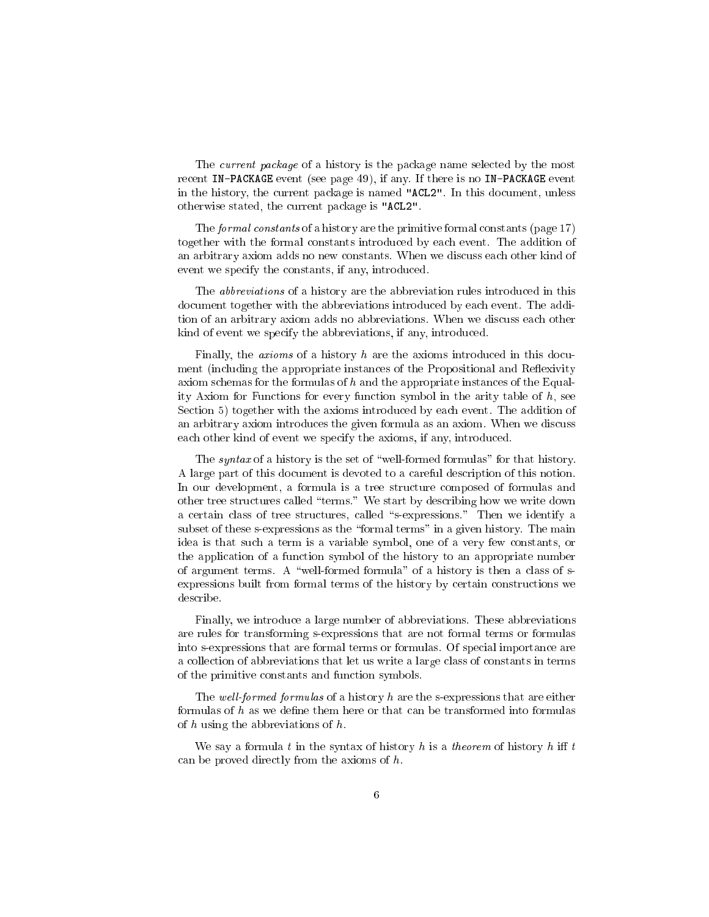The current package of a history is the package name selected by the most recent IN-PACKAGE event (see page 49), if any. If there is no IN-PACKAGE event in the history, the current package is named "ACL2". In this document, unless otherwise stated, the current package is "ACL2".

The formal constants of a history are the primitive formal constants (page 17) together with the formal constants introduced by each event. The addition of an arbitrary axiom adds no new constants. When we discuss each other kind of event we specify the constants, if any, introduced.

The abbreviations of a history are the abbreviation rules introduced in this document together with the abbreviations introduced by each event. The addition of an arbitrary axiom adds no abbreviations. When we discuss each other kind of event we specify the abbreviations, if any, introduced.

Finally, the *axioms* of a history  $h$  are the axioms introduced in this document (including the appropriate instances of the Propositional and Reflexivity axiom schemas for the formulas of  $h$  and the appropriate instances of the Equality Axiom for Functions for every function symbol in the arity table of  $h$ , see Section 5) together with the axioms introduced by each event. The addition of an arbitrary axiom introduces the given formula as an axiom. When we discuss each other kind of event we specify the axioms, if any, introduced.

The *syntax* of a history is the set of "well-formed formulas" for that history. A large part of this document is devoted to a careful description of this notion. In our development, a formula is a tree structure composed of formulas and other tree structures called \terms." We start by describing how we write down a certain class of tree structures, called "s-expressions." Then we identify a subset of these s-expressions as the "formal terms" in a given history. The main idea is that such a term is a variable symbol, one of a very few constants, or the application of a function symbol of the history to an appropriate number of argument terms. A "well-formed formula" of a history is then a class of  $s$ expressions built from formal terms of the history by certain constructions we describe.

Finally, we introduce a large number of abbreviations. These abbreviations are rules for transforming s-expressions that are not formal terms or formulas into s-expressions that are formal terms or formulas. Of special importance are a collection of abbreviations that let us write a large class of constants in terms of the primitive constants and function symbols.

The well-formed formulas of a history h are the s-expressions that are either formulas of  $h$  as we define them here or that can be transformed into formulas of  $h$  using the abbreviations of  $h$ .

We say a formula t in the syntax of history h is a theorem of history h iff t can be proved directly from the axioms of  $h$ .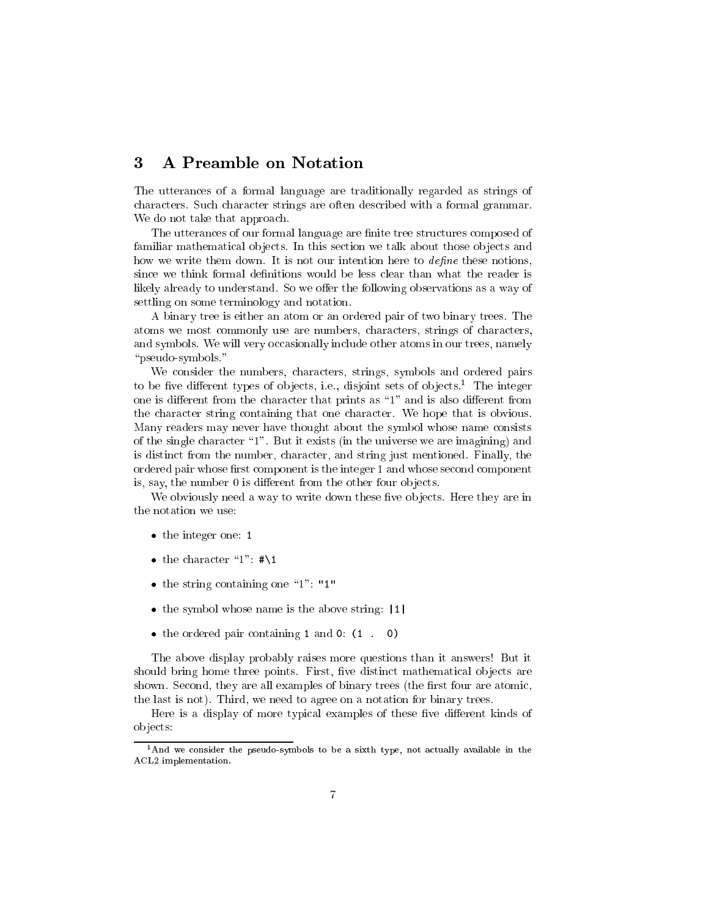#### **A Preamble on Notation** 3

The utterances of a formal language are traditionally regarded as strings of characters. Such character strings are often described with a formal grammar. We do not take that approach.

The utterances of our formal language are finite tree structures composed of familiar mathematical objects. In this section we talk about those objects and how we write them down. It is not our intention here to *define* these notions, since we think formal definitions would be less clear than what the reader is likely already to understand. So we offer the following observations as a way of settling on some terminology and notation.

A binary tree is either an atom or an ordered pair of two binary trees. The atoms we most commonly use are numbers, characters, strings of characters, and symbols. We will very occasionally include other atoms in our trees, namely "pseudo-symbols."

We consider the numbers, characters, strings, symbols and ordered pairs to be live different types of objects, i.e., disjoint sets of objects. The integer one is different from the character that prints as "1" and is also different from the character string containing that one character. We hope that is obvious. Many readers may never have thought about the symbol whose name consists of the single character \1". But it exists (in the universe we are imagining) and is distinct from the number, character, and string just mentioned. Finally, the ordered pair whose first component is the integer 1 and whose second component is, say, the number 0 is different from the other four objects.

We obviously need a way to write down these five objects. Here they are in the notation we use:

- the integer one: 1
- the character "1":  $\#$ \1
- the string containing one  $1"$ : "1"
- the symbol whose name is the above string: |1|
- the ordered pair containing 1 and 0:  $(1 \cdot 0)$

The above display probably raises more questions than it answers! But it should bring home three points. First, five distinct mathematical objects are shown. Second, they are all examples of binary trees (the first four are atomic, the last is not). Third, we need to agree on a notation for binary trees.

Here is a display of more typical examples of these five different kinds of ob jects:

<sup>&</sup>lt;sup>1</sup>And we consider the pseudo-symbols to be a sixth type, not actually available in the ACL2 implementation.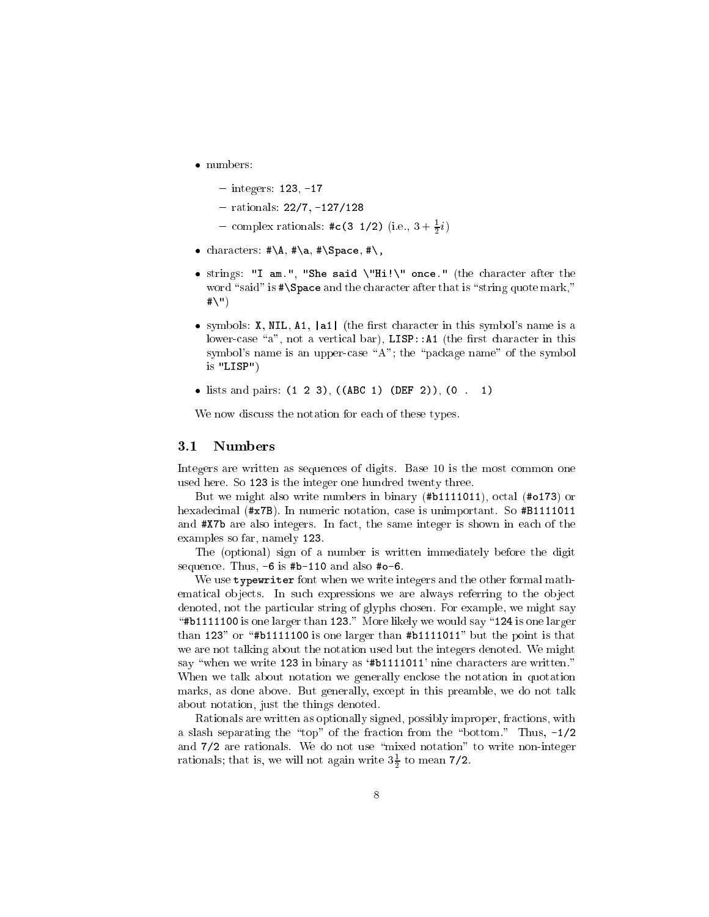- numbers:
	- $-$  integers: 123,  $-17$
	- $-$  rationals:  $22/7, -127/128$
	- complex rationals:  $\#\mathsf{c}(3\ 1/2)$  (i.e.,  $3+\frac{1}{2}i$ )
- characters:  $\sharp \A, \sharp \a, \sharp \Space$ pace,  $\sharp \iota$ ,
- strings: "I am.", "She said \"Hi!\" once." (the character after the word "said" is  $*\S$ pace and the character after that is "string quote mark,"  $# \langle " \rangle$
- symbols: X, NIL, A1, |a1| (the first character in this symbol's name is a lower-case "a", not a vertical bar),  $LIST: A1$  (the first character in this symbol's name is an upper-case "A"; the "package name" of the symbol is "LISP")
- lists and pairs:  $(1\ 2\ 3)$ ,  $((ABC\ 1)\ (DEF\ 2))$ ,  $(0\ 1)$

We now discuss the notation for each of these types.

#### 3.1 **Numbers**

Integers are written as sequences of digits. Base 10 is the most common one used here. So 123 is the integer one hundred twenty three.

But we might also write numbers in binary (#b1111011), octal (#o173) or hexadecimal (#x7B). In numeric notation, case is unimportant. So #B1111011 and #X7b are also integers. In fact, the same integer is shown in each of the examples so far, namely 123.

The (optional) sign of a number is written immediately before the digit sequence. Thus,  $-6$  is #b-110 and also #o-6.

We use typewriter font when we write integers and the other formal mathematical objects. In such expressions we are always referring to the object denoted, not the particular string of glyphs chosen. For example, we might say " $\#b1111100$  is one larger than 123." More likely we would say "124 is one larger than 123" or "#b11111100 is one larger than #b1111011" but the point is that we are not talking about the notation used but the integers denoted. We might say "when we write 123 in binary as '#b1111011' nine characters are written." When we talk about notation we generally enclose the notation in quotation marks, as done above. But generally, except in this preamble, we do not talk about notation, just the things denoted.

Rationals are written as optionally signed, possibly improper, fractions, with a slash separating the "top" of the fraction from the "bottom." Thus,  $-1/2$ and 7/2 are rationals. We do not use "mixed notation" to write non-integer rationals; that is, we will not again write  $3\frac{1}{2}$  to mean 7/2.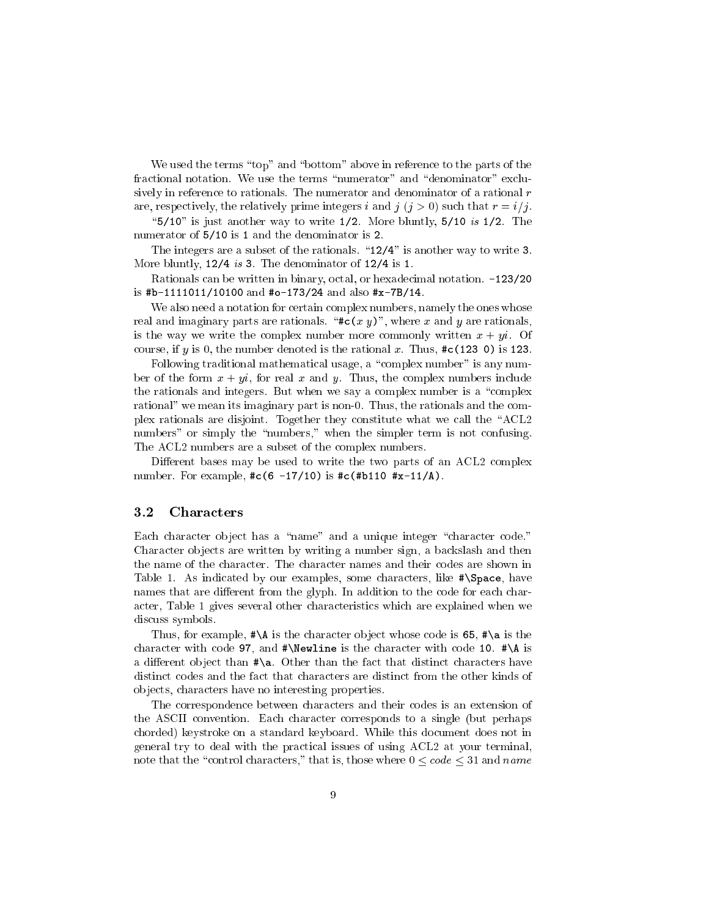We used the terms "top" and "bottom" above in reference to the parts of the fractional notation. We use the terms "numerator" and "denominator" exclusively in reference to rationals. The numerator and denominator of a rational r are, respectively, the relatively prime integers i and j  $(j > 0)$  such that  $r = i/j$ .

" $5/10$ " is just another way to write  $1/2$ . More bluntly,  $5/10$  is  $1/2$ . The numerator of 5/10 is 1 and the denominator is 2.

The integers are a subset of the rationals.  $"12/4"$  is another way to write 3. More bluntly, 12/4 is 3. The denominator of 12/4 is 1.

Rationals can be written in binary, octal, or hexadecimal notation. -123/20 is #b-1111011/10100 and #o-173/24 and also #x-7B/14.

We also need a notation for certain complex numbers, namely the ones whose real and imaginary parts are rationals. " $\#c(x y)$ ", where x and y are rationals, is the way we write the complex number more commonly written  $x + yi$ . Of course, if y is 0, the number denoted is the rational x. Thus,  $\#c(123\ 0)$  is 123.

Following traditional mathematical usage, a "complex number" is any number of the form  $x + yi$ , for real x and y. Thus, the complex numbers include the rationals and integers. But when we say a complex number is a \complex rational" we mean its imaginary part is non-0. Thus, the rationals and the complex rationals are disjoint. Together they constitute what we call the \ACL2 numbers" or simply the "numbers," when the simpler term is not confusing. The ACL2 numbers are a subset of the complex numbers.

Different bases may be used to write the two parts of an ACL2 complex number. For example,  $\#c(6 -17/10)$  is  $\#c(\#b110 \#x-11/A)$ .

## 3.2 Characters

Each character object has a "name" and a unique integer "character code." Character ob jects are written by writing a number sign, a backslash and then the name of the character. The character names and their codes are shown in Table 1. As indicated by our examples, some characters, like  $\# \$ Space, have names that are different from the glyph. In addition to the code for each character, Table 1 gives several other characteristics which are explained when we discuss symbols.

Thus, for example,  $\#\$  is the character object whose code is 65,  $\#\$  a is the character with code 97, and  $\#\text{Ne}}$  is the character with code 10.  $\#\A$  is a different object than  $\ast$  a. Other than the fact that distinct characters have distinct codes and the fact that characters are distinct from the other kinds of ob jects, characters have no interesting properties.

The correspondence between characters and their codes is an extension of the ASCII convention. Each character corresponds to a single (but perhaps chorded) keystroke on a standard keyboard. While this document does not in general try to deal with the practical issues of using ACL2 at your terminal, note that the "control characters," that is, those where  $0 \leq \text{code} \leq 31$  and name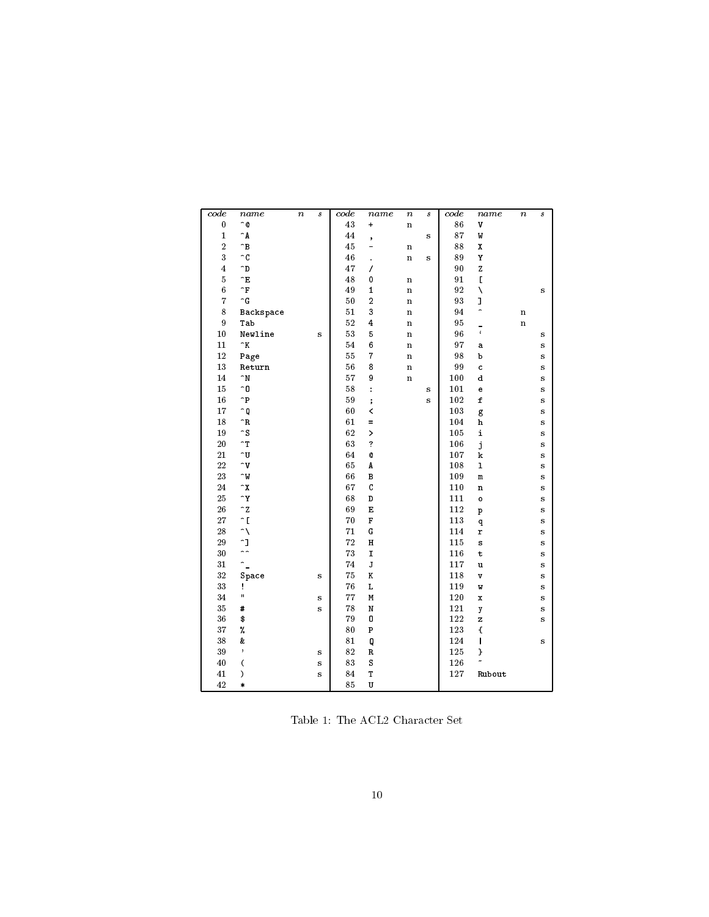| $\pmb{0}$<br>^@<br>43<br>86<br>$\mathbf v$<br>$\ddot{}$<br>$\mathbf n$<br>87<br>$\mathbf{1}$<br>$\hat{}$ A<br>44<br>W<br>s<br>$\,$<br>$\overline{2}$<br>^В<br>45<br>88<br>X<br>$\bf n$<br>-<br>3<br>$\overline{c}$<br>46<br>89<br>Υ<br>$\mathbf n$<br>s<br>$\ddot{\phantom{0}}$<br>$\overline{4}$<br>47<br>90<br>Z<br>$\mathbf{D}$<br>7<br>$\bf 5$<br>ÎЕ<br>48<br>91<br>$\mathsf{L}$<br>0<br>$\bf n$<br>$\sqrt{6}$<br>$\mathbf{\hat{F}}$<br>92<br>Ñ<br>49<br>$\mathbf{1}$<br>$\mathbf n$<br>s<br>$\overline{7}$<br>$\widehat{\phantom{a}}$ G<br>93<br>I<br>50<br>$\overline{a}$<br>$\mathbf n$<br>$\overline{ }$<br>8<br>$5\,1$<br>3<br>94<br><b>Backspace</b><br>$\mathbf n$<br>$\bf n$<br>$\boldsymbol{9}$<br>52<br>95<br>$\overline{\mathbf{4}}$<br>Tab<br>$\mathbf n$<br>n<br>$\frac{1}{\epsilon}$<br>53<br>96<br>10<br>5<br>Newline<br>$\mathbf n$<br>s<br>s<br>97<br>11<br>$\mathbf{K}$<br>54<br>6<br>$\bf n$<br>s<br>a<br>12<br>$\overline{7}$<br>98<br>55<br>Page<br>þ<br>$\mathbf n$<br>s<br>13<br>56<br>99<br>8<br>Return<br>$\mathbf n$<br>c<br>s<br>57<br>14<br>$\mathbf{M}$<br>9<br>100<br>$\mathtt{d}$<br>$\mathbf n$<br>s<br>15<br>58<br>^0<br>101<br>$\ddot{\cdot}$<br>s<br>e<br>s<br>^P<br>59<br>$\mathbf f$<br>16<br>102<br>$\vdots$<br>s<br>s<br>17<br>60<br>103<br>≏Q<br>≺<br>g<br>s<br>$\mathbf R$<br>61<br>104<br>18<br>${\bf h}$<br>Ξ<br>s<br>$\mathbin{\char`\^}S$<br>19<br>62<br>105<br>i<br>><br>s<br>20<br>$\mathbf{r}$<br>63<br>?<br>106<br>j<br>s<br>^U<br>21<br>64<br>107<br>Q<br>$\bf k$<br>s<br>22<br>$\sim$ v<br>65<br>108<br>$\mathbf{I}$<br>A<br>s<br>23<br>66<br>109<br>^W<br>$\, {\bf B}$<br>m<br>s<br>$\mathbf C$<br>24<br>$\mathbf{Y}$<br>67<br>110<br>n<br>s<br>25<br>^Y<br>68<br>D<br>111<br>$\circ$<br>s<br>$\mathbf{z}$<br>26<br>69<br>$\mathbf E$<br>112<br>s<br>$\, {\bf p}$<br>$\hat{}$ [<br>27<br>70<br>$\mathbf F$<br>113<br>q<br>s<br>28<br>$\hat{\phantom{a}}$<br>71<br>${\bf G}$<br>114<br>r<br>s<br>$\mathbf{r}$<br>72<br>29<br>$\, {\rm H}$<br>115<br>s<br>s<br>$\overline{\phantom{a}}$<br>30<br>73<br>$\mathbf I$<br>116<br>t<br>s<br>$\tilde{\phantom{a}}$<br>${\bf J}$<br>31<br>74<br>117<br>u<br>s<br>$3\sqrt{2}$<br>75<br>K<br>118<br>Space<br>s<br>V<br>s<br>33<br>76<br>L<br>119<br>Ţ.<br>Ŵ<br>s<br>Ħ<br>34<br>77<br>M<br>120<br>s<br>$\mathbf x$<br>s<br>35<br>78<br>#<br>${\tt N}$<br>121<br>s<br>y<br>s<br>36<br>\$<br>79<br>122<br>0<br>z<br>s<br>%<br>37<br>80<br>${\bf P}$<br>123<br>€<br>38<br>81<br>124<br>&<br>Q<br>s<br>39<br>$\,$<br>$12\sqrt{5}$<br>82<br>R<br>}<br>s<br>83<br>126<br>40<br>$\overline{\phantom{a}}$<br>$\mathtt S$<br>s<br>T<br>41<br>$\mathcal{E}$<br>84<br>127<br>Rubout<br>s | code | name | $\boldsymbol{n}$ | $\boldsymbol{s}$ | code | name | $\it n$ | $\boldsymbol{s}$ | code | name | $\it n$ | $\boldsymbol{s}$ |
|---------------------------------------------------------------------------------------------------------------------------------------------------------------------------------------------------------------------------------------------------------------------------------------------------------------------------------------------------------------------------------------------------------------------------------------------------------------------------------------------------------------------------------------------------------------------------------------------------------------------------------------------------------------------------------------------------------------------------------------------------------------------------------------------------------------------------------------------------------------------------------------------------------------------------------------------------------------------------------------------------------------------------------------------------------------------------------------------------------------------------------------------------------------------------------------------------------------------------------------------------------------------------------------------------------------------------------------------------------------------------------------------------------------------------------------------------------------------------------------------------------------------------------------------------------------------------------------------------------------------------------------------------------------------------------------------------------------------------------------------------------------------------------------------------------------------------------------------------------------------------------------------------------------------------------------------------------------------------------------------------------------------------------------------------------------------------------------------------------------------------------------------------------------------------------------------------------------------------------------------------------------------------------------------------------------------------------------------------------------------------------------------------------------------------------------------------------------------------------------------------------------------------------------------------------------------------------------------------------------------------------------------------------------------------|------|------|------------------|------------------|------|------|---------|------------------|------|------|---------|------------------|
|                                                                                                                                                                                                                                                                                                                                                                                                                                                                                                                                                                                                                                                                                                                                                                                                                                                                                                                                                                                                                                                                                                                                                                                                                                                                                                                                                                                                                                                                                                                                                                                                                                                                                                                                                                                                                                                                                                                                                                                                                                                                                                                                                                                                                                                                                                                                                                                                                                                                                                                                                                                                                                                                           |      |      |                  |                  |      |      |         |                  |      |      |         |                  |
|                                                                                                                                                                                                                                                                                                                                                                                                                                                                                                                                                                                                                                                                                                                                                                                                                                                                                                                                                                                                                                                                                                                                                                                                                                                                                                                                                                                                                                                                                                                                                                                                                                                                                                                                                                                                                                                                                                                                                                                                                                                                                                                                                                                                                                                                                                                                                                                                                                                                                                                                                                                                                                                                           |      |      |                  |                  |      |      |         |                  |      |      |         |                  |
|                                                                                                                                                                                                                                                                                                                                                                                                                                                                                                                                                                                                                                                                                                                                                                                                                                                                                                                                                                                                                                                                                                                                                                                                                                                                                                                                                                                                                                                                                                                                                                                                                                                                                                                                                                                                                                                                                                                                                                                                                                                                                                                                                                                                                                                                                                                                                                                                                                                                                                                                                                                                                                                                           |      |      |                  |                  |      |      |         |                  |      |      |         |                  |
|                                                                                                                                                                                                                                                                                                                                                                                                                                                                                                                                                                                                                                                                                                                                                                                                                                                                                                                                                                                                                                                                                                                                                                                                                                                                                                                                                                                                                                                                                                                                                                                                                                                                                                                                                                                                                                                                                                                                                                                                                                                                                                                                                                                                                                                                                                                                                                                                                                                                                                                                                                                                                                                                           |      |      |                  |                  |      |      |         |                  |      |      |         |                  |
|                                                                                                                                                                                                                                                                                                                                                                                                                                                                                                                                                                                                                                                                                                                                                                                                                                                                                                                                                                                                                                                                                                                                                                                                                                                                                                                                                                                                                                                                                                                                                                                                                                                                                                                                                                                                                                                                                                                                                                                                                                                                                                                                                                                                                                                                                                                                                                                                                                                                                                                                                                                                                                                                           |      |      |                  |                  |      |      |         |                  |      |      |         |                  |
|                                                                                                                                                                                                                                                                                                                                                                                                                                                                                                                                                                                                                                                                                                                                                                                                                                                                                                                                                                                                                                                                                                                                                                                                                                                                                                                                                                                                                                                                                                                                                                                                                                                                                                                                                                                                                                                                                                                                                                                                                                                                                                                                                                                                                                                                                                                                                                                                                                                                                                                                                                                                                                                                           |      |      |                  |                  |      |      |         |                  |      |      |         |                  |
|                                                                                                                                                                                                                                                                                                                                                                                                                                                                                                                                                                                                                                                                                                                                                                                                                                                                                                                                                                                                                                                                                                                                                                                                                                                                                                                                                                                                                                                                                                                                                                                                                                                                                                                                                                                                                                                                                                                                                                                                                                                                                                                                                                                                                                                                                                                                                                                                                                                                                                                                                                                                                                                                           |      |      |                  |                  |      |      |         |                  |      |      |         |                  |
|                                                                                                                                                                                                                                                                                                                                                                                                                                                                                                                                                                                                                                                                                                                                                                                                                                                                                                                                                                                                                                                                                                                                                                                                                                                                                                                                                                                                                                                                                                                                                                                                                                                                                                                                                                                                                                                                                                                                                                                                                                                                                                                                                                                                                                                                                                                                                                                                                                                                                                                                                                                                                                                                           |      |      |                  |                  |      |      |         |                  |      |      |         |                  |
|                                                                                                                                                                                                                                                                                                                                                                                                                                                                                                                                                                                                                                                                                                                                                                                                                                                                                                                                                                                                                                                                                                                                                                                                                                                                                                                                                                                                                                                                                                                                                                                                                                                                                                                                                                                                                                                                                                                                                                                                                                                                                                                                                                                                                                                                                                                                                                                                                                                                                                                                                                                                                                                                           |      |      |                  |                  |      |      |         |                  |      |      |         |                  |
|                                                                                                                                                                                                                                                                                                                                                                                                                                                                                                                                                                                                                                                                                                                                                                                                                                                                                                                                                                                                                                                                                                                                                                                                                                                                                                                                                                                                                                                                                                                                                                                                                                                                                                                                                                                                                                                                                                                                                                                                                                                                                                                                                                                                                                                                                                                                                                                                                                                                                                                                                                                                                                                                           |      |      |                  |                  |      |      |         |                  |      |      |         |                  |
|                                                                                                                                                                                                                                                                                                                                                                                                                                                                                                                                                                                                                                                                                                                                                                                                                                                                                                                                                                                                                                                                                                                                                                                                                                                                                                                                                                                                                                                                                                                                                                                                                                                                                                                                                                                                                                                                                                                                                                                                                                                                                                                                                                                                                                                                                                                                                                                                                                                                                                                                                                                                                                                                           |      |      |                  |                  |      |      |         |                  |      |      |         |                  |
|                                                                                                                                                                                                                                                                                                                                                                                                                                                                                                                                                                                                                                                                                                                                                                                                                                                                                                                                                                                                                                                                                                                                                                                                                                                                                                                                                                                                                                                                                                                                                                                                                                                                                                                                                                                                                                                                                                                                                                                                                                                                                                                                                                                                                                                                                                                                                                                                                                                                                                                                                                                                                                                                           |      |      |                  |                  |      |      |         |                  |      |      |         |                  |
|                                                                                                                                                                                                                                                                                                                                                                                                                                                                                                                                                                                                                                                                                                                                                                                                                                                                                                                                                                                                                                                                                                                                                                                                                                                                                                                                                                                                                                                                                                                                                                                                                                                                                                                                                                                                                                                                                                                                                                                                                                                                                                                                                                                                                                                                                                                                                                                                                                                                                                                                                                                                                                                                           |      |      |                  |                  |      |      |         |                  |      |      |         |                  |
|                                                                                                                                                                                                                                                                                                                                                                                                                                                                                                                                                                                                                                                                                                                                                                                                                                                                                                                                                                                                                                                                                                                                                                                                                                                                                                                                                                                                                                                                                                                                                                                                                                                                                                                                                                                                                                                                                                                                                                                                                                                                                                                                                                                                                                                                                                                                                                                                                                                                                                                                                                                                                                                                           |      |      |                  |                  |      |      |         |                  |      |      |         |                  |
|                                                                                                                                                                                                                                                                                                                                                                                                                                                                                                                                                                                                                                                                                                                                                                                                                                                                                                                                                                                                                                                                                                                                                                                                                                                                                                                                                                                                                                                                                                                                                                                                                                                                                                                                                                                                                                                                                                                                                                                                                                                                                                                                                                                                                                                                                                                                                                                                                                                                                                                                                                                                                                                                           |      |      |                  |                  |      |      |         |                  |      |      |         |                  |
|                                                                                                                                                                                                                                                                                                                                                                                                                                                                                                                                                                                                                                                                                                                                                                                                                                                                                                                                                                                                                                                                                                                                                                                                                                                                                                                                                                                                                                                                                                                                                                                                                                                                                                                                                                                                                                                                                                                                                                                                                                                                                                                                                                                                                                                                                                                                                                                                                                                                                                                                                                                                                                                                           |      |      |                  |                  |      |      |         |                  |      |      |         |                  |
|                                                                                                                                                                                                                                                                                                                                                                                                                                                                                                                                                                                                                                                                                                                                                                                                                                                                                                                                                                                                                                                                                                                                                                                                                                                                                                                                                                                                                                                                                                                                                                                                                                                                                                                                                                                                                                                                                                                                                                                                                                                                                                                                                                                                                                                                                                                                                                                                                                                                                                                                                                                                                                                                           |      |      |                  |                  |      |      |         |                  |      |      |         |                  |
|                                                                                                                                                                                                                                                                                                                                                                                                                                                                                                                                                                                                                                                                                                                                                                                                                                                                                                                                                                                                                                                                                                                                                                                                                                                                                                                                                                                                                                                                                                                                                                                                                                                                                                                                                                                                                                                                                                                                                                                                                                                                                                                                                                                                                                                                                                                                                                                                                                                                                                                                                                                                                                                                           |      |      |                  |                  |      |      |         |                  |      |      |         |                  |
|                                                                                                                                                                                                                                                                                                                                                                                                                                                                                                                                                                                                                                                                                                                                                                                                                                                                                                                                                                                                                                                                                                                                                                                                                                                                                                                                                                                                                                                                                                                                                                                                                                                                                                                                                                                                                                                                                                                                                                                                                                                                                                                                                                                                                                                                                                                                                                                                                                                                                                                                                                                                                                                                           |      |      |                  |                  |      |      |         |                  |      |      |         |                  |
|                                                                                                                                                                                                                                                                                                                                                                                                                                                                                                                                                                                                                                                                                                                                                                                                                                                                                                                                                                                                                                                                                                                                                                                                                                                                                                                                                                                                                                                                                                                                                                                                                                                                                                                                                                                                                                                                                                                                                                                                                                                                                                                                                                                                                                                                                                                                                                                                                                                                                                                                                                                                                                                                           |      |      |                  |                  |      |      |         |                  |      |      |         |                  |
|                                                                                                                                                                                                                                                                                                                                                                                                                                                                                                                                                                                                                                                                                                                                                                                                                                                                                                                                                                                                                                                                                                                                                                                                                                                                                                                                                                                                                                                                                                                                                                                                                                                                                                                                                                                                                                                                                                                                                                                                                                                                                                                                                                                                                                                                                                                                                                                                                                                                                                                                                                                                                                                                           |      |      |                  |                  |      |      |         |                  |      |      |         |                  |
|                                                                                                                                                                                                                                                                                                                                                                                                                                                                                                                                                                                                                                                                                                                                                                                                                                                                                                                                                                                                                                                                                                                                                                                                                                                                                                                                                                                                                                                                                                                                                                                                                                                                                                                                                                                                                                                                                                                                                                                                                                                                                                                                                                                                                                                                                                                                                                                                                                                                                                                                                                                                                                                                           |      |      |                  |                  |      |      |         |                  |      |      |         |                  |
|                                                                                                                                                                                                                                                                                                                                                                                                                                                                                                                                                                                                                                                                                                                                                                                                                                                                                                                                                                                                                                                                                                                                                                                                                                                                                                                                                                                                                                                                                                                                                                                                                                                                                                                                                                                                                                                                                                                                                                                                                                                                                                                                                                                                                                                                                                                                                                                                                                                                                                                                                                                                                                                                           |      |      |                  |                  |      |      |         |                  |      |      |         |                  |
|                                                                                                                                                                                                                                                                                                                                                                                                                                                                                                                                                                                                                                                                                                                                                                                                                                                                                                                                                                                                                                                                                                                                                                                                                                                                                                                                                                                                                                                                                                                                                                                                                                                                                                                                                                                                                                                                                                                                                                                                                                                                                                                                                                                                                                                                                                                                                                                                                                                                                                                                                                                                                                                                           |      |      |                  |                  |      |      |         |                  |      |      |         |                  |
|                                                                                                                                                                                                                                                                                                                                                                                                                                                                                                                                                                                                                                                                                                                                                                                                                                                                                                                                                                                                                                                                                                                                                                                                                                                                                                                                                                                                                                                                                                                                                                                                                                                                                                                                                                                                                                                                                                                                                                                                                                                                                                                                                                                                                                                                                                                                                                                                                                                                                                                                                                                                                                                                           |      |      |                  |                  |      |      |         |                  |      |      |         |                  |
|                                                                                                                                                                                                                                                                                                                                                                                                                                                                                                                                                                                                                                                                                                                                                                                                                                                                                                                                                                                                                                                                                                                                                                                                                                                                                                                                                                                                                                                                                                                                                                                                                                                                                                                                                                                                                                                                                                                                                                                                                                                                                                                                                                                                                                                                                                                                                                                                                                                                                                                                                                                                                                                                           |      |      |                  |                  |      |      |         |                  |      |      |         |                  |
|                                                                                                                                                                                                                                                                                                                                                                                                                                                                                                                                                                                                                                                                                                                                                                                                                                                                                                                                                                                                                                                                                                                                                                                                                                                                                                                                                                                                                                                                                                                                                                                                                                                                                                                                                                                                                                                                                                                                                                                                                                                                                                                                                                                                                                                                                                                                                                                                                                                                                                                                                                                                                                                                           |      |      |                  |                  |      |      |         |                  |      |      |         |                  |
|                                                                                                                                                                                                                                                                                                                                                                                                                                                                                                                                                                                                                                                                                                                                                                                                                                                                                                                                                                                                                                                                                                                                                                                                                                                                                                                                                                                                                                                                                                                                                                                                                                                                                                                                                                                                                                                                                                                                                                                                                                                                                                                                                                                                                                                                                                                                                                                                                                                                                                                                                                                                                                                                           |      |      |                  |                  |      |      |         |                  |      |      |         |                  |
|                                                                                                                                                                                                                                                                                                                                                                                                                                                                                                                                                                                                                                                                                                                                                                                                                                                                                                                                                                                                                                                                                                                                                                                                                                                                                                                                                                                                                                                                                                                                                                                                                                                                                                                                                                                                                                                                                                                                                                                                                                                                                                                                                                                                                                                                                                                                                                                                                                                                                                                                                                                                                                                                           |      |      |                  |                  |      |      |         |                  |      |      |         |                  |
|                                                                                                                                                                                                                                                                                                                                                                                                                                                                                                                                                                                                                                                                                                                                                                                                                                                                                                                                                                                                                                                                                                                                                                                                                                                                                                                                                                                                                                                                                                                                                                                                                                                                                                                                                                                                                                                                                                                                                                                                                                                                                                                                                                                                                                                                                                                                                                                                                                                                                                                                                                                                                                                                           |      |      |                  |                  |      |      |         |                  |      |      |         |                  |
|                                                                                                                                                                                                                                                                                                                                                                                                                                                                                                                                                                                                                                                                                                                                                                                                                                                                                                                                                                                                                                                                                                                                                                                                                                                                                                                                                                                                                                                                                                                                                                                                                                                                                                                                                                                                                                                                                                                                                                                                                                                                                                                                                                                                                                                                                                                                                                                                                                                                                                                                                                                                                                                                           |      |      |                  |                  |      |      |         |                  |      |      |         |                  |
|                                                                                                                                                                                                                                                                                                                                                                                                                                                                                                                                                                                                                                                                                                                                                                                                                                                                                                                                                                                                                                                                                                                                                                                                                                                                                                                                                                                                                                                                                                                                                                                                                                                                                                                                                                                                                                                                                                                                                                                                                                                                                                                                                                                                                                                                                                                                                                                                                                                                                                                                                                                                                                                                           |      |      |                  |                  |      |      |         |                  |      |      |         |                  |
|                                                                                                                                                                                                                                                                                                                                                                                                                                                                                                                                                                                                                                                                                                                                                                                                                                                                                                                                                                                                                                                                                                                                                                                                                                                                                                                                                                                                                                                                                                                                                                                                                                                                                                                                                                                                                                                                                                                                                                                                                                                                                                                                                                                                                                                                                                                                                                                                                                                                                                                                                                                                                                                                           |      |      |                  |                  |      |      |         |                  |      |      |         |                  |
|                                                                                                                                                                                                                                                                                                                                                                                                                                                                                                                                                                                                                                                                                                                                                                                                                                                                                                                                                                                                                                                                                                                                                                                                                                                                                                                                                                                                                                                                                                                                                                                                                                                                                                                                                                                                                                                                                                                                                                                                                                                                                                                                                                                                                                                                                                                                                                                                                                                                                                                                                                                                                                                                           |      |      |                  |                  |      |      |         |                  |      |      |         |                  |
|                                                                                                                                                                                                                                                                                                                                                                                                                                                                                                                                                                                                                                                                                                                                                                                                                                                                                                                                                                                                                                                                                                                                                                                                                                                                                                                                                                                                                                                                                                                                                                                                                                                                                                                                                                                                                                                                                                                                                                                                                                                                                                                                                                                                                                                                                                                                                                                                                                                                                                                                                                                                                                                                           |      |      |                  |                  |      |      |         |                  |      |      |         |                  |
|                                                                                                                                                                                                                                                                                                                                                                                                                                                                                                                                                                                                                                                                                                                                                                                                                                                                                                                                                                                                                                                                                                                                                                                                                                                                                                                                                                                                                                                                                                                                                                                                                                                                                                                                                                                                                                                                                                                                                                                                                                                                                                                                                                                                                                                                                                                                                                                                                                                                                                                                                                                                                                                                           |      |      |                  |                  |      |      |         |                  |      |      |         |                  |
|                                                                                                                                                                                                                                                                                                                                                                                                                                                                                                                                                                                                                                                                                                                                                                                                                                                                                                                                                                                                                                                                                                                                                                                                                                                                                                                                                                                                                                                                                                                                                                                                                                                                                                                                                                                                                                                                                                                                                                                                                                                                                                                                                                                                                                                                                                                                                                                                                                                                                                                                                                                                                                                                           |      |      |                  |                  |      |      |         |                  |      |      |         |                  |
|                                                                                                                                                                                                                                                                                                                                                                                                                                                                                                                                                                                                                                                                                                                                                                                                                                                                                                                                                                                                                                                                                                                                                                                                                                                                                                                                                                                                                                                                                                                                                                                                                                                                                                                                                                                                                                                                                                                                                                                                                                                                                                                                                                                                                                                                                                                                                                                                                                                                                                                                                                                                                                                                           |      |      |                  |                  |      |      |         |                  |      |      |         |                  |
|                                                                                                                                                                                                                                                                                                                                                                                                                                                                                                                                                                                                                                                                                                                                                                                                                                                                                                                                                                                                                                                                                                                                                                                                                                                                                                                                                                                                                                                                                                                                                                                                                                                                                                                                                                                                                                                                                                                                                                                                                                                                                                                                                                                                                                                                                                                                                                                                                                                                                                                                                                                                                                                                           |      |      |                  |                  |      |      |         |                  |      |      |         |                  |
|                                                                                                                                                                                                                                                                                                                                                                                                                                                                                                                                                                                                                                                                                                                                                                                                                                                                                                                                                                                                                                                                                                                                                                                                                                                                                                                                                                                                                                                                                                                                                                                                                                                                                                                                                                                                                                                                                                                                                                                                                                                                                                                                                                                                                                                                                                                                                                                                                                                                                                                                                                                                                                                                           |      |      |                  |                  |      |      |         |                  |      |      |         |                  |
|                                                                                                                                                                                                                                                                                                                                                                                                                                                                                                                                                                                                                                                                                                                                                                                                                                                                                                                                                                                                                                                                                                                                                                                                                                                                                                                                                                                                                                                                                                                                                                                                                                                                                                                                                                                                                                                                                                                                                                                                                                                                                                                                                                                                                                                                                                                                                                                                                                                                                                                                                                                                                                                                           |      |      |                  |                  |      |      |         |                  |      |      |         |                  |
|                                                                                                                                                                                                                                                                                                                                                                                                                                                                                                                                                                                                                                                                                                                                                                                                                                                                                                                                                                                                                                                                                                                                                                                                                                                                                                                                                                                                                                                                                                                                                                                                                                                                                                                                                                                                                                                                                                                                                                                                                                                                                                                                                                                                                                                                                                                                                                                                                                                                                                                                                                                                                                                                           |      |      |                  |                  |      |      |         |                  |      |      |         |                  |
| $\ast$                                                                                                                                                                                                                                                                                                                                                                                                                                                                                                                                                                                                                                                                                                                                                                                                                                                                                                                                                                                                                                                                                                                                                                                                                                                                                                                                                                                                                                                                                                                                                                                                                                                                                                                                                                                                                                                                                                                                                                                                                                                                                                                                                                                                                                                                                                                                                                                                                                                                                                                                                                                                                                                                    | 42   |      |                  |                  | 85   | U    |         |                  |      |      |         |                  |

Table 1: The ACL2 Character Set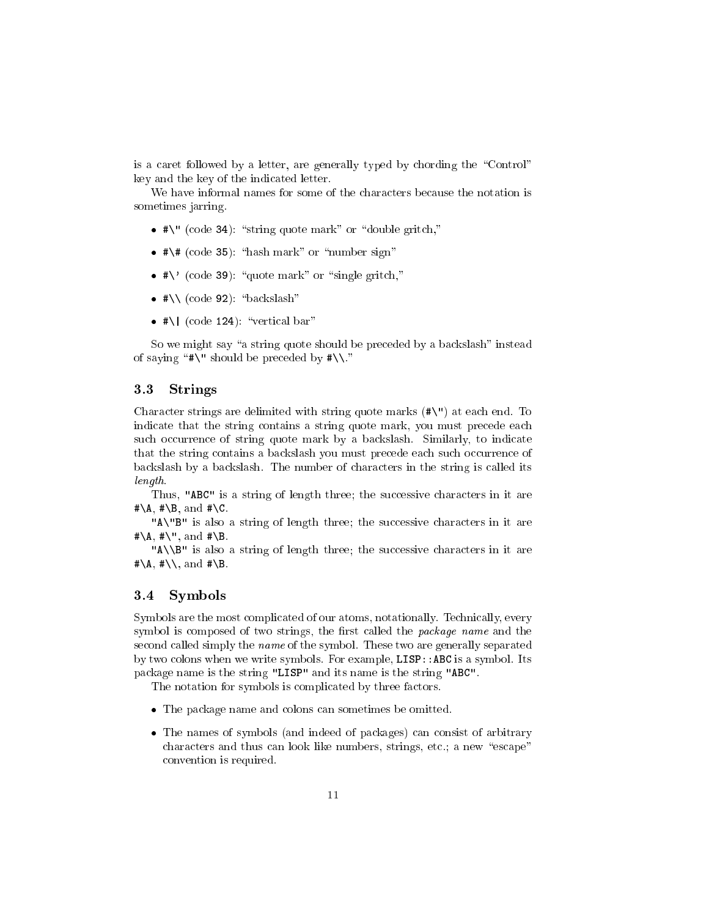is a caret followed by a letter, are generally typed by chording the "Control" key and the key of the indicated letter.

We have informal names for some of the characters because the notation is sometimes jarring.

- $\bullet$  #\" (code 34): "string quote mark" or "double gritch,"
- $\bullet$ #\# (code 35): "hash mark" or "number sign"
- $\bullet$  #\' (code 39): "quote mark" or "single gritch,"
- $\bullet$  #\\ (code 92): "backslash"
- $\bullet$  #\| (code 124): "vertical bar"

So we might say "a string quote should be preceded by a backslash" instead of saying " $\#\$ " should be preceded by  $\#\$ 

## 3.3 Strings

Character strings are delimited with string quote marks (#\") at each end. To indicate that the string contains a string quote mark, you must precede each such occurrence of string quote mark by a backslash. Similarly, to indicate that the string contains a backslash you must precede each such occurrence of backslash by a backslash. The number of characters in the string is called its length.

Thus, "ABC" is a string of length three; the successive characters in it are  $\sharp \A, \#\B, \text{ and } \#\C.$ 

"A\"B" is also a string of length three; the successive characters in it are  $\#\A$ ,  $\#\'$ , and  $\#\B$ .

"A\\B" is also a string of length three; the successive characters in it are  $\#\A, \#\\setminus\$ , and  $\#\B$ .

## 3.4 Symbols

Symbols are the most complicated of our atoms, notationally. Technically, every symbol is composed of two strings, the first called the *package name* and the second called simply the name of the symbol. These two are generally separated by two colons when we write symbols. For example, LISP::ABC is a symbol. Its package name is the string "LISP" and its name is the string "ABC".

The notation for symbols is complicated by three factors.

- The package name and colons can sometimes be omitted.
- The names of symbols (and indeed of packages) can consist of arbitrary characters and thus can look like numbers, strings, etc.; a new "escape" convention is required.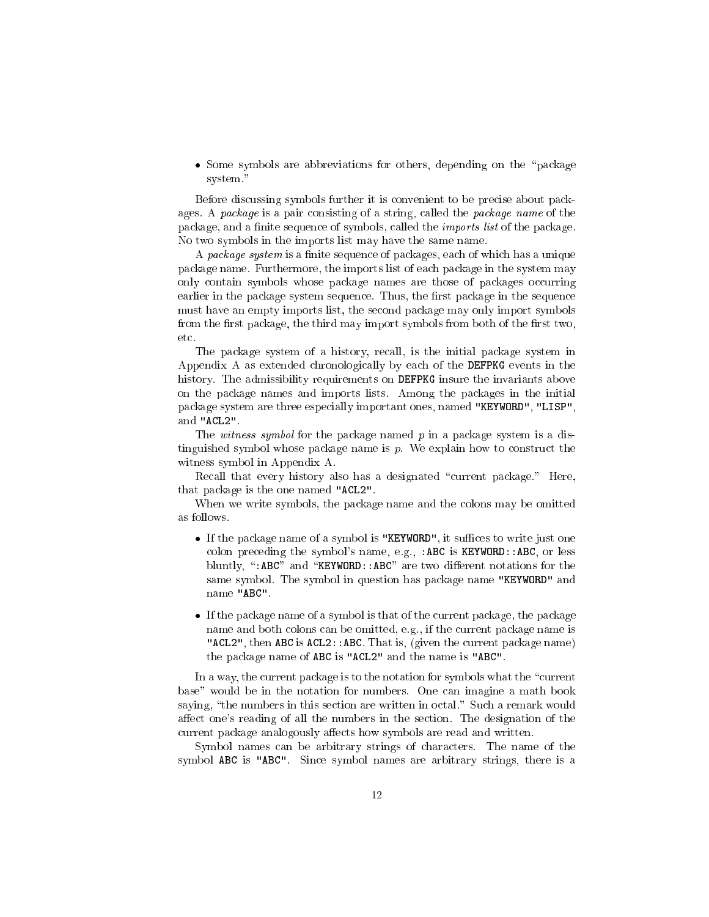• Some symbols are abbreviations for others, depending on the "package system."

Before discussing symbols further it is convenient to be precise about packages. A package is a pair consisting of a string, called the package name of the package, and a finite sequence of symbols, called the *imports list* of the package. No two symbols in the imports list may have the same name.

A package system is a finite sequence of packages, each of which has a unique package name. Furthermore, the imports list of each package in the system may only contain symbols whose package names are those of packages occurring earlier in the package system sequence. Thus, the first package in the sequence must have an empty imports list, the second package may only import symbols from the first package, the third may import symbols from both of the first two, etc.

The package system of a history, recall, is the initial package system in Appendix A as extended chronologically by each of the DEFPKG events in the history. The admissibility requirements on DEFPKG insure the invariants above on the package names and imports lists. Among the packages in the initial package system are three especially important ones, named "KEYWORD", "LISP", and "ACL2".

The witness symbol for the package named  $p$  in a package system is a distinguished symbol whose package name is p. We explain how to construct the witness symbol in Appendix A.

Recall that every history also has a designated "current package." Here, that package is the one named "ACL2".

When we write symbols, the package name and the colons may be omitted as follows.

- $\bullet$  If the package name of a symbol is "KEYWORD", it suffices to write just one colon preceding the symbol's name, e.g., : ABC is KEYWORD:: ABC, or less bluntly, ":ABC" and "KEYWORD::ABC" are two different notations for the same symbol. The symbol in question has package name "KEYWORD" and name "ABC".
- If the package name of a symbol is that of the current package, the package name and both colons can be omitted, e.g., if the current package name is "ACL2", then ABC is ACL2:: ABC. That is, (given the current package name) the package name of ABC is "ACL2" and the name is "ABC".

In a way, the current package is to the notation for symbols what the "current" base" would be in the notation for numbers. One can imagine a math book saying, "the numbers in this section are written in octal." Such a remark would affect one's reading of all the numbers in the section. The designation of the current package analogously affects how symbols are read and written.

Symbol names can be arbitrary strings of characters. The name of the symbol ABC is "ABC". Since symbol names are arbitrary strings, there is a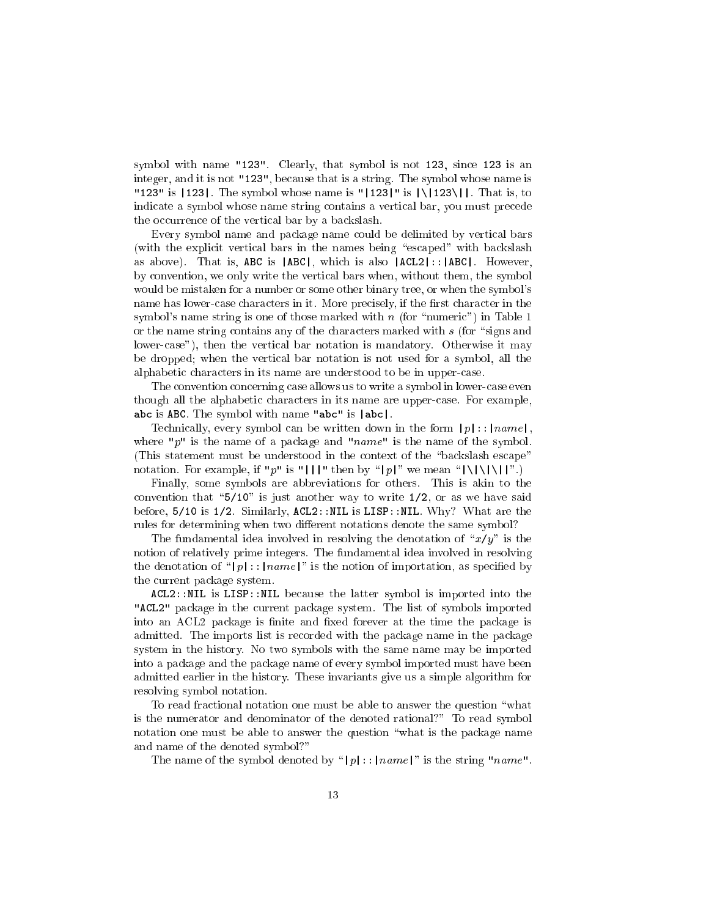symbol with name "123". Clearly, that symbol is not 123, since 123 is an integer, and it is not "123", because that is a string. The symbol whose name is "123" is  $|123|$ . The symbol whose name is " $|123|$ " is  $|\angle |123\rangle|$ . That is, to indicate a symbol whose name string contains a vertical bar, you must precede the occurrence of the vertical bar by a backslash.

Every symbol name and package name could be delimited by vertical bars (with the explicit vertical bars in the names being "escaped" with backslash as above). That is, ABC is |ABC|, which is also |ACL2|::|ABC|. However, by convention, we only write the vertical bars when, without them, the symbol would be mistaken for a number or some other binary tree, or when the symbol's name has lower-case characters in it. More precisely, if the first character in the symbol's name string is one of those marked with n (for "numeric") in Table 1 or the name string contains any of the characters marked with  $s$  (for "signs and lower-case"), then the vertical bar notation is mandatory. Otherwise it may be dropped; when the vertical bar notation is not used for a symbol, all the alphabetic characters in its name are understood to be in upper-case.

The convention concerning case allows us to write a symbol in lower-case even though all the alphabetic characters in its name are upper-case. For example, abc is ABC. The symbol with name "abc" is |abc|.

Technically, every symbol can be written down in the form  $|p|$ :: $|name|$ , where "p" is the name of a package and "name" is the name of the symbol. (This statement must be understood in the context of the "backslash escape") notation. For example, if "p" is "|||" then by "|p|" we mean " $|\setminus|\setminus|\setminus|$ ".)

Finally, some symbols are abbreviations for others. This is akin to the convention that " $5/10$ " is just another way to write  $1/2$ , or as we have said before, 5/10 is 1/2. Similarly, ACL2::NIL is LISP::NIL. Why? What are the rules for determining when two different notations denote the same symbol?

The fundamental idea involved in resolving the denotation of " $x/y$ " is the notion of relatively prime integers. The fundamental idea involved in resolving the denotation of "|p|::|name|" is the notion of importation, as specified by the current package system.

ACL2::NIL is LISP::NIL because the latter symbol is imported into the "ACL2" package in the current package system. The list of symbols imported into an ACL2 package is finite and fixed forever at the time the package is admitted. The imports list is recorded with the package name in the package system in the history. No two symbols with the same name may be imported into a package and the package name of every symbol imported must have been admitted earlier in the history. These invariants give us a simple algorithm for resolving symbol notation.

To read fractional notation one must be able to answer the question \what is the numerator and denominator of the denoted rational?" To read symbol notation one must be able to answer the question "what is the package name and name of the denoted symbol?"

The name of the symbol denoted by "|p|::|name|" is the string "name".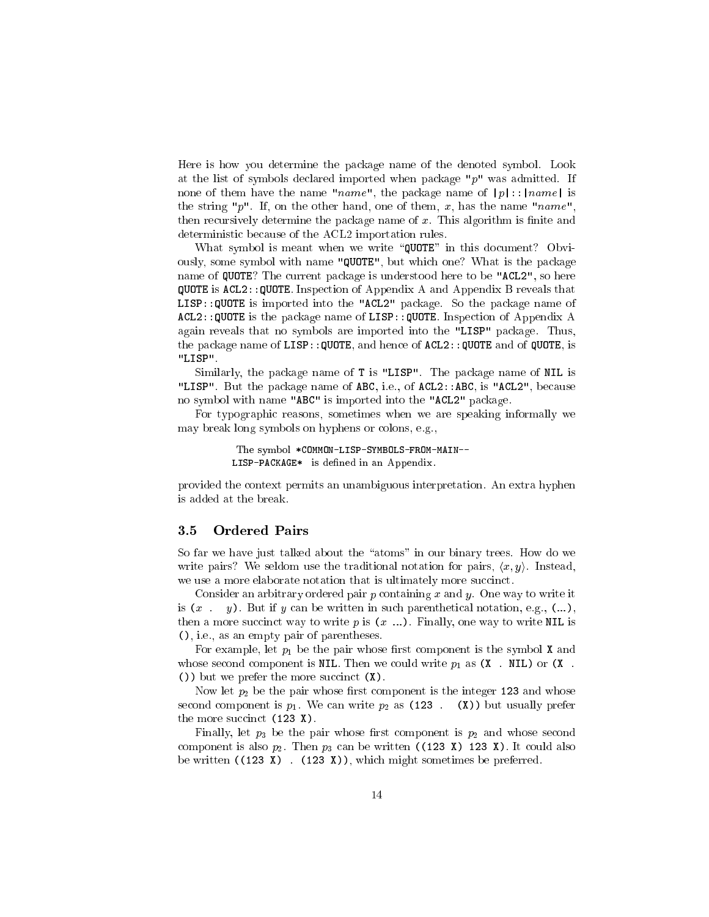Here is how you determine the package name of the denoted symbol. Look at the list of symbols declared imported when package " $p$ " was admitted. If none of them have the name "name", the package name of  $|p|$ :: $|name|$  is the string "p". If, on the other hand, one of them, x, has the name "name", then recursively determine the package name of  $x$ . This algorithm is finite and deterministic because of the ACL2 importation rules.

What symbol is meant when we write "QUOTE" in this document? Obviously, some symbol with name "QUOTE", but which one? What is the package name of QUOTE? The current package is understood here to be "ACL2", so here QUOTE is ACL2::QUOTE. Inspection of Appendix A and Appendix B reveals that LISP::QUOTE is imported into the "ACL2" package. So the package name of ACL2::QUOTE is the package name of LISP::QUOTE. Inspection of Appendix A again reveals that no symbols are imported into the "LISP" package. Thus, the package name of LISP::QUOTE, and hence of ACL2::QUOTE and of QUOTE, is "LISP".

Similarly, the package name of T is "LISP". The package name of NIL is "LISP". But the package name of ABC, i.e., of ACL2::ABC, is "ACL2", because no symbol with name "ABC" is imported into the "ACL2" package.

For typographic reasons, sometimes when we are speaking informally we may break long symbols on hyphens or colons, e.g.,

> The symbol \*COMMON-LISP-SYMBOLS-FROM-MAIN--LISP-PACKAGE\* is defined in an Appendix.

provided the context permits an unambiguous interpretation. An extra hyphen is added at the break.

#### 3.5 **Ordered Pairs**

So far we have just talked about the "atoms" in our binary trees. How do we write pairs? We seldom use the traditional notation for pairs,  $\langle x, y \rangle$ . Instead, we use a more elaborate notation that is ultimately more succinct.

Consider an arbitrary ordered pair  $p$  containing  $x$  and  $y$ . One way to write it is  $(x \cdot y)$ . But if y can be written in such parenthetical notation, e.g.,  $(...),$ then a more succinct way to write  $p$  is  $(x \dots)$ . Finally, one way to write NIL is (), i.e., as an empty pair of parentheses.

For example, let  $p_1$  be the pair whose first component is the symbol **X** and whose second component is NIL. Then we could write  $p_1$  as  $(X$ . NIL) or  $(X$ . ()) but we prefer the more succinct (X).

Now let  $p_2$  be the pair whose first component is the integer 123 and whose second component is  $p_1$ . We can write  $p_2$  as (123 . (X)) but usually prefer the more succinct (123 X).

Finally, let  $p_3$  be the pair whose first component is  $p_2$  and whose second component is also  $p_2$ . Then  $p_3$  can be written ((123 X) 123 X). It could also be written  $((123 \tX)$ .  $(123 \tX))$ , which might sometimes be preferred.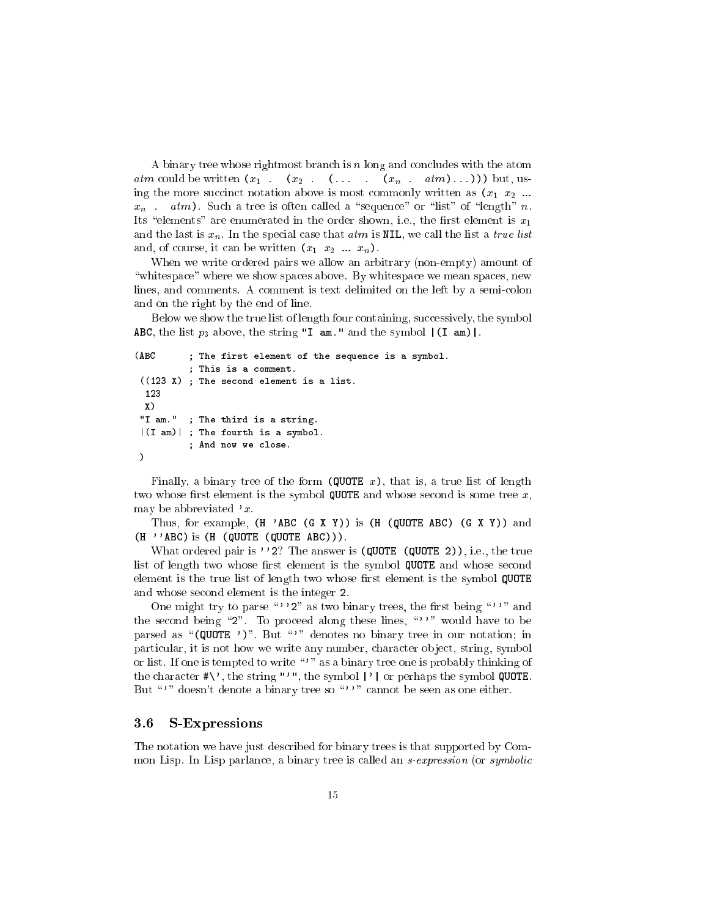A binary tree whose rightmost branch is n long and concludes with the atom atm could be written  $(x_1 \ldots (x_2 \ldots (x_n \ldots x_m \ldots x_m))$  but, using the more succinct notation above is most commonly written as  $(x_1, x_2, ...$  $x_n$ . atm). Such a tree is often called a "sequence" or "list" of "length" n. Its "elements" are enumerated in the order shown, i.e., the first element is  $x_1$ and the last is  $x_n$ . In the special case that  $atm$  is NIL, we call the list a *true list* and, of course, it can be written  $(x_1, x_2, \ldots, x_n)$ .

When we write ordered pairs we allow an arbitrary (non-empty) amount of "whitespace" where we show spaces above. By whitespace we mean spaces, new lines, and comments. A comment is text delimited on the left by a semi-colon and on the right by the end of line.

Below we show the true list of length four containing, successively, the symbol ABC, the list  $p_3$  above, the string "I am." and the symbol  $|(I \nvert am)|$ .

```
(ABC ; The first element of the sequence is a symbol.
          ; This is a comment.
 ((123 X) ; The second element is a list.
 123
 X)
"I am." ; The third is a string.
 |(I am)| ; The fourth is a symbol.
          ; And now we close.
\lambda)
```
Finally, a binary tree of the form (QUOTE  $x$ ), that is, a true list of length two whose first element is the symbol QUOTE and whose second is some tree  $x$ , may be abbreviated  $x$ .

Thus, for example,  $(H \cap ABC(G \mid X \mid Y))$  is  $(H \cap (QUOTE ABC) (G \mid X \mid Y))$  and  $(H'$  'ABC) is  $(H'$  (QUOTE (QUOTE ABC))).

What ordered pair is ''2? The answer is (QUOTE (QUOTE 2)), i.e., the true list of length two whose first element is the symbol QUOTE and whose second element is the true list of length two whose first element is the symbol QUOTE and whose second element is the integer 2.

One might try to parse "''2" as two binary trees, the first being "'" and the second being "2". To proceed along these lines, " $'$ " would have to be parsed as " $(QUOTE'')$ ". But "'" denotes no binary tree in our notation; in particular, it is not how we write any number, character object, string, symbol or list. If one is tempted to write "" as a binary tree one is probably thinking of the character  $\#\$ , the string "'", the symbol |'| or perhaps the symbol QUOTE. But "" doesn't denote a binary tree so """ cannot be seen as one either.

#### 3.6 S-Expressions

The notation we have just described for binary trees is that supported by Common Lisp. In Lisp parlance, a binary tree is called an *s-expression* (or *symbolic*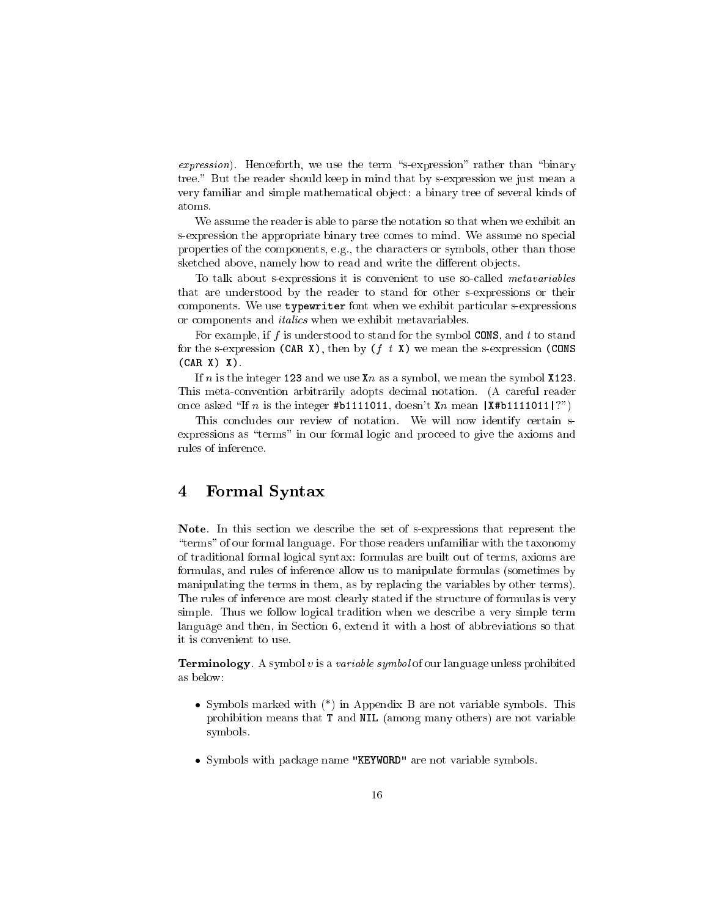$expression$ . Henceforth, we use the term "s-expression" rather than "binary tree." But the reader should keep in mind that by s-expression we just mean a very familiar and simple mathematical ob ject: a binary tree of several kinds of atoms.

We assume the reader is able to parse the notation so that when we exhibit an s-expression the appropriate binary tree comes to mind. We assume no special properties of the components, e.g., the characters or symbols, other than those sketched above, namely how to read and write the different objects.

To talk about s-expressions it is convenient to use so-called metavariables that are understood by the reader to stand for other s-expressions or their components. We use typewriter font when we exhibit particular s-expressions or components and italics when we exhibit metavariables.

For example, if f is understood to stand for the symbol CONS, and t to stand for the s-expression (CAR X), then by  $(f t X)$  we mean the s-expression (CONS  $(CAR X) X$ .

If n is the integer 123 and we use  $x_n$  as a symbol, we mean the symbol  $x_{123}$ . This meta-convention arbitrarily adopts decimal notation. (A careful reader once asked "If n is the integer #b1111011, doesn't Xn mean  $|X#b1111011|$ ?")

This concludes our review of notation. We will now identify certain sexpressions as "terms" in our formal logic and proceed to give the axioms and rules of inference.

#### $\overline{\mathbf{4}}$ 4 Formal Syntax

Note. In this section we describe the set of s-expressions that represent the \terms" of our formal language. For those readers unfamiliar with the taxonomy of traditional formal logical syntax: formulas are built out of terms, axioms are formulas, and rules of inference allow us to manipulate formulas (sometimes by manipulating the terms in them, as by replacing the variables by other terms). The rules of inference are most clearly stated if the structure of formulas is very simple. Thus we follow logical tradition when we describe a very simple term language and then, in Section 6, extend it with a host of abbreviations so that it is convenient to use

**Terminology**. A symbol v is a variable symbol of our language unless prohibited as below:

- Symbols marked with  $(*)$  in Appendix B are not variable symbols. This prohibition means that T and NIL (among many others) are not variable symbols.
- Symbols with package name "KEYWORD" are not variable symbols.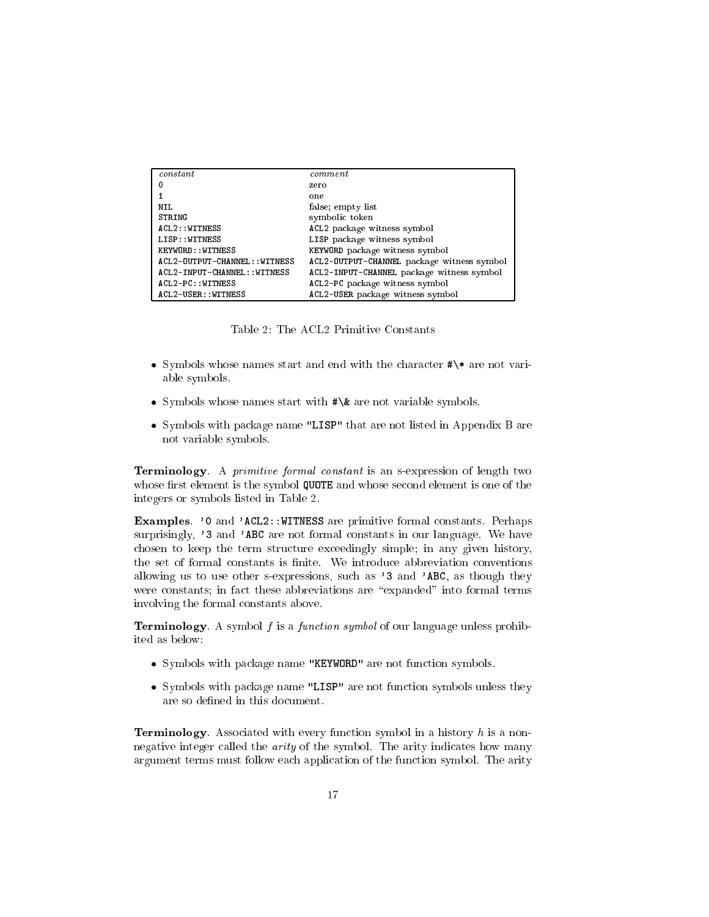| constant                      | command                                    |
|-------------------------------|--------------------------------------------|
| $^{\circ}$                    | zero                                       |
|                               | one                                        |
| N IL.                         | false; empty list                          |
| <b>STRING</b>                 | symbolic token                             |
| ACL2: VITNESS                 | ACL2 package witness symbol                |
| LISP:: WITNESS                | LISP package witness symbol                |
| KEYWORD:: VITNESS             | KEYWORD package witness symbol             |
| ACL2-OUTPUT-CHANNEL:: WITNESS | ACL2-OUTPUT-CHANNEL package witness symbol |
| ACL2-INPUT-CHANNEL:: VITNESS  | ACL2-INPUT-CHANNEL package witness symbol  |
| ACL2-PC: : WITNESS            | ACL2-PC package witness symbol             |
| ACL2-USER:: WITNESS           | ACL2-USER package witness symbol           |

Table 2: The ACL2 Primitive Constants

- Symbols whose names start and end with the character #\\* are not variable symbols.
- Symbols whose names start with #\& are not variable symbols.
- Symbols with package name "LISP" that are not listed in Appendix B are not variable symbols.

Terminology. A primitive formal constant is an s-expression of length two whose first element is the symbol QUOTE and whose second element is one of the integers or symbols listed in Table 2.

Examples. '0 and 'ACL2::WITNESS are primitive formal constants. Perhaps surprisingly, '3 and 'ABC are not formal constants in our language. We have chosen to keep the term structure exceedingly simple; in any given history, the set of formal constants is finite. We introduce abbreviation conventions allowing us to use other s-expressions, such as '3 and 'ABC, as though they were constants; in fact these abbreviations are "expanded" into formal terms involving the formal constants above.

**Terminology**. A symbol f is a function symbol of our language unless prohibited as below:

- Symbols with package name "KEYWORD" are not function symbols.
- Symbols with package name "LISP" are not function symbols unless they are so defined in this document.

**Terminology**. Associated with every function symbol in a history  $h$  is a nonnegative integer called the arity of the symbol. The arity indicates how many argument terms must follow each application of the function symbol. The arity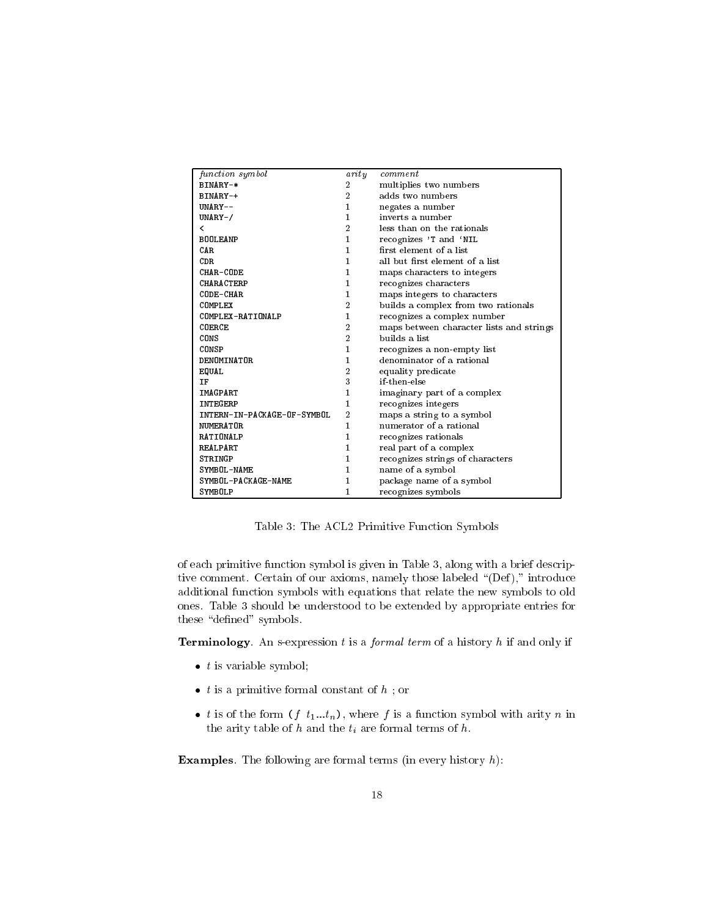| function symbol             |                | comment                                  |
|-----------------------------|----------------|------------------------------------------|
|                             | arity          |                                          |
| BINARY-*                    | $\overline{2}$ | multiplies two numbers                   |
| BINARY-+                    | $\overline{2}$ | adds two numbers                         |
| UNARY--                     | 1              | negates a number                         |
| $UNARY-$                    | 1              | inverts a number                         |
| ≺                           | $\overline{2}$ | less than on the rationals               |
| <b>BOOLEANP</b>             | 1              | recognizes 'T and 'NIL                   |
| C AR                        | 1              | first element of a list                  |
| <b>CDR</b>                  | 1              | all but first element of a list          |
| CHAR-CODE                   | 1              | maps characters to integers              |
| <b>CHARACTERP</b>           | 1              | recognizes characters                    |
| CODE-CHAR                   | 1              | maps integers to characters              |
| COMPLEX                     | $\overline{2}$ | builds a complex from two rationals      |
| COMPLEX-RATIONALP           | 1              | recognizes a complex number              |
| COERCE                      | $\overline{2}$ | maps between character lists and strings |
| CONS                        | $\overline{2}$ | builds a list                            |
| <b>CONSP</b>                | 1              | recognizes a non-empty list              |
| DENOMINATOR                 | 1              | denominator of a rational                |
| EQUAL                       | $\overline{2}$ | equality predicate                       |
| IF                          | 3              | if-then-else                             |
| <b>IMAGPART</b>             | 1              | imaginary part of a complex              |
| INTEGERP                    | 1              | recognizes integers                      |
| INTERN-IN-PACKAGE-OF-SYMBOL | $\overline{2}$ | maps a string to a symbol                |
| NUMERATOR                   | 1              | numerator of a rational                  |
| <b>RATIONALP</b>            | 1              | recognizes rationals                     |
| <b>REAL PART</b>            | 1              | real part of a complex                   |
| STRINGP                     | 1              | recognizes strings of characters         |
| SYMBOL-NAME                 | 1              | name of a symbol                         |
| SYMBOL-PACKAGE-NAME         | 1              | package name of a symbol                 |
| SYMBOLP                     | 1              | recognizes symbols                       |
|                             |                |                                          |

Table 3: The ACL2 Primitive Function Symbols

of each primitive function symbol is given in Table 3, along with a brief descriptive comment. Certain of our axioms, namely those labeled "(Def)," introduce additional function symbols with equations that relate the new symbols to old ones. Table 3 should be understood to be extended by appropriate entries for these "defined" symbols.

**Terminology**. An s-expression  $t$  is a *formal term* of a history  $h$  if and only if

- $\bullet$  t is variable symbol;
- $\bullet$  *t* is a primitive formal constant of  $h$ ; or
- t is of the form  $(f t_1...t_n)$ , where f is a function symbol with arity n in the arity table of  $h$  and the  $t_i$  are formal terms of  $h$ .

**Examples**. The following are formal terms (in every history  $h$ ):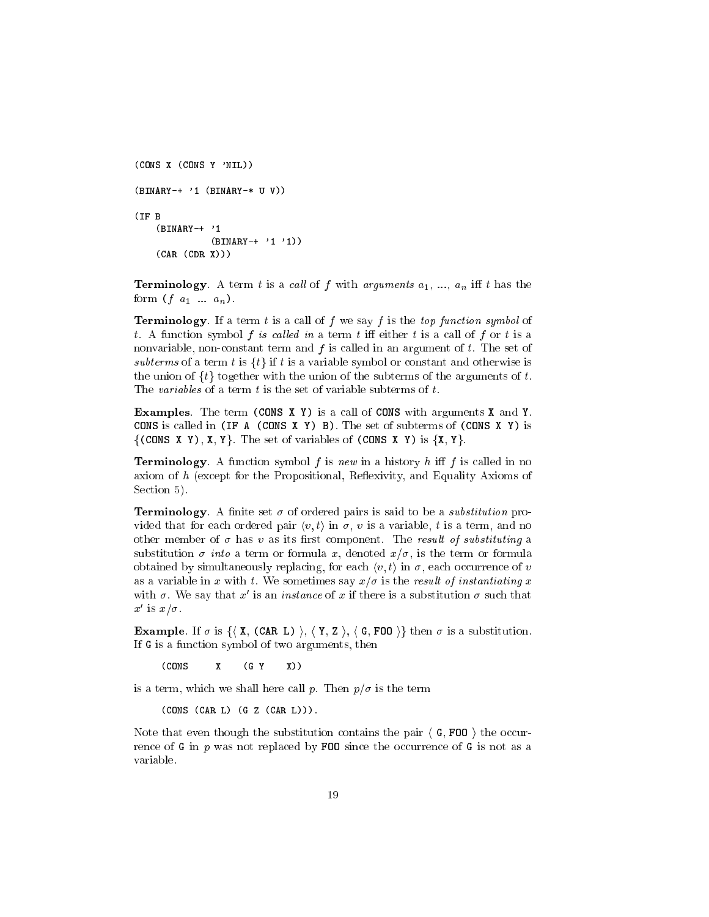```
(CONS X (CONS Y 'NIL))
(BINARY-+ '1 (BINARY-* U V))
(IF B
    (BINARY-+ '1
              (BINARY-+ '1 '1))
    (CAR (CDR X)))
```
**Terminology**. A term t is a call of f with arguments  $a_1, ..., a_n$  iff t has the form  $(f \ a_1 \ ... \ a_n)$ .

**Terminology**. If a term t is a call of f we say f is the top function symbol of t. A function symbol f is called in a term t iff either t is a call of f or t is a nonvariable, non-constant term and  $f$  is called in an argument of  $t$ . The set of subterms of a term t is  $\{t\}$  if t is a variable symbol or constant and otherwise is the union of  $\{t\}$  together with the union of the subterms of the arguments of t. The variables of a term  $t$  is the set of variable subterms of  $t$ .

Examples. The term (CONS X Y) is a call of CONS with arguments X and Y. CONS is called in (IF A (CONS X Y) B). The set of subterms of (CONS X Y) is  $\{(\text{CONS } X Y), X, Y\}$ . The set of variables of  $(\text{CONS } X Y)$  is  $\{X, Y\}$ .

**Terminology**. A function symbol f is new in a history h iff f is called in no axiom of  $h$  (except for the Propositional, Reflexivity, and Equality Axioms of Section 5).

**Terminology**. A finite set  $\sigma$  of ordered pairs is said to be a *substitution* provided that for each ordered pair  $\langle v, t \rangle$  in  $\sigma$ , v is a variable, t is a term, and no other member of  $\sigma$  has v as its first component. The result of substituting a substitution  $\sigma$  *into* a term or formula x, denoted  $x/\sigma$ , is the term or formula obtained by simultaneously replacing, for each  $\langle v, t \rangle$  in  $\sigma$ , each occurrence of v as a variable in x with t. We sometimes say  $x/\sigma$  is the result of instantiating x with  $\sigma$ . We say that  $x$  is an *instance* of  $x$  if there is a substitution  $\sigma$  such that  $x \text{ is } x \text{ or }$ 

**Example**. If  $\sigma$  is  $\{\langle X, (CAR L) \rangle, \langle Y, Z \rangle, \langle G, FOO \rangle\}$  then  $\sigma$  is a substitution. If G is a function symbol of two arguments, then

(CONS  $\mathbf{x}$  $(G Y)$  $X)$  $\lambda$  (constant) is the set of  $\lambda$  and  $\lambda$  and  $\lambda$ 

is a term, which we shall here call p. Then  $p/\sigma$  is the term

(CONS (CAR L) (G Z (CAR L))).

Note that even though the substitution contains the pair  $\langle G, F00 \rangle$  the occurrence of G in p was not replaced by FOO since the occurrence of G is not as a variable.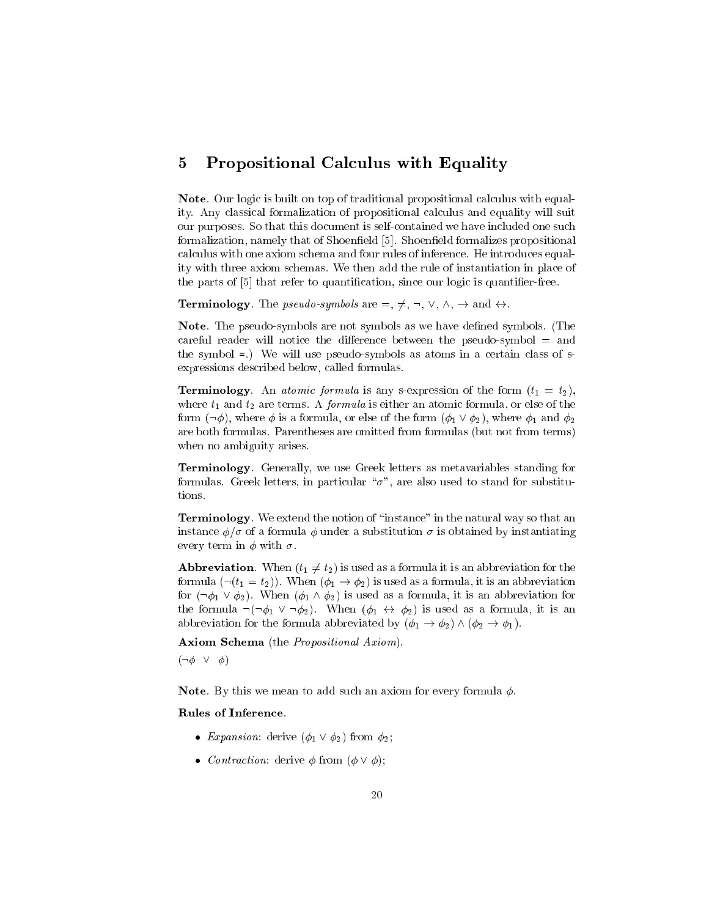#### 5 Propositional Calculus with Equality 5

Note. Our logic is built on top of traditional propositional calculus with equality. Any classical formalization of propositional calculus and equality will suit our purposes. So that this document is self-contained we have included one such formalization, namely that of Shoenfield [5]. Shoenfield formalizes propositional calculus with one axiom schema and four rules of inference. He introduces equality with three axiom schemas. We then add the rule of instantiation in place of the parts of [5] that refer to quantication, since our logic is quantier-free.

**Terminology**. The *pseudo-symbols* are  $=$ ,  $\neq$ ,  $\neg$ ,  $\vee$ ,  $\wedge$ ,  $\rightarrow$  and  $\leftrightarrow$ .

**Note**. The pseudo-symbols are not symbols as we have defined symbols. (The careful reader will notice the difference between the pseudo-symbol  $=$  and the symbol =.) We will use pseudo-symbols as atoms in a certain class of sexpressions described below, called formulas.

**Terminology**. An *atomic formula* is any s-expression of the form  $(t_1 = t_2)$ , where  $t_1$  and  $t_2$  are terms. A *formula* is either an atomic formula, or else of the form  $(\neg \phi)$ , where  $\phi$  is a formula, or else of the form  $(\phi_1 \lor \phi_2)$ , where  $\phi_1$  and  $\phi_2$ are both formulas. Parentheses are omitted from formulas (but not from terms) when no ambiguity arises.

Terminology. Generally, we use Greek letters as metavariables standing for formulas. Greek letters, in particular " $\sigma$ ", are also used to stand for substitutions.

**Terminology**. We extend the notion of "instance" in the natural way so that an instance  $\phi/\sigma$  of a formula  $\phi$  under a substitution  $\sigma$  is obtained by instantiating every term in  $\phi$  with  $\sigma$ .

**Abbreviation**. When  $(t_1 \neq t_2)$  is used as a formula it is an abbreviation for the formula  $(\neg(t_1 = t_2))$ . When  $(\phi_1 \rightarrow \phi_2)$  is used as a formula, it is an abbreviation for  $(\neg \phi_1 \lor \phi_2)$ . When  $(\phi_1 \land \phi_2)$  is used as a formula, it is an abbreviation for the formula  $\neg(\neg \phi_1 \lor \neg \phi_2)$ . When  $(\phi_1 \leftrightarrow \phi_2)$  is used as a formula, it is an abbreviation for the formula abbreviated by  $(\phi_1 \rightarrow \phi_2) \wedge (\phi_2 \rightarrow \phi_1)$ .

Axiom Schema (the Propositional Axiom).

 $(\neg \phi \lor \phi)$ 

**Note**. By this we mean to add such an axiom for every formula  $\phi$ .

## Rules of Inference.

- Expansion: derive  $(\phi_1 \lor \phi_2)$  from  $\phi_2$ ;
- *Contraction*: derive  $\phi$  from  $(\phi \lor \phi);$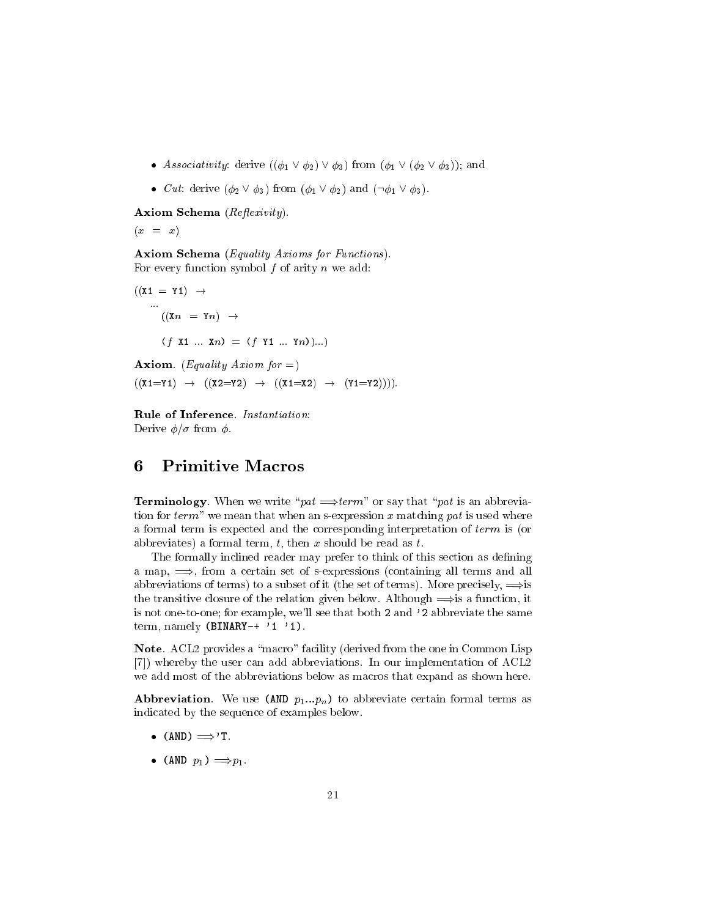- Associativity: derive  $((\phi_1 \lor \phi_2) \lor \phi_3)$  from  $(\phi_1 \lor (\phi_2 \lor \phi_3))$ ; and
- *Cut*: derive  $(\phi_2 \lor \phi_3)$  from  $(\phi_1 \lor \phi_2)$  and  $(\neg \phi_1 \lor \phi_3)$ .

Axiom Schema (Reflexivity).

$$
(x = x)
$$

Axiom Schema (Equality Axioms for Functions). For every function symbol  $f$  of arity  $n$  we add:

$$
((\mathbf{X1} = \mathbf{Y1}) \rightarrow
$$
  
\n
$$
\cdots
$$
  
\n
$$
((\mathbf{Xn} = \mathbf{Yn}) \rightarrow
$$
  
\n
$$
(f \mathbf{X1} \dots \mathbf{Xn}) = (f \mathbf{Y1} \dots \mathbf{Yn}))...)
$$

**Axiom.** (*Equality Axiom for =*)  $((X1=Y1) \rightarrow ((X2=Y2) \rightarrow ((X1=X2) \rightarrow (Y1=Y2))).$ 

Rule of Inference. Instantiation: Derive  $\phi/\sigma$  from  $\phi$ .

# 6

**Terminology**. When we write " $pat \implies term$ " or say that "pat is an abbreviation for  $term$ " we mean that when an s-expression x matching pat is used where a formal term is expected and the corresponding interpretation of term is (or abbreviates) a formal term, t, then x should be read as t.

The formally inclined reader may prefer to think of this section as defining a map,  $\implies$ , from a certain set of s-expressions (containing all terms and all abbreviations of terms) to a subset of it (the set of terms). More precisely,  $\Longrightarrow$  is the transitive closure of the relation given below. Although  $\Longrightarrow$  is a function, it is not one-to-one; for example, we'll see that both 2 and '2 abbreviate the same term, namely  $(BINARY-+ '1 '1).$ 

Note. ACL2 provides a "macro" facility (derived from the one in Common Lisp [7]) whereby the user can add abbreviations. In our implementation of ACL2 we add most of the abbreviations below as macros that expand as shown here.

**Abbreviation**. We use (AND  $p_1...p_n$ ) to abbreviate certain formal terms as indicated by the sequence of examples below.

- $\bullet$  (AND)  $\Longrightarrow$ 'T.
- (AND  $p_1$ )  $\Longrightarrow p_1$ .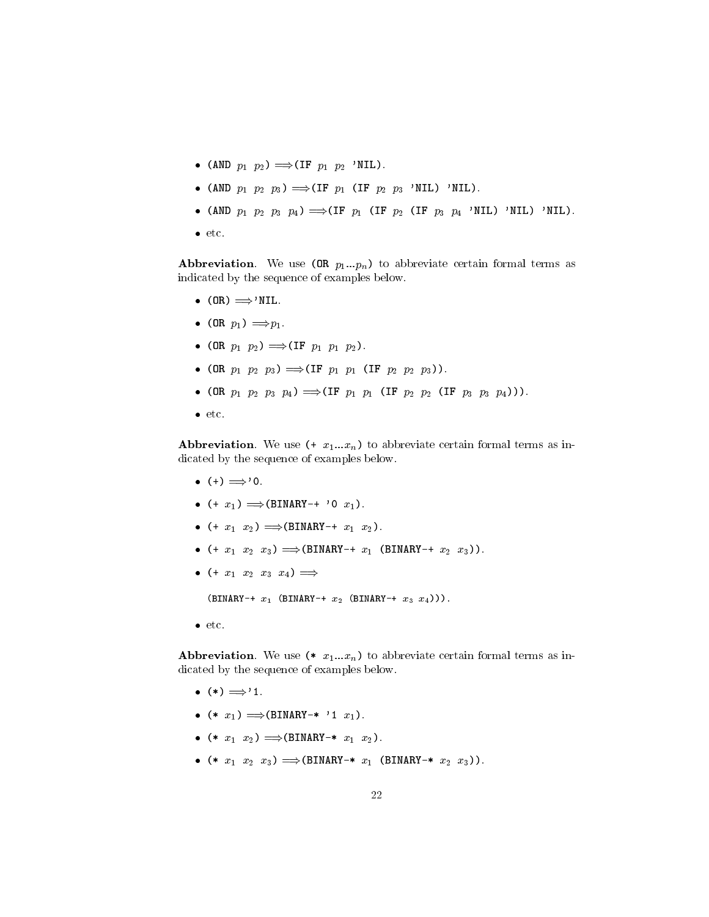- (AND  $p_1$   $p_2$ )  $\Longrightarrow$  (IF  $p_1$   $p_2$  'NIL).
- (AND  $p_1$   $p_2$   $p_3$ )  $\Longrightarrow$  (IF  $p_1$  (IF  $p_2$   $p_3$  'NIL) 'NIL).
- (AND  $p_1$   $p_2$   $p_3$   $p_4$ )  $\Longrightarrow$  (IF  $p_1$  (IF  $p_2$  (IF  $p_3$   $p_4$  'NIL) 'NIL) 'NIL).
- etc.

**Abbreviation**. We use  $(0R p_1...p_n)$  to abbreviate certain formal terms as indicated by the sequence of examples below.

- $\bullet$  (OR)  $\Longrightarrow$ 'NIL.
- $\bullet$  (OR  $p_1$ )  $\Longrightarrow p_1$ .
- (OR  $p_1$   $p_2$ )  $\Longrightarrow$  (IF  $p_1$   $p_1$   $p_2$ ).
- (OR  $p_1$   $p_2$   $p_3$ )  $\Longrightarrow$  (IF  $p_1$   $p_1$  (IF  $p_2$   $p_2$   $p_3$ )).
- (OR  $p_1$   $p_2$   $p_3$   $p_4$ )  $\Longrightarrow$  (IF  $p_1$   $p_1$  (IF  $p_2$   $p_2$  (IF  $p_3$   $p_3$   $p_4$ ))).
- $etc.$

**Abbreviation**. We use  $(* x_1...x_n)$  to abbreviate certain formal terms as indicated by the sequence of examples below.

- $\bullet$  (+)  $\Longrightarrow$  '0.
- $\bullet$  (+  $x_1$ )  $\Longrightarrow$  (BINARY-+ '0  $x_1$ ).
- $\bullet$  (+  $x_1$   $x_2$ )  $\Longrightarrow$  (BINARY-+  $x_1$   $x_2$ ).
- $(* x_1 x_2 x_3) \implies (BINARY * x_1 (BINARY * x_2 x_3))$ .
- $\bullet$  (+  $x_1$   $x_2$   $x_3$   $x_4$ )  $\Longrightarrow$

 $(BINARY-+ x_1 (BINARY-+ x_2 (BINARY-+ x_3 x_4))).$ 

• etc.

**Abbreviation**. We use  $(* x_1...x_n)$  to abbreviate certain formal terms as indicated by the sequence of examples below.

- $\bullet$  (\*)  $\Longrightarrow$  '1.
- $\bullet$  (\*  $x_1$ )  $\Longrightarrow$  (BINARY-\* '1  $x_1$ ).
- $(* x_1 x_2) \implies (BINARY-* x_1 x_2).$
- $(* x_1 x_2 x_3) \implies (BINARY-* x_1 (BINARY-* x_2 x_3)).$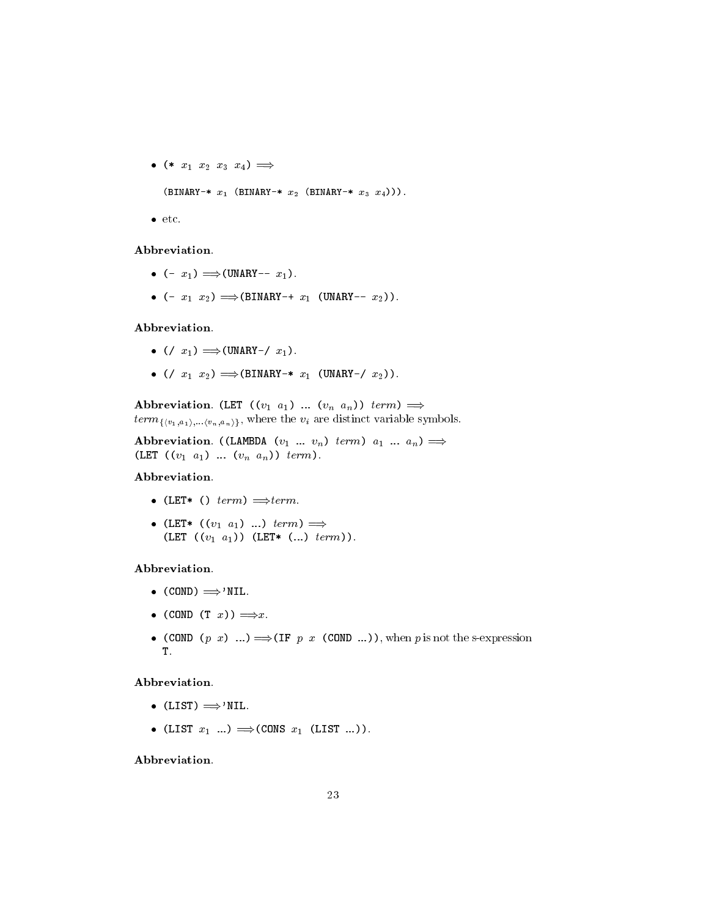- $\bullet$  (\*  $x_1$   $x_2$   $x_3$   $x_4$ )  $\Longrightarrow$  $(BINARY-* x_1 (BINARY-* x_2 (BINARY-* x_3 x_4))).$
- $etc.$

#### Abbreviation.

- $\bullet$  (-  $x_1$ )  $\Longrightarrow$  (UNARY--  $x_1$ ).
- $\bullet$  (-  $x_1$   $x_2$ )  $\Longrightarrow$  (BINARY-+  $x_1$  (UNARY--  $x_2$ )).

## Abbreviation.

- $\bullet$  (/  $x_1$ )  $\Longrightarrow$  (UNARY-/  $x_1$ ).
- $( / x_1 x_2) \Rightarrow (BINARY-* x_1 (UNARY- / x_2)).$

Abbreviation. (LET  $((v_1 \ a_1) \ ... \ (v_n \ a_n)) \ term) \implies$  $term_{\{v_1, a_1\}, \ldots, v_n, a_n\}}$ , where the  $v_i$  are distinct variable symbols.

Abbreviation. ((LAMBDA  $(v_1 \ldots v_n)$  term)  $a_1 \ldots a_n$ )  $\implies$ (LET  $((v_1 \ a_1) \ ... \ (v_n \ a_n)) \ term$ ).

### Abbreviation.

- (LET\* ()  $term$ )  $\Longrightarrow term$ .
- (LET\*  $((v_1 \ a_1) \ ...) \ term) \implies$ (LET  $((v_1 \ a_1))$  (LET\*  $(...) \ term$ ).

#### Abbreviation.

- $\bullet$  (COND)  $\Longrightarrow$ 'NIL.
- $\bullet$  (COND (T x))  $\Longrightarrow x$ .
- (COND  $(p \ x)$  ...)  $\Longrightarrow$  (IF  $p \ x$  (COND ...)), when  $p$  is not the s-expression T.

## Abbreviation.

- $\bullet$  (LIST)  $\Longrightarrow$ 'NIL.
- (LIST  $x_1$  ...)  $\Longrightarrow$  (CONS  $x_1$  (LIST ...)).

Abbreviation.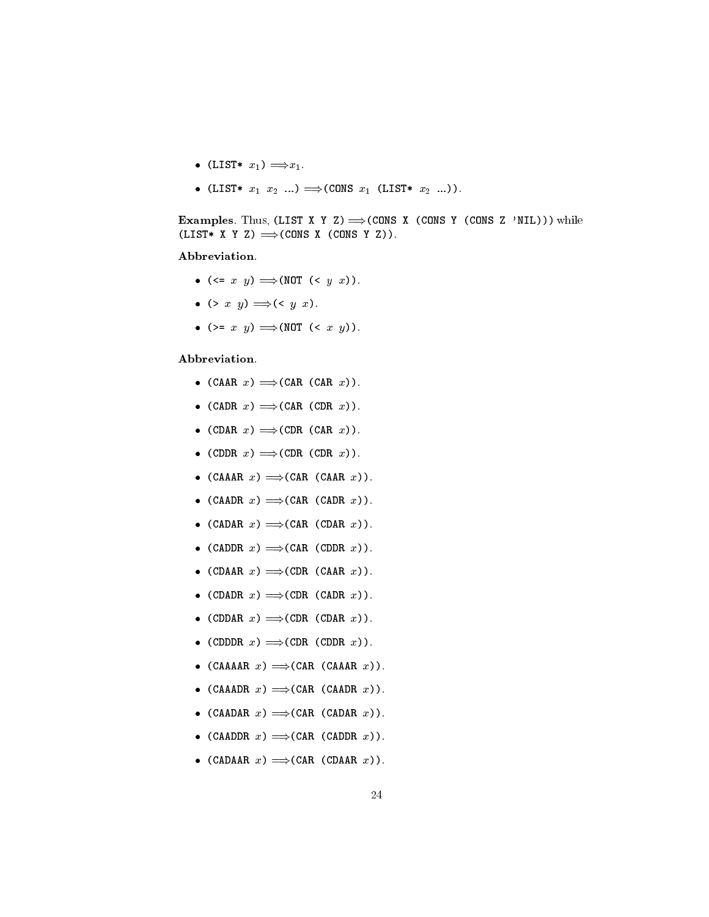- (LIST\*  $x_1$ )  $\Longrightarrow x_1$ .
- (LIST\*  $x_1$   $x_2$  ...)  $\Longrightarrow$  (CONS  $x_1$  (LIST\*  $x_2$  ...)).

**Examples.** Thus, (LIST X Y Z)  $\Longrightarrow$  (CONS X (CONS Y (CONS Z 'NIL))) while  $(LIST* X Y Z) \Longrightarrow (CONS X (CONS Y Z)).$ 

#### Abbreviation.

- $(\leq x \ y) \implies (NOT \ (< y \ x)).$
- $\bullet$  (> x y)  $\Longrightarrow$  (< y x).
- (>=  $x$   $y$ )  $\Longrightarrow$  (NOT (<  $x$   $y$ )).

## Abbreviation.

- $(CAAR x) \implies (CAR (CAR x)).$
- (CADR  $x) \implies$  (CAR (CDR  $x$ )).
- (CDAR  $x) \implies$ (CDR (CAR  $x$ )).
- (CDDR  $x) \implies$ (CDR (CDR  $x)$ ).
- $(CA A A R x) \implies (C A R (C A A R x)).$
- (CAADR  $x) \implies$  (CAR (CADR  $x$ )).
- (CADAR  $x) \implies$ (CAR (CDAR  $x$ )).
- (CADDR  $x) \implies$ (CAR (CDDR  $x$ )).
- (CDAAR  $x) \implies$ (CDR (CAAR  $x$ )).
- (CDADR  $x) \implies$ (CDR (CADR  $x$ )).
- (CDDAR  $x) \implies$ (CDR (CDAR  $x$ )).
- (CDDR  $x) \implies$ (CDR (CDDR  $x$ )).
- (CAAAAR  $x) \implies$ (CAR (CAAAR  $x$ )).
- (CAAADR  $x) \implies$ (CAR (CAADR  $x$ )).
- (CAADAR  $x) \implies$ (CAR (CADAR  $x$ )).
- (CAADDR  $x) \implies$ (CAR (CADDR  $x$ )).
- (CADAAR  $x) \implies$ (CAR (CDAAR  $x$ )).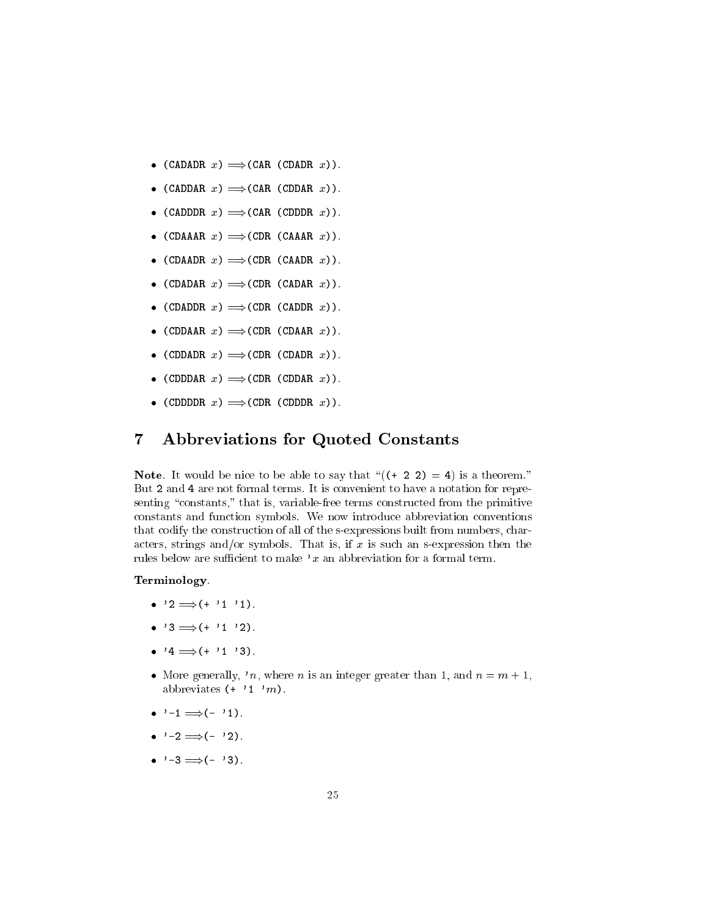- (CADADR  $x) \implies$ (CAR (CDADR  $x$ )).
- (CADDAR  $x) \implies$ (CAR (CDDAR  $x$ )).
- (CADDDR  $x) \implies$ (CAR (CDDDR  $x$ )).
- (CDAAAR  $x) \implies$ (CDR (CAAAR  $x$ )).
- (CDAADR  $x) \implies$ (CDR (CAADR  $x$ )).
- (CDADAR  $x) \implies$ (CDR (CADAR  $x$ )).
- (CDADDR  $x) \implies$ (CDR (CADDR  $x$ )).
- (CDDAAR  $x) \implies$ (CDR (CDAAR  $x$ )).
- (CDDADR  $x) \implies$ (CDR (CDADR  $x$ )).
- (CDDDAR  $x) \implies$ (CDR (CDDAR  $x$ )).
- (CDDDDR  $x) \implies$ (CDR (CDDDR  $x$ )).

#### $\overline{7}$ 7 Abbreviations for Quoted Constants

**Note**. It would be nice to be able to say that " $((+ 2 2) = 4)$  is a theorem." But 2 and 4 are not formal terms. It is convenient to have a notation for representing "constants," that is, variable-free terms constructed from the primitive constants and function symbols. We now introduce abbreviation conventions that codify the construction of all of the s-expressions built from numbers, characters, strings and/or symbols. That is, if  $x$  is such an s-expression then the rules below are sufficient to make 'x an abbreviation for a formal term.

#### Terminology.

- $\bullet$  '2  $\Longrightarrow$  (+ '1 '1).
- $\bullet$  '3  $\Longrightarrow$  (+ '1 '2).
- $\bullet$  '4  $\Longrightarrow$  (+ '1 '3).
- More generally, 'n, where n is an integer greater than 1, and  $n = m + 1$ , abbreviates  $(+ \t'1' m)$ .
- $\bullet$  '-1  $\Longrightarrow$  (- '1).
- $\bullet \quad ' -2 \Longrightarrow (- \quad '2).$
- $\bullet \quad ' -3 \implies (- \quad ' 3).$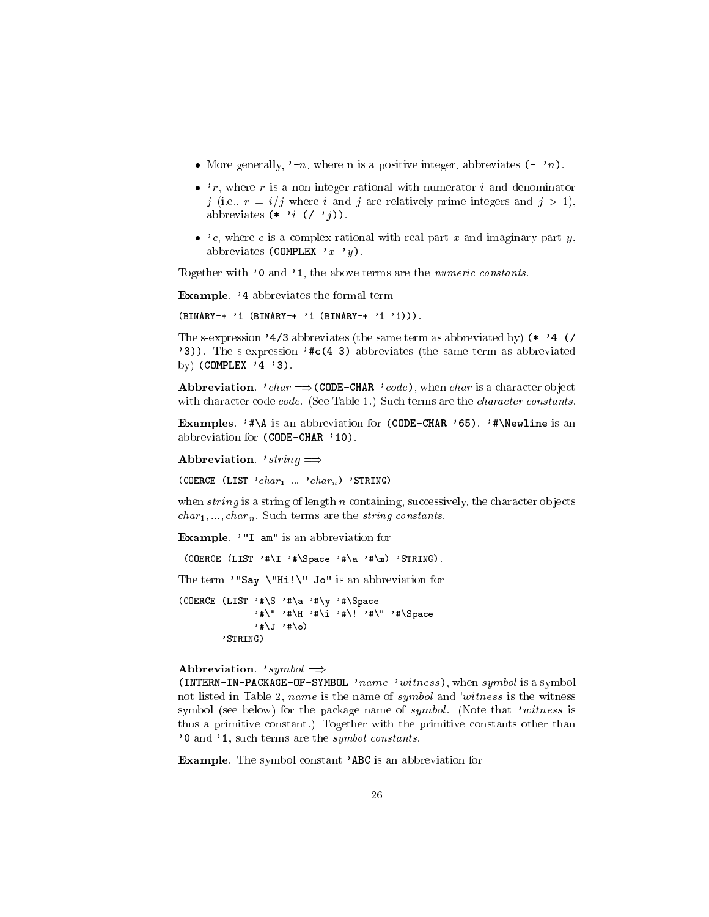- More generally,  $\cdot$ -n, where n is a positive integer, abbreviates  $(-n)$ .
- $\bullet$  'r, where r is a non-integer rational with numerator *i* and denominator j (i.e.,  $r = i/j$  where i and j are relatively-prime integers and  $j > 1$ ), abbreviates  $(* 'i (}/ 'j)).$
- $\bullet$  'c, where c is a complex rational with real part x and imaginary part y, abbreviates (COMPLEX 'x 'y).

Together with '0 and '1, the above terms are the numeric constants.

Example. '4 abbreviates the formal term

(BINARY-+ '1 (BINARY-+ '1 (BINARY-+ '1 '1))).

The s-expression '4/3 abbreviates (the same term as abbreviated by) (\* '4 (/ '3)). The s-expression '#c(4 3) abbreviates (the same term as abbreviated by) (COMPLEX  $'4'3$ ).

**Abbreviation**. 'char  $\Longrightarrow$  (CODE-CHAR 'code), when char is a character object with character code *code.* (See Table 1.) Such terms are the *character constants*.

Examples. '#\A is an abbreviation for (CODE-CHAR '65). '#\Newline is an abbreviation for (CODE-CHAR '10).

Abbreviation. 'string  $\implies$ 

(COERCE (LIST  $'char_1 \ldots'char_n$ ) 'STRING)

when  $string$  is a string of length n containing, successively, the character objects  $char_1, ..., char_n$ . Such terms are the *string constants*.

Example. '"I am" is an abbreviation for

(COERCE  $(LIST' # \I' # \Space = '# \a' # \m) 'STRING)$ .

The term '"Say \"Hi!\" Jo" is an abbreviation for

(COERCE (LIST '#\S '#\a '#\y '#\Space '#\" '#\H '#\i '#\! '#\" '#\Space  $'$ #\J '#\o) 'STRING)

#### Abbreviation. 'symbol  $\implies$

(INTERN-IN-PACKAGE-OF-SYMBOL 'name 'witness), when  $symbol$  is a symbol not listed in Table 2, *name* is the name of *symbol* and 'witness is the witness symbol (see below) for the package name of symbol. (Note that 'witness is thus a primitive constant.) Together with the primitive constants other than '0 and '1, such terms are the symbol constants.

Example. The symbol constant 'ABC is an abbreviation for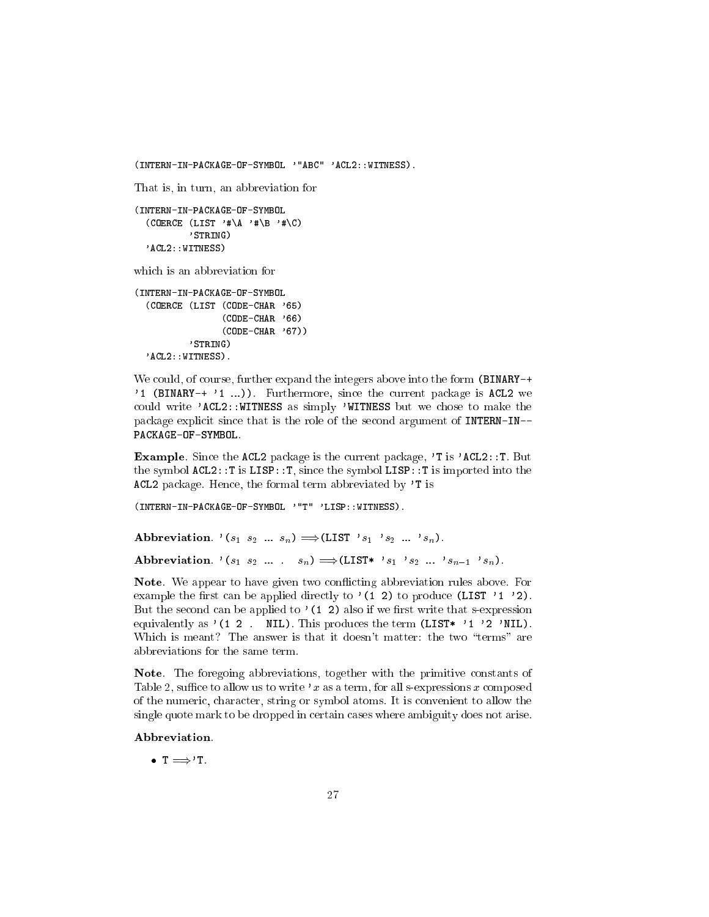```
(INTERN-IN-PACKAGE-OF-SYMBOL '"ABC" 'ACL2::WITNESS).
That is, in turn, an abbreviation for
(INTERN-IN-PACKAGE-OF-SYMBOL
  (COERCE (LIST'# \A'# \B'# \C)'STRING)
  'ACL2::WITNESS)
which is an abbreviation for
(INTERN-IN-PACKAGE-OF-SYMBOL
  (COERCE (LIST (CODE-CHAR '65)
                 (CODE-CHAR '66)
                 (CODE-CHAR '67))
```

```
'STRING)
'ACL2::WITNESS).
```
We could, of course, further expand the integers above into the form (BINARY-+ '1 (BINARY-+ '1 ...)). Furthermore, since the current package is ACL2 we could write 'ACL2::WITNESS as simply 'WITNESS but we chose to make the package explicit since that is the role of the second argument of INTERN-IN-- PACKAGE-OF-SYMBOL.

Example. Since the ACL2 package is the current package, 'T is 'ACL2::T. But the symbol ACL2::T is LISP::T, since the symbol LISP::T is imported into the ACL2 package. Hence, the formal term abbreviated by 'T is

(INTERN-IN-PACKAGE-OF-SYMBOL '"T" 'LISP::WITNESS).

Abbreviation. ' $(s_1 \ s_2 \ ... \ s_n) \Longrightarrow$ (LIST ' $s_1$  ' $s_2 \ ... \ s_n$ ). Abbreviation.  $(s_1 s_2 \ldots s_n) \Longrightarrow (LIST* s_1 s_2 \ldots s_{n-1} s_n).$ 

Note. We appear to have given two con
icting abbreviation rules above. For example the first can be applied directly to  $'(1\ 2)$  to produce (LIST  $'1'2$ ). But the second can be applied to  $(1 2)$  also if we first write that s-expression equivalently as  $'(1\ 2\$ . NIL). This produces the term (LIST\*  $'1'2'$  'NIL). Which is meant? The answer is that it doesn't matter: the two "terms" are abbreviations for the same term.

Note. The foregoing abbreviations, together with the primitive constants of Table 2, suffice to allow us to write 'x as a term, for all s-expressions x composed of the numeric, character, string or symbol atoms. It is convenient to allow the single quote mark to be dropped in certain cases where ambiguity does not arise.

#### Abbreviation.

 $\bullet$  T  $\Longrightarrow$  T.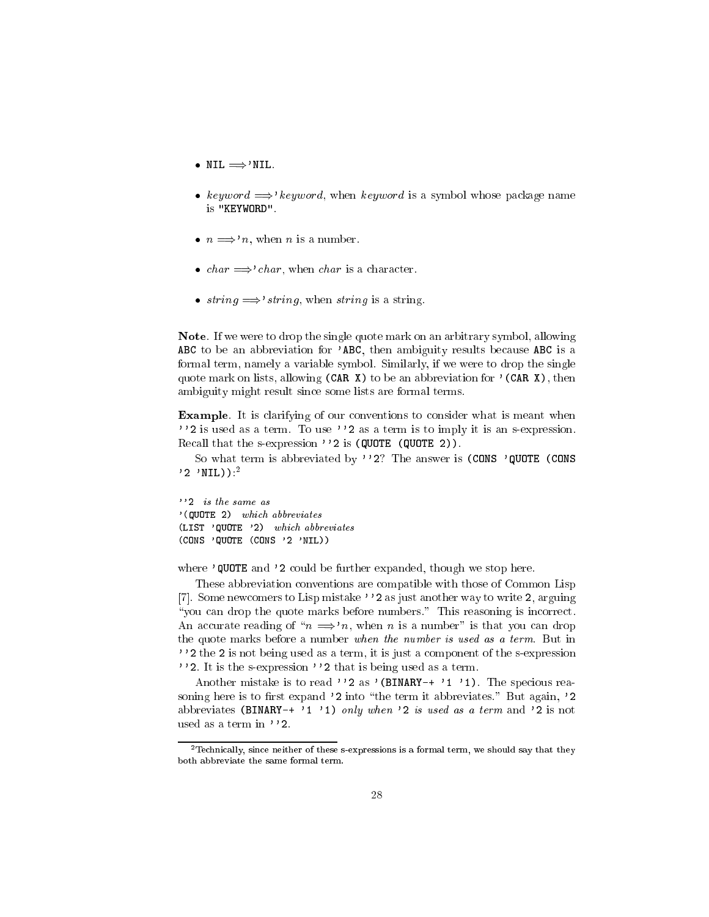- $\bullet$  NIL  $\Longrightarrow$ 'NIL.
- keyword  $\Rightarrow$ 'keyword, when keyword is a symbol whose package name is "KEYWORD".
- $n \implies n$ , when *n* is a number.
- *char*  $\implies$  *char*, when *char* is a character.
- string  $\Rightarrow$ 'string, when string is a string.

Note. If we were to drop the single quote mark on an arbitrary symbol, allowing ABC to be an abbreviation for 'ABC, then ambiguity results because ABC is a formal term, namely a variable symbol. Similarly, if we were to drop the single quote mark on lists, allowing  $(CAR X)$  to be an abbreviation for '(CAR X), then ambiguity might result since some lists are formal terms.

Example. It is clarifying of our conventions to consider what is meant when ''2 is used as a term. To use ''2 as a term is to imply it is an s-expression. Recall that the s-expression ''2 is (QUOTE (QUOTE 2)).

So what term is abbreviated by ''2? The answer is (CONS 'QUOTE (CONS  $'2$  'NIL)): $^2$ 

''2 is the same as '(QUOTE 2) which abbreviates (LIST 'QUOTE '2) which abbreviates (CONS 'QUOTE (CONS '2 'NIL))

where 'QUOTE and '2 could be further expanded, though we stop here.

These abbreviation conventions are compatible with those of Common Lisp [7]. Some newcomers to Lisp mistake ''2 as just another way to write 2, arguing "you can drop the quote marks before numbers." This reasoning is incorrect. An accurate reading of " $n \implies n$ , when n is a number" is that you can drop the quote marks before a number when the number is used as a term. But in ''2 the 2 is not being used as a term, it is just a component of the s-expression ''2. It is the s-expression''2 that is being used as a term.

Another mistake is to read ''2 as '(BINARY-+ '1 '1). The specious reasoning here is to first expand  $'2$  into "the term it abbreviates." But again,  $'2$ abbreviates (BINARY-+ '1 '1) only when '2 is used as a term and '2 is not used as a term in ''2.

<sup>2</sup>Technically, since neither of these s-expressions is a formal term, we should say that they both abbreviate the same formal term.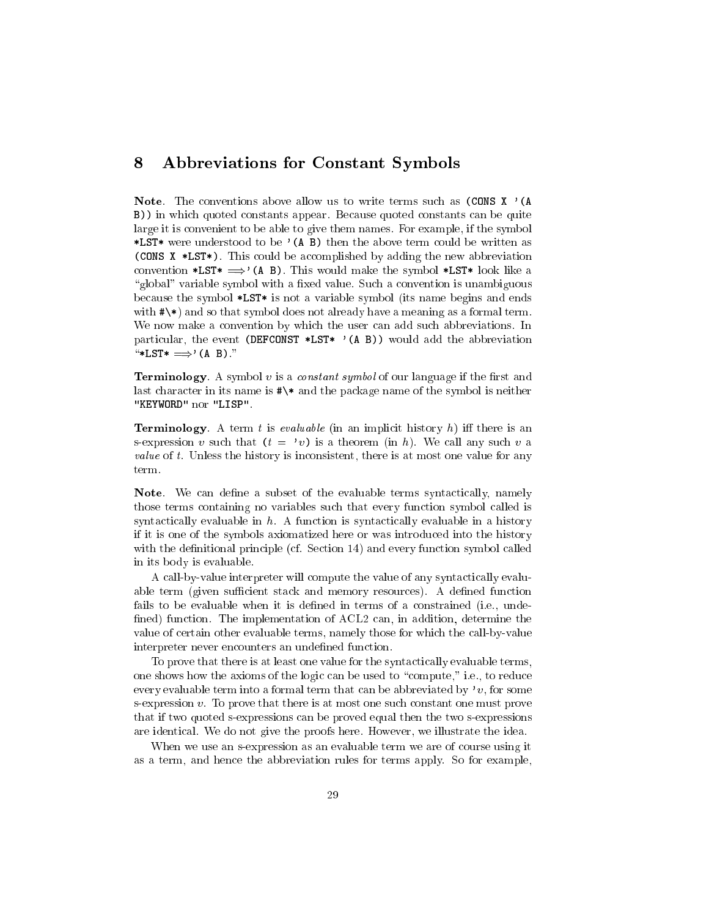#### 8 Abbreviations for Constant Symbols 8

**Note.** The conventions above allow us to write terms such as  $(CONS X)'$  (A B)) in which quoted constants appear. Because quoted constants can be quite large it is convenient to be able to give them names. For example, if the symbol \*LST\* were understood to be  $'$  (A B) then the above term could be written as (CONS X \*LST\*). This could be accomplished by adding the new abbreviation convention \*LST\*  $\Rightarrow$ '(A B). This would make the symbol \*LST\* look like a "global" variable symbol with a fixed value. Such a convention is unambiguous because the symbol \*LST\* is not a variable symbol (its name begins and ends with  $\#\$ ) and so that symbol does not already have a meaning as a formal term. We now make a convention by which the user can add such abbreviations. In particular, the event (DEFCONST \*LST\*  $'(A \ B)$ ) would add the abbreviation  $\text{``*LST*} \Longrightarrow' (A \ B)$ ."

**Terminology**. A symbol  $v$  is a *constant symbol* of our language if the first and last character in its name is #\\* and the package name of the symbol is neither "KEYWORD" nor "LISP".

**Terminology**. A term t is evaluable (in an implicit history h) iff there is an s-expression v such that  $(t = 'v)$  is a theorem (in h). We call any such v a *value* of t. Unless the history is inconsistent, there is at most one value for any term.

Note. We can define a subset of the evaluable terms syntactically, namely those terms containing no variables such that every function symbol called is syntactically evaluable in  $h$ . A function is syntactically evaluable in a history if it is one of the symbols axiomatized here or was introduced into the history with the definitional principle (cf. Section 14) and every function symbol called in its body is evaluable.

A call-by-value interpreter will compute the value of any syntactically evaluable term (given sufficient stack and memory resources). A defined function fails to be evaluable when it is defined in terms of a constrained (i.e., undefined) function. The implementation of ACL2 can, in addition, determine the value of certain other evaluable terms, namely those for which the call-by-value interpreter never encounters an undefined function.

To prove that there is at least one value for the syntactically evaluable terms, one shows how the axioms of the logic can be used to \compute," i.e., to reduce every evaluable term into a formal term that can be abbreviated by 'v, for some s-expression  $v$ . To prove that there is at most one such constant one must prove that if two quoted s-expressions can be proved equal then the two s-expressions are identical. We do not give the proofs here. However, we illustrate the idea.

When we use an s-expression as an evaluable term we are of course using it as a term, and hence the abbreviation rules for terms apply. So for example,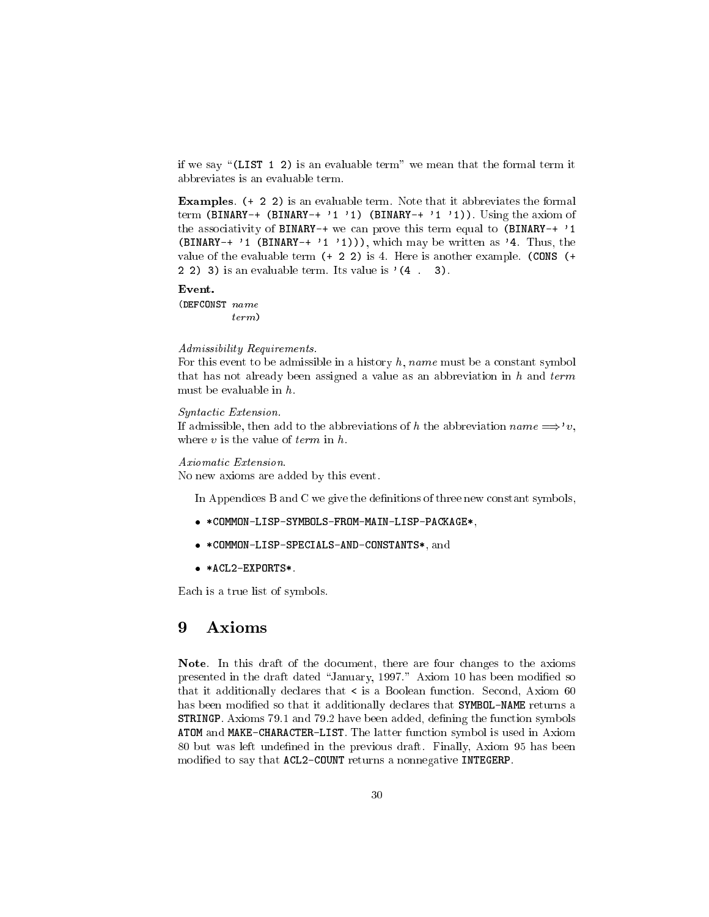if we say " $(LIST 1 2)$  is an evaluable term" we mean that the formal term it abbreviates is an evaluable term.

Examples. (+ 2 2) is an evaluable term. Note that it abbreviates the formal term (BINARY-+ (BINARY-+ '1 '1) (BINARY-+ '1 '1)). Using the axiom of the associativity of BINARY-+ we can prove this term equal to (BINARY-+ '1 (BINARY-+  $'1$  (BINARY-+  $'1$  '1))), which may be written as '4. Thus, the value of the evaluable term (+ 2 2) is 4. Here is another example. (CONS (+ 2 2) 3) is an evaluable term. Its value is  $(4 \cdot 3)$ .

#### Event.

(DEFCONST name term)

#### Admissibility Requirements.

For this event to be admissible in a history  $h$ , name must be a constant symbol that has not already been assigned a value as an abbreviation in  $h$  and  $term$ must be evaluable in h.

#### Syntactic Extension.

If admissible, then add to the abbreviations of h the abbreviation name  $\Longrightarrow$ 'v, where  $v$  is the value of term in  $h$ .

#### Axiomatic Extension.

No new axioms are added by this event.

In Appendices B and C we give the definitions of three new constant symbols,

- \*COMMON-LISP-SYMBOLS-FROM-MAIN-LISP-PACKAGE\*,
- \*COMMON-LISP-SPECIALS-AND-CONSTANTS\*, and
- \*ACL2-EXPORTS\*.

Each is a true list of symbols.

#### 9 Axioms

Note. In this draft of the document, there are four changes to the axioms presented in the draft dated "January, 1997." Axiom 10 has been modified so that it additionally declares that  $\lt$  is a Boolean function. Second, Axiom 60 has been modified so that it additionally declares that SYMBOL-NAME returns a STRINGP. Axioms 79.1 and 79.2 have been added, defining the function symbols ATOM and MAKE-CHARACTER-LIST. The latter function symbol is used in Axiom 80 but was left undened in the previous draft. Finally, Axiom 95 has been modified to say that ACL2-COUNT returns a nonnegative INTEGERP.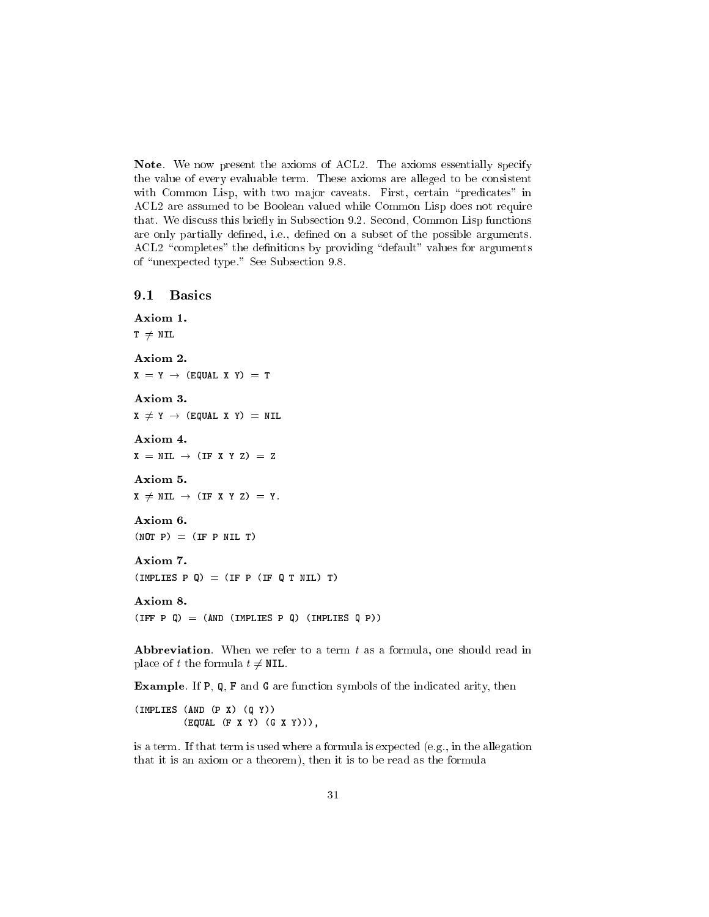Note. We now present the axioms of ACL2. The axioms essentially specify the value of every evaluable term. These axioms are alleged to be consistent with Common Lisp, with two major caveats. First, certain "predicates" in ACL2 are assumed to be Boolean valued while Common Lisp does not require that. We discuss this briefly in Subsection 9.2. Second, Common Lisp functions are only partially defined, i.e., defined on a subset of the possible arguments. ACL2 "completes" the definitions by providing "default" values for arguments of "unexpected type." See Subsection 9.8.

## 9.1 Basics

```
Axiom 1.
T \neq NILAxiom 2.
X = Y \rightarrow (EQUAL X Y) = T
Axiom 3.
X \neq Y \rightarrow (EQUAL X Y) = NIL
Axiom 4.
X = NIL \rightarrow (IF X Y Z) = ZAxiom 5.
X \neq NIL \rightarrow (IF X Y Z) = Y.Axiom 6.
(NOT P) = (IF P NIL T)Axiom 7.
(IMPLIES P Q) = (IF P (IF Q T NIL) T)Axiom 8.
(IFF P Q) = (AND (IMPLIES P Q) (IMPLIES Q P))
```
**Abbreviation**. When we refer to a term  $t$  as a formula, one should read in place of t the formula  $t \neq \texttt{NIL}$ .

Example. If P, Q, F and G are function symbols of the indicated arity, then

(IMPLIES (AND (P X) (Q Y)) (EQUAL (F X Y) (G X Y))),

is a term. If that term is used where a formula is expected (e.g., in the allegation that it is an axiom or a theorem), then it is to be read as the formula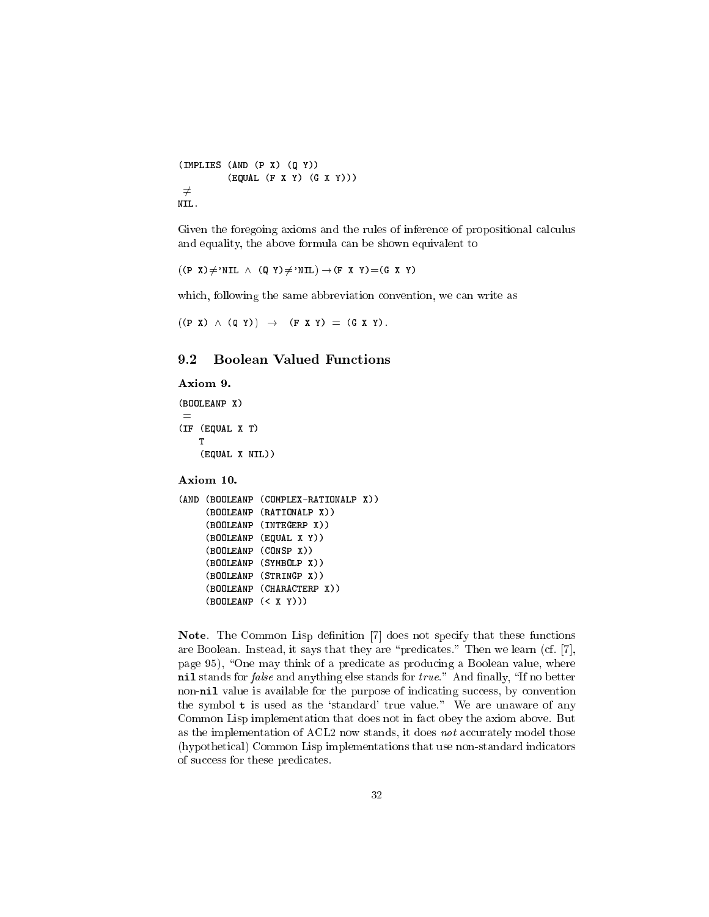```
(IMPLIES (AND (P X) (Q Y))
          (EQUAL (F X Y) (G X Y)))
\neqNIL.
```
Given the foregoing axioms and the rules of inference of propositional calculus and equality, the above formula can be shown equivalent to

 $((P X) \neq 'NIL \wedge (Q Y) \neq 'NIL) \rightarrow (F X Y) = (G X Y)$ 

which, following the same abbreviation convention, we can write as

 $((P X) \wedge (Q Y)) \rightarrow (F X Y) = (G X Y).$ 

#### **Boolean Valued Functions**  $9.2$

## Axiom 9.

(BOOLEANP X) =(IF (EQUAL X T) т (EQUAL X NIL))

Axiom 10.

```
(AND (BOOLEANP (COMPLEX-RATIONALP X))
    (BOOLEANP (RATIONALP X))
    (BOOLEANP (INTEGERP X))
    (BOOLEANP (EQUAL X Y))
    \sqrt{ }(BOOLEANP (SYMBOLP X))
    \sqrt{ }(BOOLEANP (STRINGP X))
    (BOOLEANP (CHARACTERP X))
    (BOOLEANP (< X Y)))
```
Note. The Common Lisp definition [7] does not specify that these functions are Boolean. Instead, it says that they are "predicates." Then we learn (cf. [7], page 95), "One may think of a predicate as producing a Boolean value, where nil stands for  $false$  and anything else stands for  $true$ ." And finally, "If no better non-nil value is available for the purpose of indicating success, by convention the symbol  $t$  is used as the 'standard' true value." We are unaware of any Common Lisp implementation that does not in fact obey the axiom above. But as the implementation of ACL2 now stands, it does not accurately model those (hypothetical) Common Lisp implementations that use non-standard indicators of success for these predicates.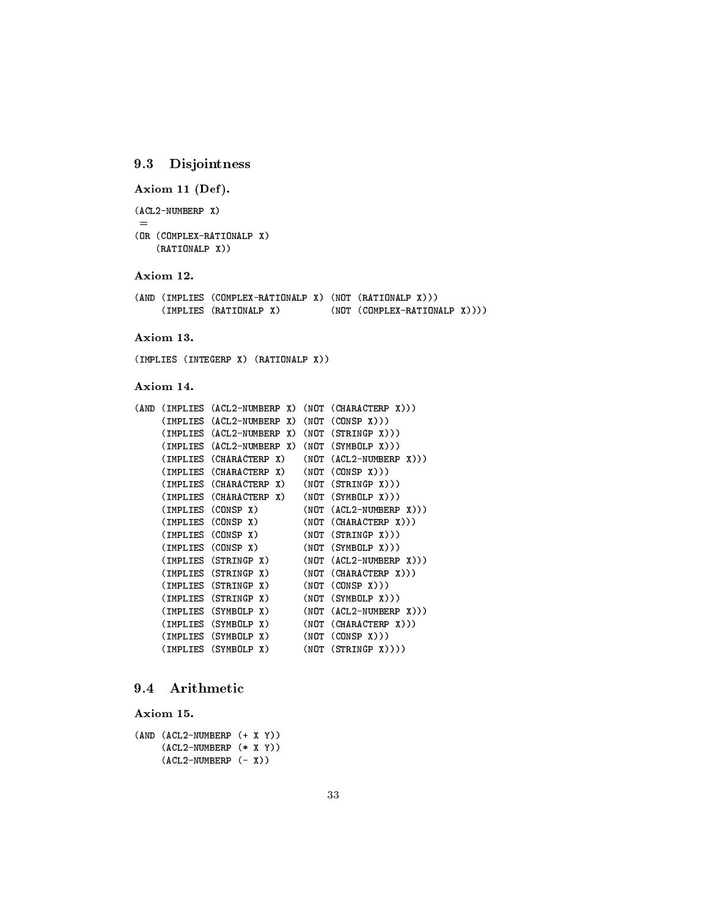# 9.3 Disjointness

Axiom 11 (Def).

(ACL2-NUMBERP X)

```
(OR (COMPLEX-RATIONALP X)
    (RATIONALP X))
```
## Axiom 12.

=

|  | (AND (IMPLIES (COMPLEX-RATIONALP X) (NOT (RATIONALP X))) |  |                                 |  |
|--|----------------------------------------------------------|--|---------------------------------|--|
|  | (IMPLIES (RATIONALP X)                                   |  | $(NOT (COMPLEX-RATION ALP X)))$ |  |

## Axiom 13.

(IMPLIES (INTEGERP X) (RATIONALP X))

## Axiom 14.

| (AND | (IMPLIES | (ACL2-NUMBERP)<br>X) | (NOT | (CHARACTERP X)))      |
|------|----------|----------------------|------|-----------------------|
|      | (IMPLIES | (ACL2-NUMBERP<br>X)  | (NOT | (CONSP<br>X))         |
|      | (IMPLIES | (ACL2-NUMBERP<br>X)  | (NOT | (STRINGP)<br>X))      |
|      | (IMPLIES | (ACL2-NUMBERP<br>X)  | (NOT | (SYMBOLP)<br>X))      |
|      | (IMPLIES | (CHARACTERP<br>X)    | (NOT | (ACL2-NUMBERP<br>X))) |
|      | (IMPLIES | (CHARACTERP<br>X)    | (NOT | (CONSP X))            |
|      | (IMPLIES | X)<br>(CHARACTERP    | (NOT | (STRINGP)<br>X))      |
|      | (IMPLIES | (CHARACTERP<br>X)    | (NOT | (SYMBOLP)<br>X))      |
|      | (IMPLIES | (CONSP<br>X)         | (NOT | (ACL2-NUMBERP<br>X))) |
|      | (IMPLIES | (CONSP)<br>X)        | (NOT | (CHAPTERP X))         |
|      | (IMPLIES | (CONSP<br>X)         | (NOT | (STRINGP)<br>X))      |
|      | (IMPLIES | (CONSP X)            | (NOT | (SYMBOLP<br>X))       |
|      | (IMPLIES | (STRINGP)<br>X)      | (NOT | (ACL2-NUMBERP<br>X))  |
|      | (IMPLIES | (STRINGP)<br>X)      | (NOT | (CHAPTERP X))         |
|      | (IMPLIES | (STRINGP)<br>X)      | (NOT | (CONSP<br>X))         |
|      | (IMPLIES | (STRINGP<br>X)       | (NOT | (SYMBOLP X))          |
|      | (IMPLIES | X)<br>(SYMBOLP)      | (NOT | (ACL2-NUMBERP<br>X))  |
|      | (IMPLIES | (SYMBOLP<br>X)       | (NOT | (CHARACTERP<br>X)))   |
|      | (IMPLIES | X)<br>(SYMBOLP       | (NOT | (CONSP X))            |
|      | (IMPLIES | (SYMBOLP)<br>X)      | (NOT | (STRINGP<br>$X))$ )   |
|      |          |                      |      |                       |

# 9.4 Arithmetic

Axiom 15.

```
(AND (ACL2-NUMBERP (+ X Y))
    (ACL2-NUMBERP (* X Y))
    (ACL2-NUMBERP (- X))
```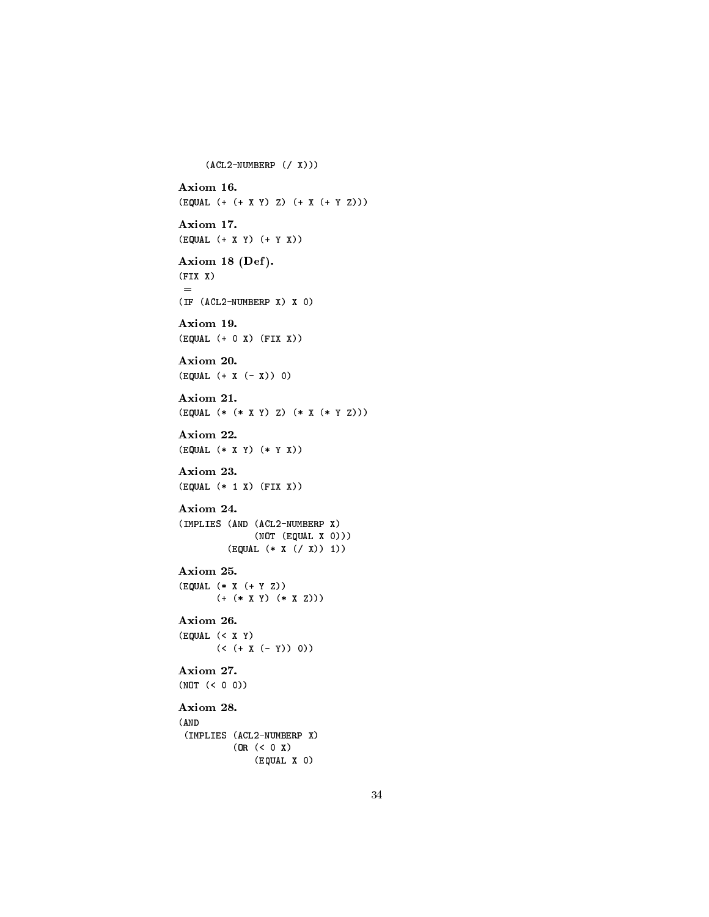```
(ACL2-NUMBERP (/ X)))
Axiom 16.
(EQUAL (+ (+ X Y) Z) (+ X (+ Y Z)))
Axiom 17.
(EQUAL (+ X Y) (+ Y X))
Axiom 18 (Def).
(FIX X)=
(IF (ACL2-NUMBERP X) X 0)
Axiom 19.
(EQUAL (+ 0 X) (FIX X))
Axiom 20.
(EQUAL (+ X (- X)) 0)
Axiom 21.
(EQUAL (* (* X Y) Z) (* X (* Y Z)))
Axiom 22.
(EQUAL (* X Y) (* Y X))
Axiom 23.
(EQUAL (* 1 X) (FIX X))
Axiom 24.
(IMPLIES (AND (ACL2-NUMBERP X)
            (NOT (EQUAL X 0)))
        (EQUAL (* X (/ X)) 1))
Axiom 25.
(EQUAL (* X (+ Y Z))
      (+ (* X Y) (* X Z)))
Axiom 26.
(EQUAL (< X Y)
      (< + X (- Y)) 0)Axiom 27.
(NOT (< 0 0))
Axiom 28.
(AND
(IMPLIES (ACL2-NUMBERP X)
         (OR (< 0 X)
             (EQUAL X 0)
```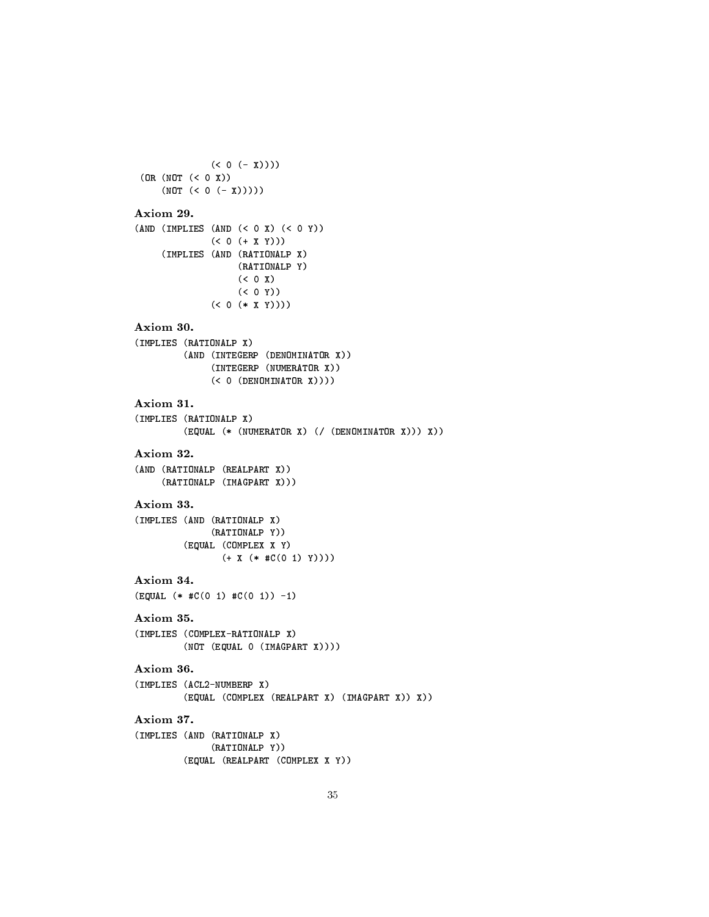```
(< 0 (- X))))(OR (NOT (< 0 X))
     (NOT (< 0 (- X)))))
Axiom 29.
(AND (IMPLIES (AND (< 0 X) (< 0 Y))
             (< 0 (+ X Y)))(IMPLIES (AND (RATIONALP X)
                   (RATIONALP Y)
                   (500)(50 Y)(< 0 (* X Y))))
Axiom 30.
(IMPLIES (RATIONALP X)
         (AND (INTEGERP (DENOMINATOR X))
             (INTEGERP (NUMERATOR X))
              (< 0 (DENOMINATOR X))))
(IMPLIES (RATIONALP X)
         (EQUAL (* (NUMERATOR X) (/ (DENOMINATOR X))) X))
Axiom 32.
(AND (RATIONALP (REALPART X))
     (RATIONALP (IMAGPART X)))
Axiom 33.
(IMPLIES (AND (RATIONALP X)
             (RATIONALP Y))
         (EQUAL (COMPLEX X Y)
              (+ X (* #C(0 1) Y))))
Axiom 34.
(EQUAL (* #C(0 1) #C(0 1)) -1)Axiom 35.
(IMPLIES (COMPLEX-RATIONALP X)
         (NOT (EQUAL 0 (IMAGPART X))))
Axiom 36.
(IMPLIES (ACL2-NUMBERP X)
         (EQUAL (COMPLEX (REALPART X) (IMAGPART X)) X))
Axiom 37.
(IMPLIES (AND (RATIONALP X)
             (RATIONALP Y))
         (EQUAL (REALPART (COMPLEX X Y))
```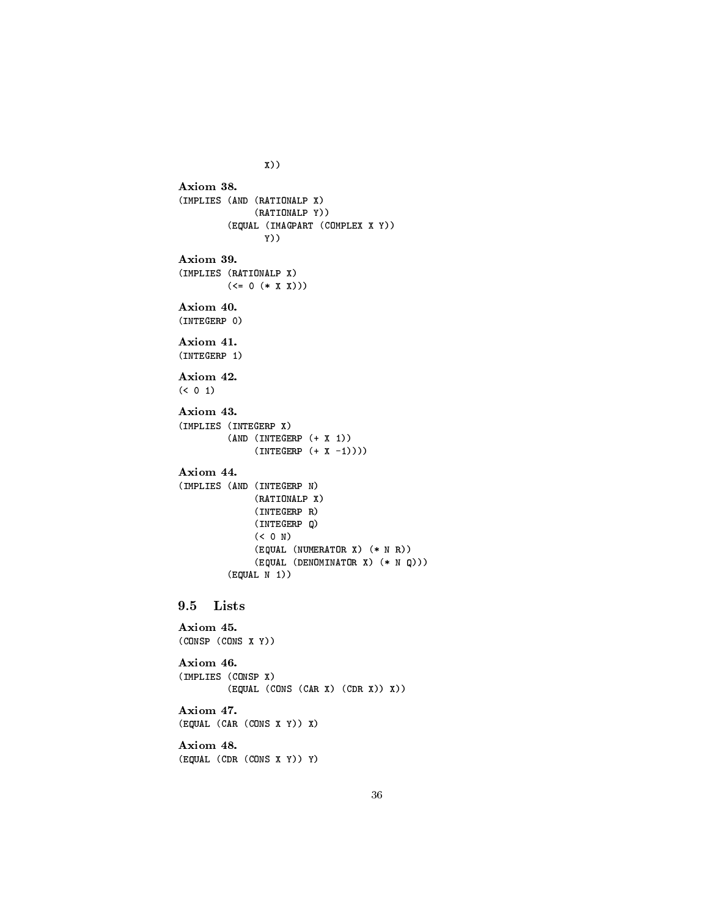```
Axiom 38.
(IMPLIES (AND (RATIONALP X)
              (RATIONALP Y))
        (EQUAL (IMAGPART (COMPLEX X Y))
               Y))
Axiom 39.
(IMPLIES (RATIONALP X)
        (\leq = 0 (* X X))Axiom 40.
(INTEGERP 0)
Axiom 41.
(INTEGERP 1)
Axiom 42.
( ( 0 1)
Axiom 43.
(IMPLIES (INTEGERP X)
        (AND (INTEGERP (+ X 1))
             (INTEGERP (+ X -1))))Axiom 44.
(IMPLIES (AND (INTEGERP N)
              (RATIONALP X)
              (INTEGERP R)
              (INTEGERP Q)
              (< 0 N)
              (EQUAL (NUMERATOR X) (* N R))
              (EQUAL (DENOMINATOR X) (* N Q)))
        (EQUAL N 1))
9.5 Lists
Axiom 45.
(CONSP (CONS X Y))
Axiom 46.
(IMPLIES (CONSP X)
        (EQUAL (CONS (CAR X) (CDR X)) X))
Axiom 47.
(EQUAL (CAR (CONS X Y)) X)
Axiom 48.
(EQUAL (CDR (CONS X Y)) Y)
```
X))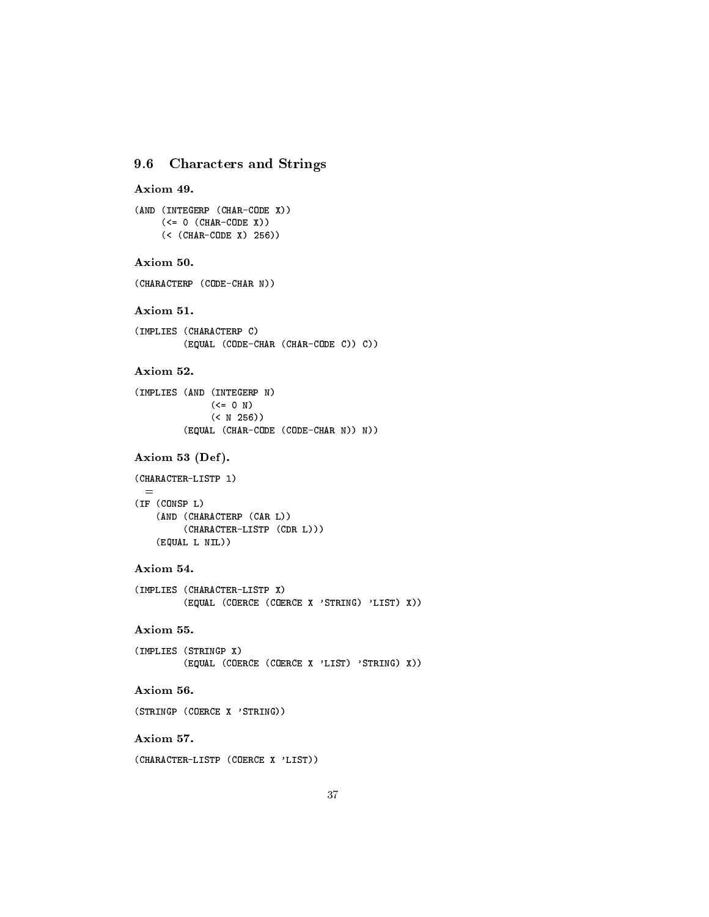# 9.6 Characters and Strings

```
Axiom 49.
```

```
(AND (INTEGERP (CHAR-CODE X))
     (\leq 0 (CHAR-CODE X))
     (< (CHAR-CODE X) 256))
```
# Axiom 50.

(CHARACTERP (CODE-CHAR N))

### Axiom 51.

```
(IMPLIES (CHARACTERP C)
         (EQUAL (CODE-CHAR (CHAR-CODE C)) C))
```
# Axiom 52.

```
(IMPLIES (AND (INTEGERP N)
            (<= 0 N)(< N 256))
         (EQUAL (CHAR-CODE (CODE-CHAR N)) N))
```
# Axiom 53 (Def).

```
(CHARACTER-LISTP l)
  =
(IF (CONSP L)
    (AND (CHARACTERP (CAR L))
         (CHARACTER-LISTP (CDR L)))
    (EQUAL L NIL))
```
# Axiom 54.

```
(IMPLIES (CHARACTER-LISTP X)
        (EQUAL (COERCE (COERCE X 'STRING) 'LIST) X))
```
# Axiom 55.

```
(IMPLIES (STRINGP X)
         (EQUAL (COERCE (COERCE X 'LIST) 'STRING) X))
```
# Axiom 56.

```
(STRINGP (COERCE X 'STRING))
```
# Axiom 57.

(CHARACTER-LISTP (COERCE X 'LIST))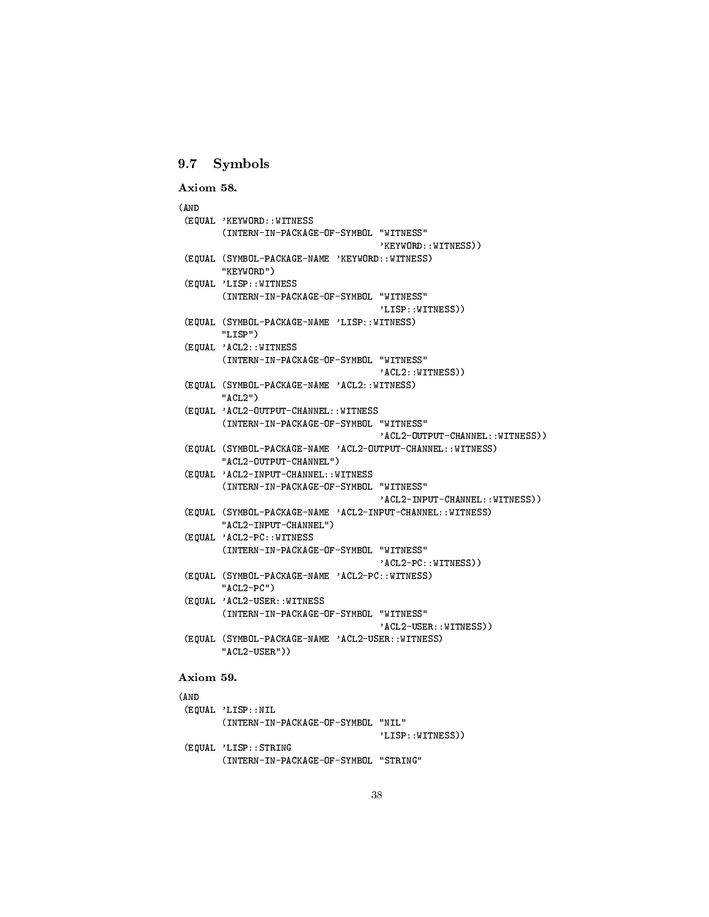# 9.7 Symbols

```
Axiom 58.
(AND
(AND
 (EQUAL 'KEYWORD::WITNESS
        (INTERN-IN-PACKAGE-OF-SYMBOL "WITNESS"
        (INTERN-IN-PACKAGE-OF-SYMBOL "WITNESS"
                                      'KEYWORD::WITNESS))
 (EQUAL (SYMBOL-PACKAGE-NAME 'KEYWORD::WITNESS)
        "KEYWORD")
 (EQUAL 'LISP::WITNESS
        (INTERN-IN-PACKAGE-OF-SYMBOL "WITNESS"
                                      'LISP::WITNESS))
 (EQUAL (SYMBOL-PACKAGE-NAME 'LISP::WITNESS)
        "LISP")
        \blacksquare(EQUAL 'ACL2::WITNESS
        (INTERN-IN-PACKAGE-OF-SYMBOL "WITNESS"
                                      'ACL2::WITNESS))
 (EQUAL (SYMBOL-PACKAGE-NAME 'ACL2::WITNESS)
        "ACL2"\sim ACL2" \sim ACL2"
 (EQUAL 'ACL2-OUTPUT-CHANNEL::WITNESS
        (INTERN-IN-PACKAGE-OF-SYMBOL "WITNESS"
                                      'ACL2-OUTPUT-CHANNEL::WITNESS))
 (EQUAL (SYMBOL-PACKAGE-NAME 'ACL2-OUTPUT-CHANNEL::WITNESS)
        "ACL2-OUTPUT-CHANNEL")
 (EQUAL 'ACL2-INPUT-CHANNEL::WITNESS
        (INTERN-IN-PACKAGE-OF-SYMBOL "WITNESS"
        (INTERN-IN-PACKAGE-OF-SYMBOL "WITNESS"
                                      'ACL2-INPUT-CHANNEL::WITNESS))
 (EQUAL (SYMBOL-PACKAGE-NAME 'ACL2-INPUT-CHANNEL::WITNESS)
        "ACL2-INPUT-CHANNEL")
 (EQUAL 'ACL2-PC::WITNESS
        (INTERN-IN-PACKAGE-OF-SYMBOL "WITNESS"
                                     'ACL2-PC::WITNESS))
 (EQUAL (SYMBOL-PACKAGE-NAME 'ACL2-PC::WITNESS)
        "ACL2-PC")
 (EQUAL 'ACL2-USER::WITNESS
        (INTERN-IN-PACKAGE-OF-SYMBOL "WITNESS"
                                      'ACL2-USER::WITNESS))
 (EQUAL (SYMBOL-PACKAGE-NAME 'ACL2-USER::WITNESS)
        "ACL2-USER"))
Axiom 59.
```

```
(AND
(EQUAL 'LISP::NIL
       (INTERN-IN-PACKAGE-OF-SYMBOL "NIL"
                                    'LISP::WITNESS))
(EQUAL 'LISP::STRING
       (INTERN-IN-PACKAGE-OF-SYMBOL "STRING"
```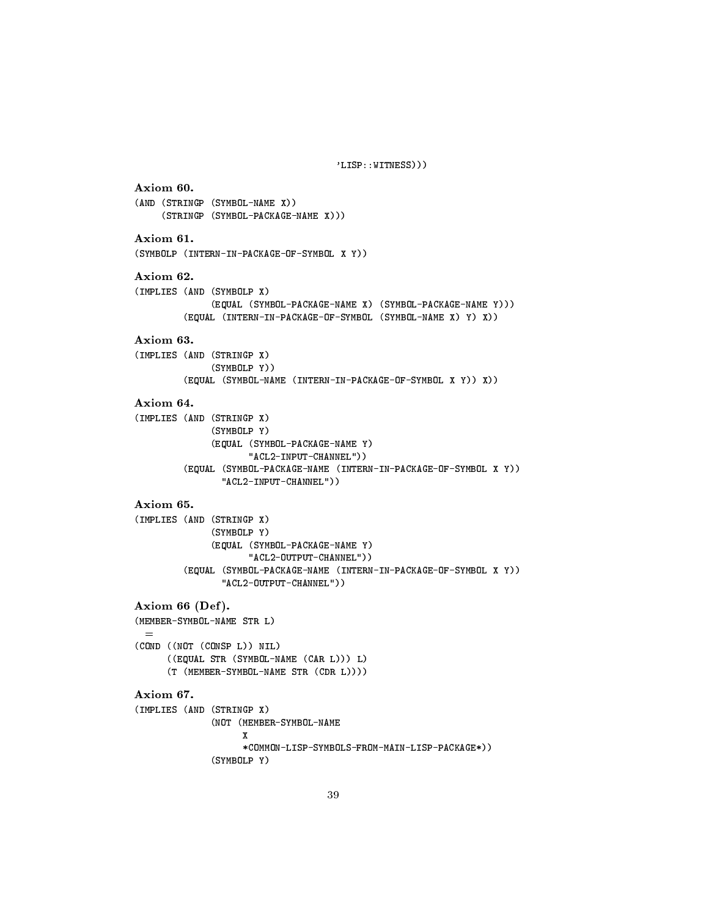'LISP::WITNESS)))

```
Axiom 60.
(AND (STRINGP (SYMBOL-NAME X))
     (STRINGP (SYMBOL-PACKAGE-NAME X)))
Axiom 61.
(SYMBOLP (INTERN-IN-PACKAGE-OF-SYMBOL X Y))
Axiom 62.
(IMPLIES (AND (SYMBOLP X)
              (EQUAL (SYMBOL-PACKAGE-NAME X) (SYMBOL-PACKAGE-NAME Y)))
         (EQUAL (INTERN-IN-PACKAGE-OF-SYMBOL (SYMBOL-NAME X) Y) X))
Axiom 63.
(IMPLIES (AND (STRINGP X)
              (SYMBOLP Y))
         (EQUAL (SYMBOL-NAME (INTERN-IN-PACKAGE-OF-SYMBOL X Y)) X))
Axiom 64.
(IMPLIES (AND (STRINGP X)
              (SYMBOLP Y)
              (EQUAL (SYMBOL-PACKAGE-NAME Y)
                     "ACL2-INPUT-CHANNEL"))
         (EQUAL (SYMBOL-PACKAGE-NAME (INTERN-IN-PACKAGE-OF-SYMBOL X Y))
                "ACL2-INPUT-CHANNEL"))
Axiom 65.
(IMPLIES (AND (STRINGP X)
              (SYMBOLP Y)
              \sim \sim \sim \sim(EQUAL (SYMBOL-PACKAGE-NAME Y)
                     "ACL2-OUTPUT-CHANNEL"))
         (EQUAL (SYMBOL-PACKAGE-NAME (INTERN-IN-PACKAGE-OF-SYMBOL X Y))
                "ACL2-OUTPUT-CHANNEL"))
Axiom 66 (Def).
(MEMBER-SYMBOL-NAME STR L)
  =(COND ((NOT (CONSP L)) NIL)
      ((EQUAL STR (SYMBOL-NAME (CAR L))) L)
      (T (MEMBER-SYMBOL-NAME STR (CDR L))))
Axiom 67.
(IMPLIES (AND (STRINGP X)
\sqrt{2} (in \sqrt{2} is the string \frac{1}{2}(NOT (MEMBER-SYMBOL-NAME
                    X
                    *COMMON-LISP-SYMBOLS-FROM-MAIN-LISP-PACKAGE*))
              (SYMBOLP Y)
```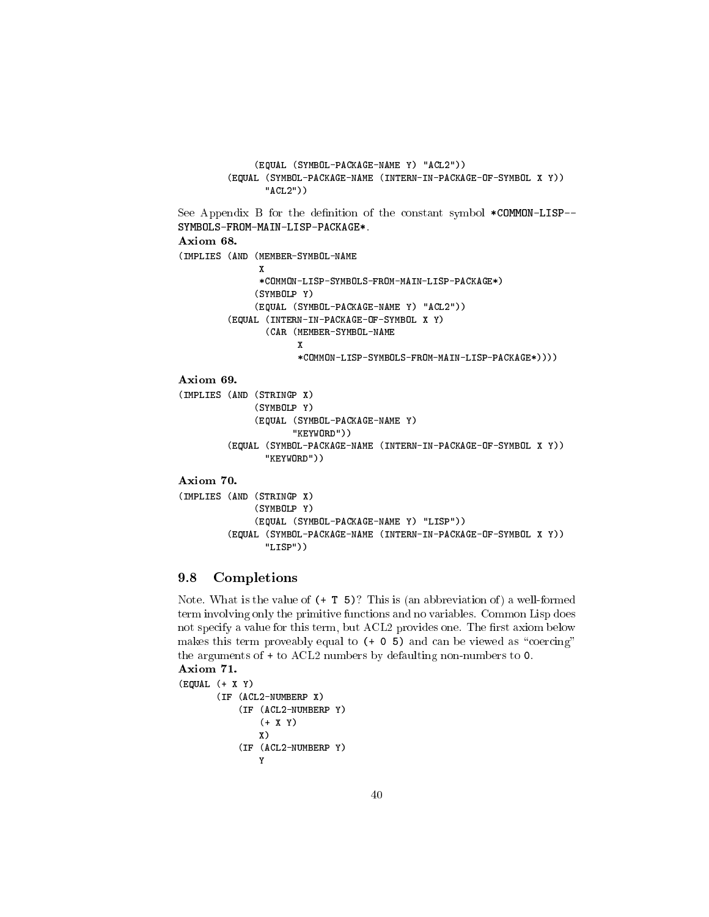```
(EQUAL (SYMBOL-PACKAGE-NAME Y) "ACL2"))
         (EQUAL (SYMBOL-PACKAGE-NAME (INTERN-IN-PACKAGE-OF-SYMBOL X Y))
                "ACL2"))
See Appendix B for the definition of the constant symbol *COMMON-LISP--
SYMBOLS-FROM-MAIN-LISP-PACKAGE*.
Axiom 68.
(IMPLIES (AND (MEMBER-SYMBOL-NAME
               X
               *COMMON-LISP-SYMBOLS-FROM-MAIN-LISP-PACKAGE*)
              (SYMBOLP Y)
              (EQUAL (SYMBOL-PACKAGE-NAME Y) "ACL2"))
         (EQUAL (INTERN-IN-PACKAGE-OF-SYMBOL X Y)
                (CAR (MEMBER-SYMBOL-NAME
                      X
                      *COMMON-LISP-SYMBOLS-FROM-MAIN-LISP-PACKAGE*))))
(IMPLIES (AND (STRINGP X)
              (SYMBOLP Y)
              (EQUAL (SYMBOL-PACKAGE-NAME Y)
                     "KEYWORD"))
         (EQUAL (SYMBOL-PACKAGE-NAME (INTERN-IN-PACKAGE-OF-SYMBOL X Y))
                "KEYWORD"))
Axiom 70.
(IMPLIES (AND (STRINGP X)
              (SYMBOLP Y)
              (EQUAL (SYMBOL-PACKAGE-NAME Y) "LISP"))
         (EQUAL (SYMBOL-PACKAGE-NAME (INTERN-IN-PACKAGE-OF-SYMBOL X Y))
                "LISP"))
```
# 9.8 Completions

Note. What is the value of  $(+ T 5)$ ? This is (an abbreviation of) a well-formed term involving only the primitive functions and no variables. Common Lisp does not specify a value for this term, but ACL2 provides one. The first axiom below makes this term proveably equal to  $(+)$  0 5) and can be viewed as "coercing" the arguments of + to ACL2 numbers by defaulting non-numbers to 0. Axiom 71.

```
(EQUAL (+ X Y)
       (IF (ACL2-NUMBERP X)
           (IF (ACL2-NUMBERP Y)
               (+ X Y)
               X)
           (IF (ACL2-NUMBERP Y)
               Y
```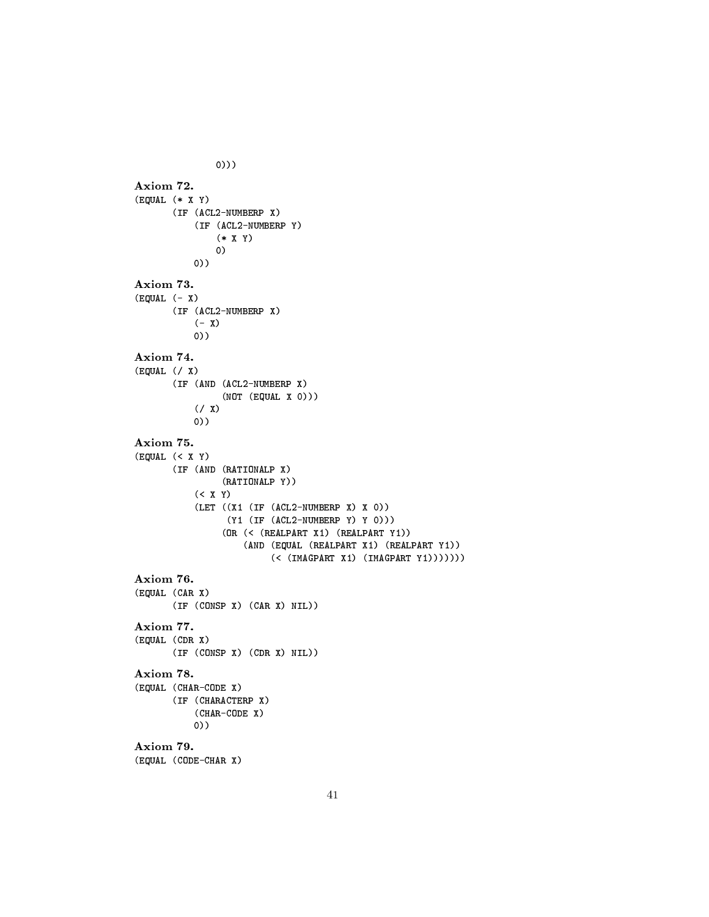0))) Axiom 72. (EQUAL (\* X Y) (IF (ACL2-NUMBERP X) (IF (ACL2-NUMBERP Y) (\* X Y) 0) 0)) Axiom 73. (EQUAL (- X) (IF (ACL2-NUMBERP X)  $(- X)$ 0)) Axiom 74. (EQUAL (/ X) (IF (AND (ACL2-NUMBERP X) (NOT (EQUAL X 0)))  $(7 X)$ 0)) Axiom 75. (EQUAL (< X Y) (IF (AND (RATIONALP X) (RATIONALP Y)) (< X Y) (LET ((X1 (IF (ACL2-NUMBERP X) X 0)) (Y1 (IF (ACL2-NUMBERP Y) Y 0))) (OR (< (REALPART X1) (REALPART Y1)) (AND (EQUAL (REALPART X1) (REALPART Y1)) (< (IMAGPART X1) (IMAGPART Y1))))))) Axiom 76. (EQUAL (CAR X) (IF (CONSP X) (CAR X) NIL)) (EQUAL (CDR X) (IF (CONSP X) (CDR X) NIL)) Axiom 78. (EQUAL (CHAR-CODE X) (IF (CHARACTERP X) (CHAR-CODE X) 0)) Axiom 79. (EQUAL (CODE-CHAR X)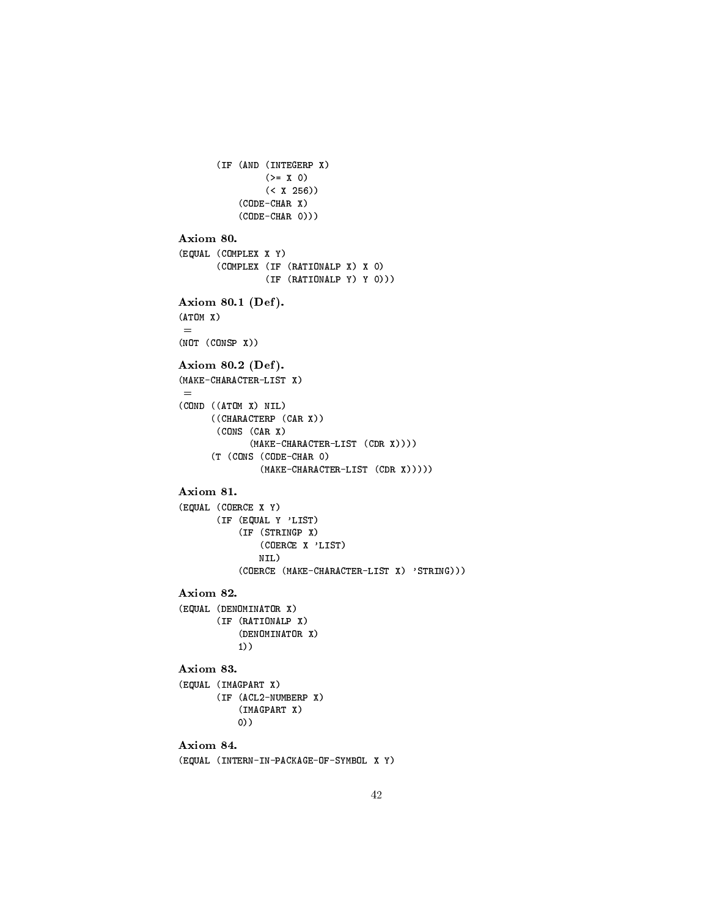```
(IF (AND (INTEGERP X)
                (>= X 0)(< X 256))
           (CODE-CHAR X)
           (CODE-CHAR 0)))
Axiom 80.
(EQUAL (COMPLEX X Y)
       (COMPLEX (IF (RATIONALP X) X 0)
                (IF (RATIONALP Y) Y 0)))
Axiom 80.1 (Def ).
(ATOM X)
 =
(NOT (CONSP X))
Axiom 80.2 (Def ).
(MAKE-CHARACTER-LIST X)
 =
(COND ((ATOM X) NIL)
      ((CHARACTERP (CAR X))
      (CONS (CAR X)
             (MAKE-CHARACTER-LIST (CDR X))))
      (T (CONS (CODE-CHAR 0)
               (MAKE-CHARACTER-LIST (CDR X)))))
Axiom 81.
(EQUAL (COERCE X Y)
       (IF (EQUAL Y 'LIST)
           (IF (STRINGP X)
               (COERCE X 'LIST)
              NIL)
           (COERCE (MAKE-CHARACTER-LIST X) 'STRING)))
Axiom 82.
(EQUAL (DENOMINATOR X)
       (IF (RATIONALP X)
           (DENOMINATOR X)
           1))
Axiom 83.
(EQUAL (IMAGPART X)
       (IF (ACL2-NUMBERP X)
           (IMAGPART X)
          0))
           0))
Axiom 84.
(EQUAL (INTERN-IN-PACKAGE-OF-SYMBOL X Y)
```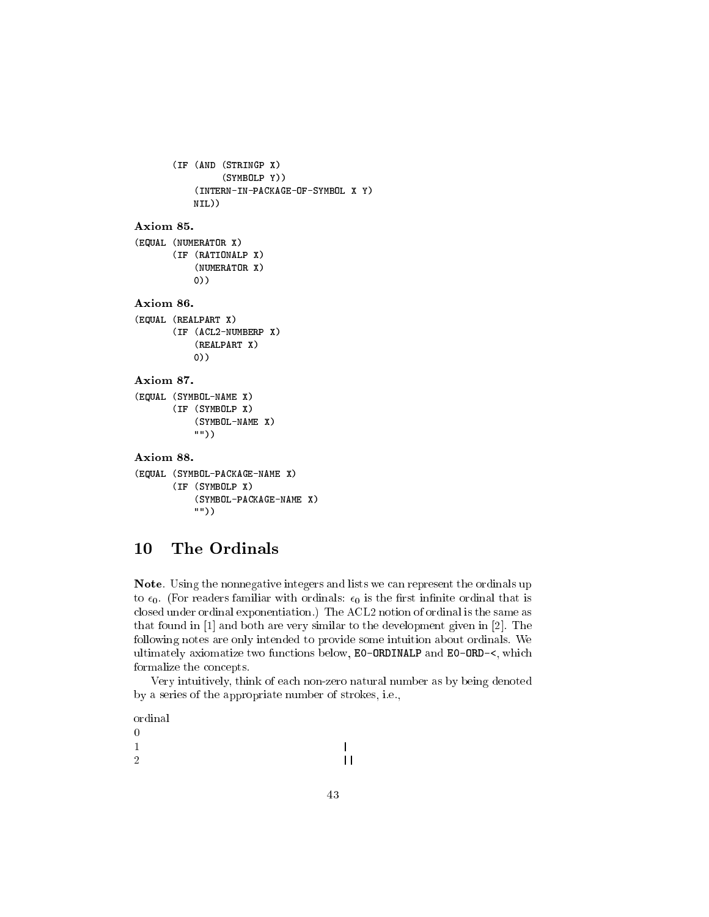```
(IF (AND (STRINGP X)
                 (SYMBOLP Y))
           (INTERN-IN-PACKAGE-OF-SYMBOL X Y)
           NIL))
Axiom 85.
(EQUAL (NUMERATOR X)
       (IF (RATIONALP X)
           (NUMERATOR X)
           0))
(EQUAL (REALPART X)
       (IF (ACL2-NUMBERP X)
           (REALPART X)
           0))
Axiom 87.
(EQUAL (SYMBOL-NAME X)
       (IF (SYMBOLP X)
            (SYMBOL-NAME X)
           ""))
Axiom 88.
(EQUAL (SYMBOL-PACKAGE-NAME X)
       (IF (SYMBOLP X)
            (SYMBOL-PACKAGE-NAME X)
           ""))
```
#### 10 The Ordinals

Note. Using the nonnegative integers and lists we can represent the ordinals up to  $\epsilon_0$ . (For readers familiar with ordinals:  $\epsilon_0$  is the first infinite ordinal that is closed under ordinal exponentiation.) The ACL2 notion of ordinal is the same as that found in [1] and both are very similar to the development given in [2]. The following notes are only intended to provide some intuition about ordinals. We ultimately axiomatize two functions below, E0-ORDINALP and E0-ORD-<, which formalize the concepts.

Very intuitively, think of each non-zero natural number as by being denoted by a series of the appropriate number of strokes, i.e.,

ordinal

0 1 | 2  $||$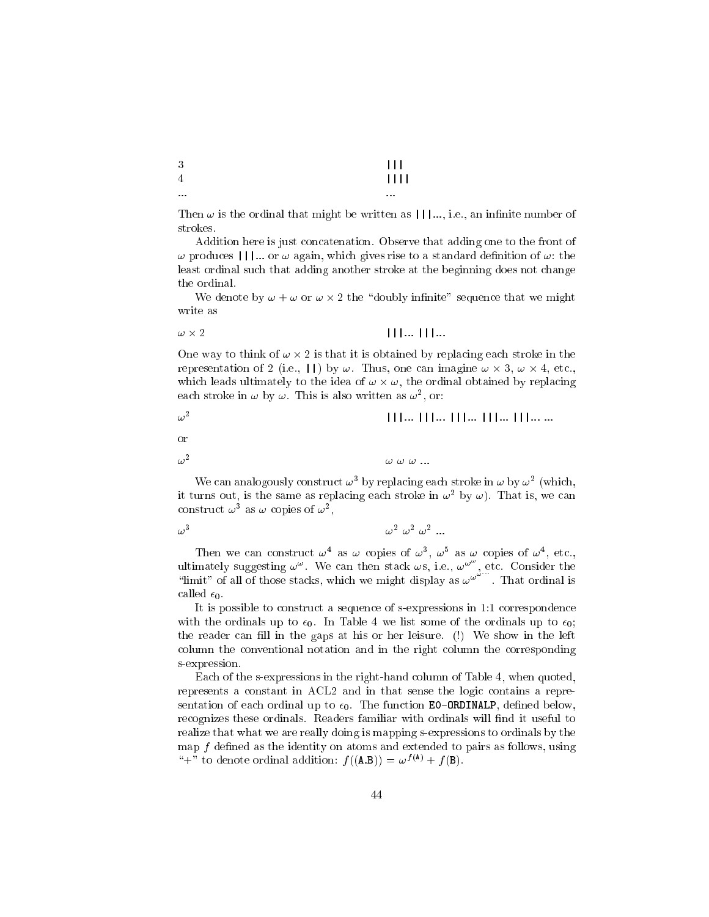| $\cdots$ | $\cdots$ |
|----------|----------|
| 4        | 1111     |
| 3        | $111 -$  |

Then  $\omega$  is the ordinal that might be written as  $|| \cdot ||...$ , i.e., an infinite number of strokes.

Addition here is just concatenation. Observe that adding one to the front of  $\omega$  produces  $||\cdot||$ ... or  $\omega$  again, which gives rise to a standard definition of  $\omega$ : the least ordinal such that adding another stroke at the beginning does not change the ordinal.

We denote by  $\mathcal{A}$  the sequence that we might sequence that we might sequence that we might sequence that we might sequence that we might sequence that we might sequence that we might sequence that we might sequence th write as

$$
\omega \times 2 \qquad \qquad \blacksquare
$$

One way to think of ! - 2 is that it is obtained by replacing each stroke in the representation of 2 (i.e.,  $||$ ) by  $\omega$ . Thus, one can imagine  $\omega \times 3$ ,  $\omega \times 4$ , etc., which is the stress under a second of the ordinal obtained by replacing to the ordinal obtained by replacing t each stroke in  $\omega$  by  $\omega$ . This is also written as  $\omega$ , or:

 $\omega^2$ |||::: |||::: |||::: |||::: |||::: :::

or

 $\omega^2$  $\omega \omega \omega$  ...

we can analogously construct  $\omega$  - by replacing each stroke in  $\omega$  by  $\omega$  - (which, it turns out, is the same as replacing each stroke in  $\omega$  -by  $\omega$ ). That is, we can construct  $\omega$  as  $\omega$  copies of  $\omega$  ,

 $\omega^3$  $\omega$ -  $\omega$ - ...

Then we can construct  $\omega$  as  $\omega$  copies of  $\omega$ ,  $\omega$  as  $\omega$  copies of  $\omega$ , etc., ultimately suggesting  $\omega^{\omega}$ . We can then stack  $\omega s$ , i.e.,  $\omega^{\omega}$ , etc. Consider the "limit" of all of those stacks, which we might display as  $\omega^{\omega^{\omega}}$ ". That ordinal is called  $\epsilon_0$ .

It is possible to construct a sequence of s-expressions in 1:1 correspondence with the ordinals up to  $\epsilon_0$ . In Table 4 we list some of the ordinals up to  $\epsilon_0$ ; the reader can fill in the gaps at his or her leisure. (!) We show in the left column the conventional notation and in the right column the corresponding s-expression.

Each of the s-expressions in the right-hand column of Table 4, when quoted, represents a constant in ACL2 and in that sense the logic contains a representation of each ordinal up to  $\epsilon_0$ . The function **EO-ORDINALP**, defined below, recognizes these ordinals. Readers familiar with ordinals will find it useful to realize that what we are really doing is mapping s-expressions to ordinals by the map  $f$  defined as the identity on atoms and extended to pairs as follows, using "+" to denote ordinal addition:  $f ((\mathbf{A}.\mathbf{B})) = \omega^{f(\mathbf{A})} + f (\mathbf{B}).$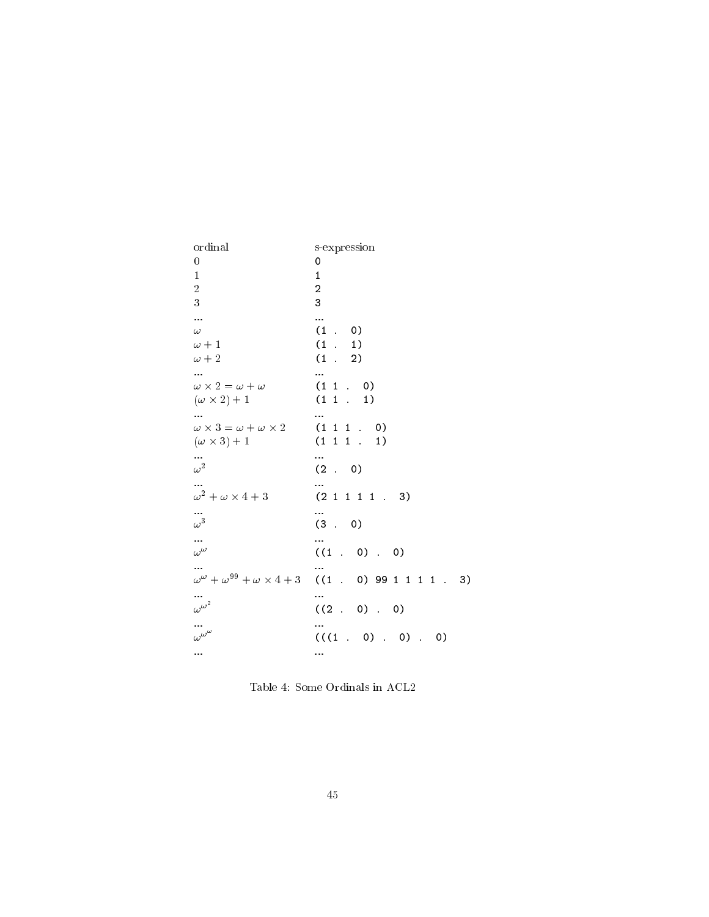| ordinal                                      | s-expression                                                                   |
|----------------------------------------------|--------------------------------------------------------------------------------|
| $\boldsymbol{0}$                             | 0                                                                              |
| 1                                            | 1                                                                              |
| $\sqrt{2}$                                   | $\overline{c}$                                                                 |
| 3                                            | 3                                                                              |
| $\ddotsc$                                    |                                                                                |
| $\omega$                                     | (1.0)                                                                          |
| $\omega+1$                                   | $(1 \t1)$                                                                      |
| $\omega+2$                                   | $(1 \t 2)$                                                                     |
| $\cdots$                                     |                                                                                |
| $\omega \times 2 = \omega + \omega$          | $(1\;1\;.\;0)$                                                                 |
| $(\omega \times 2) + 1$                      | $(1\;1\;.\;1)$                                                                 |
|                                              | $\cdots$                                                                       |
| $\omega \times 3 = \omega + \omega \times 2$ | $(1\;1\;1\;.\;0)$                                                              |
| $(\omega \times 3) + 1$                      | $(1\;1\;1\;1)$                                                                 |
|                                              |                                                                                |
| $\omega^2$                                   | (2 . 0)                                                                        |
|                                              |                                                                                |
| $\omega^2 + \omega \times 4 + 3$             | (2 1 1 1 1 . 3)                                                                |
| $\omega^3$                                   | (3.0)                                                                          |
|                                              |                                                                                |
| $\frac{1}{\omega^{\omega}}$                  | $((1 \t0) \t0)$                                                                |
|                                              |                                                                                |
|                                              | $\omega^{\omega} + \omega^{99} + \omega \times 4 + 3$ ((1 . 0) 99 1 1 1 1 . 3) |
|                                              |                                                                                |
| $\omega^{\omega^2}$                          |                                                                                |
|                                              | $((2 \cdot 0) \cdot 0)$                                                        |
| $\cdots$<br>$\omega^{\omega^{\omega}}$       |                                                                                |
|                                              | $(((1 \ 0) \ 0).$<br>$\circ$                                                   |
|                                              |                                                                                |

Table 4: Some Ordinals in ACL2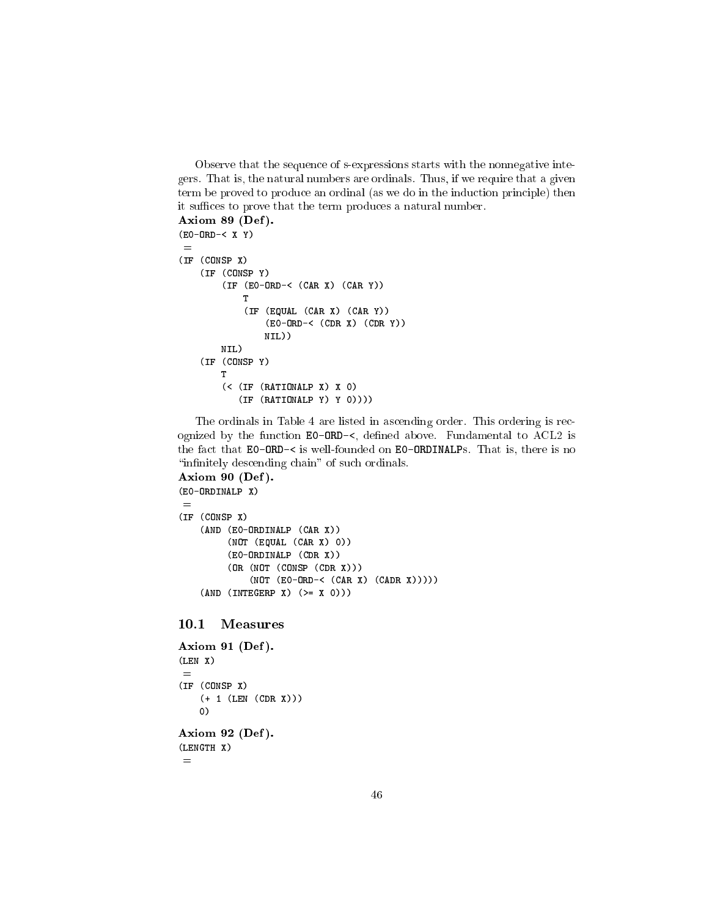Observe that the sequence of s-expressions starts with the nonnegative integers. That is, the natural numbers are ordinals. Thus, if we require that a given term be proved to produce an ordinal (as we do in the induction principle) then it suffices to prove that the term produces a natural number.

```
Axiom 89 (Def ).
(E0-ORD-< X Y)
 =
(IF (CONSP X)
    (IF (CONSP Y)
        (IF (E0-ORD-< (CAR X) (CAR Y))
            T
            (IF (EQUAL (CAR X) (CAR Y))
                (E0-ORD-< (CDR X) (CDR Y))
                NIL))
        NIL)
    (IF (CONSP Y)
        T
        (< (IF (RATIONALP X) X 0)
           (IF (RATIONALP Y) Y 0))))
```
The ordinals in Table 4 are listed in ascending order. This ordering is recognized by the function  $EO-ORD-<$ , defined above. Fundamental to  $ACL2$  is the fact that E0-ORD-< is well-founded on E0-ORDINALPs. That is, there is no "infinitely descending chain" of such ordinals.

```
Axiom 90 (Def ).
(E0-ORDINALP X)
 =(IF (CONSP X)
    (AND (E0-ORDINALP (CAR X))
         (NOT (EQUAL (CAR X) 0))
         (E0-ORDINALP (CDR X))
         (OR (NOT (CONSP (CDR X)))
              (NOT (E0-ORD-< (CAR X) (CADR X)))))
    (\text{AND} (\text{INTERP X}) (\geq X 0)))
```
10.1 Measures

```
Axiom 91 (Def ).
(LEN X)
 =(IF (CONSP X)
    (+ 1 (LEN (CDR X)))
   0)
Axiom 92 (Def ).
(LENGTH X)
```
=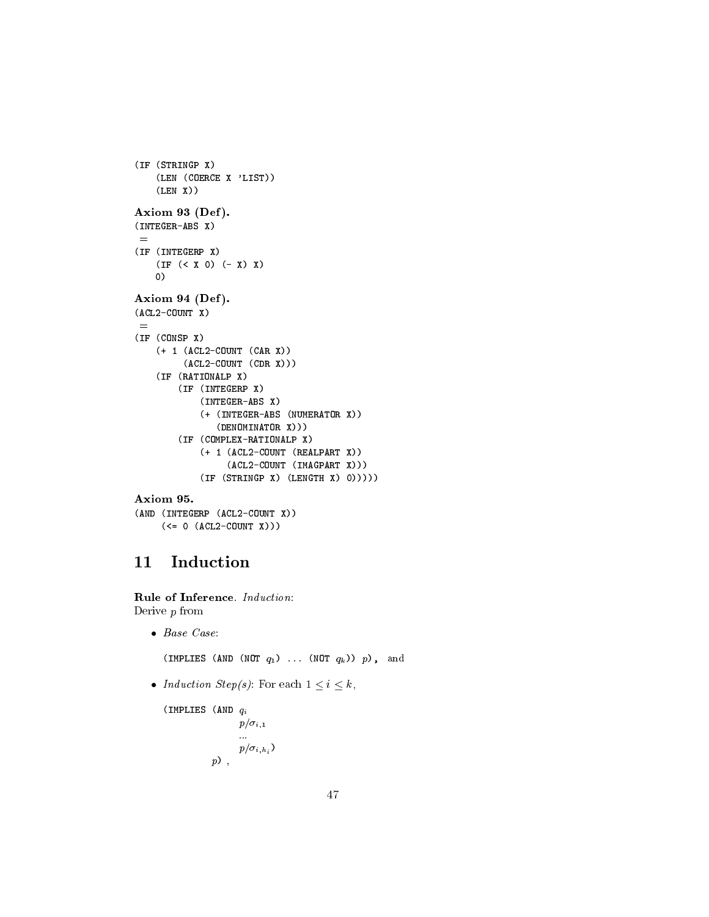```
(IF (STRINGP X)
    (LEN (COERCE X 'LIST))
    (\mathtt{LEN} \ \mathtt{X}))Axiom 93 (Def).
(INTEGER-ABS X)
 =(IF (INTEGERP X)
    (IF (< X 0) (- X) X)
    0)
Axiom 94 (Def).
(ACL2-COUNT X)
 =
(IF (CONSP X)
    (+ 1 (ACL2-COUNT (CAR X))
          (ACL2-COUNT (CDR X)))
    (IF (RATIONALP X)
        (IF (INTEGERP X)
             (INTEGER-ABS X)
             (+ (INTEGER-ABS (NUMERATOR X))
                (DENOMINATOR X)))
        (IF (COMPLEX-RATIONALP X)
             (+ 1 (ACL2-COUNT (REALPART X))
                  (ACL2-COUNT (IMAGPART X)))
             (IF (STRINGP X) (LENGTH X) 0)))))
Axiom 95.
```

```
(AND (INTEGERP (ACL2-COUNT X))
     (<= 0 (ACL2-COUNT X)))
```
### Induction 11

Rule of Inference. Induction: Derive p from

 $\bullet$  Base Case:

(IMPLIES (AND (NOT  $q_1$ ) ... (NOT  $q_k$ )) p), and

• Induction Step(s): For each  $1 \leq i \leq k$ ,

```
(IMPLIES (AND q_ip/\sigma_{i,1}:::
                      p/\sigma_{i,h_i})
              p),
```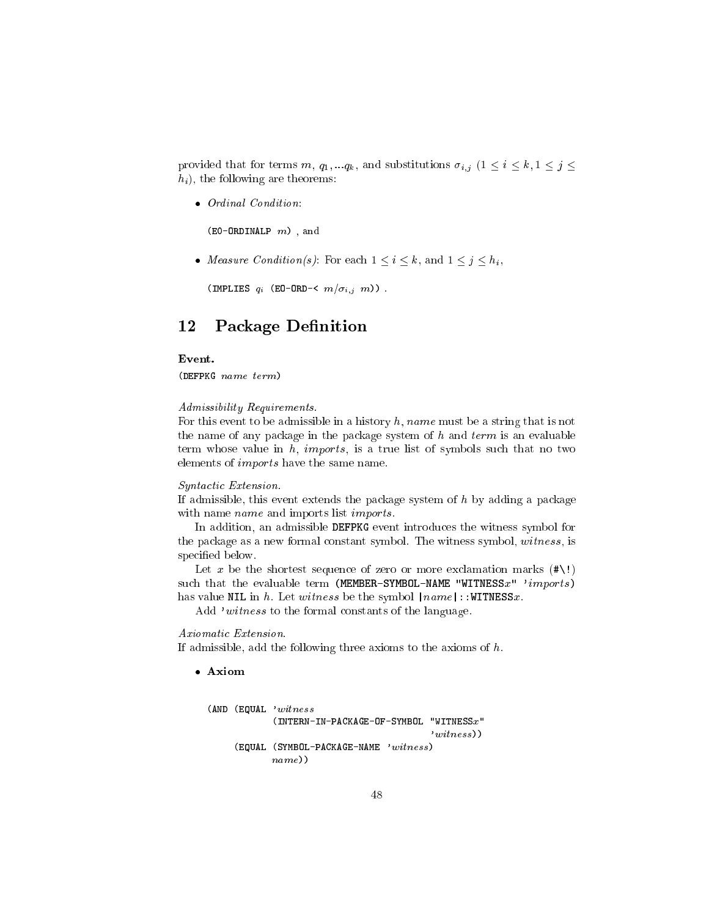provided that for terms m,  $q_1, \ldots, q_k$ , and substitutions  $\sigma_{i,j}$   $(1 \leq i \leq k, 1 \leq j \leq k)$  $h_i$ , the following are theorems:

Ordinal Condition:

 $(EO-ORDINALP \ m)$ , and

• *Measure Condition(s)*: For each  $1 \le i \le k$ , and  $1 \le j \le h_i$ ,

(IMPLIES  $q_i$  (EO-ORD-<  $m/\sigma_{i,j}$  m)).

#### 12 Package Definition

# Event.

(DEFPKG name term)

### Admissibility Requirements.

For this event to be admissible in a history h, name must be a string that is not the name of any package in the package system of  $h$  and  $term$  is an evaluable term whose value in  $h$ , *imports*, is a true list of symbols such that no two elements of imports have the same name.

### Syntactic Extension.

If admissible, this event extends the package system of  $h$  by adding a package with name *name* and imports list *imports*.

In addition, an admissible DEFPKG event introduces the witness symbol for the package as a new formal constant symbol. The witness symbol, witness, is specified below.

Let x be the shortest sequence of zero or more exclamation marks  $(\# \setminus \cdot)$ such that the evaluable term (MEMBER-SYMBOL-NAME "WITNESS $x$ " 'imports) has value NIL in h. Let witness be the symbol  $|name|$ : WITNESSx.

Add 'witness to the formal constants of the language.

# Axiomatic Extension.

If admissible, add the following three axioms to the axioms of  $h$ .

Axiom

```
(AND (EQUAL 'witness
            (INTERN-IN-PACKAGE-OF-SYMBOL "WITNESSx"
                                          'witness))
    (EQUAL (SYMBOL-PACKAGE-NAME 'witness)
           name))
```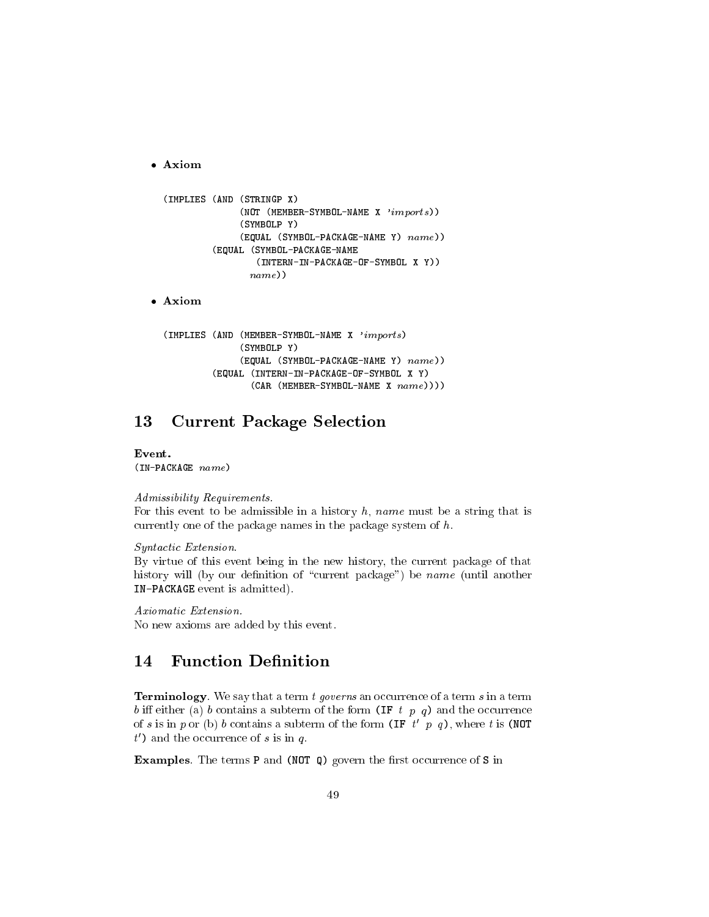Axiom

```
(IMPLIES (AND (STRINGP X)
              (NOT (MEMBER-SYMBOL-NAME X 'imports))
              (SYMBOLP Y)
              (EQUAL (SYMBOL-PACKAGE-NAME Y) name))
         (EQUAL (SYMBOL-PACKAGE-NAME
                 (INTERN-IN-PACKAGE-OF-SYMBOL X Y))
                name))
```
Axiom

```
(IMPLIES (AND (MEMBER-SYMBOL-NAME X 'imports)
              (SYMBOLP Y)
              (EQUAL (SYMBOL-PACKAGE-NAME Y) name))
         (EQUAL (INTERN-IN-PACKAGE-OF-SYMBOL X Y)
                (CAR (MEMBER-SYMBOL-NAME X name)))
```
#### **Current Package Selection** 13

Event. (IN-PACKAGE name)

### Admissibility Requirements.

For this event to be admissible in a history  $h$ , name must be a string that is currently one of the package names in the package system of h.

Syntactic Extension.

By virtue of this event being in the new history, the current package of that history will (by our definition of "current package") be name (until another IN-PACKAGE event is admitted).

Axiomatic Extension. No new axioms are added by this event.

#### 14 **Function Definition**

**Terminology**. We say that a term  $t$  governs an occurrence of a term  $s$  in a term b iff either (a) b contains a subterm of the form (IF t p q) and the occurrence of s is in p or (b) b contains a subterm of the form (IF  $t'$  p q), where t is (NOT  $t'$ ) and the occurrence of s is in q.

**Examples**. The terms **P** and (NOT Q) govern the first occurrence of S in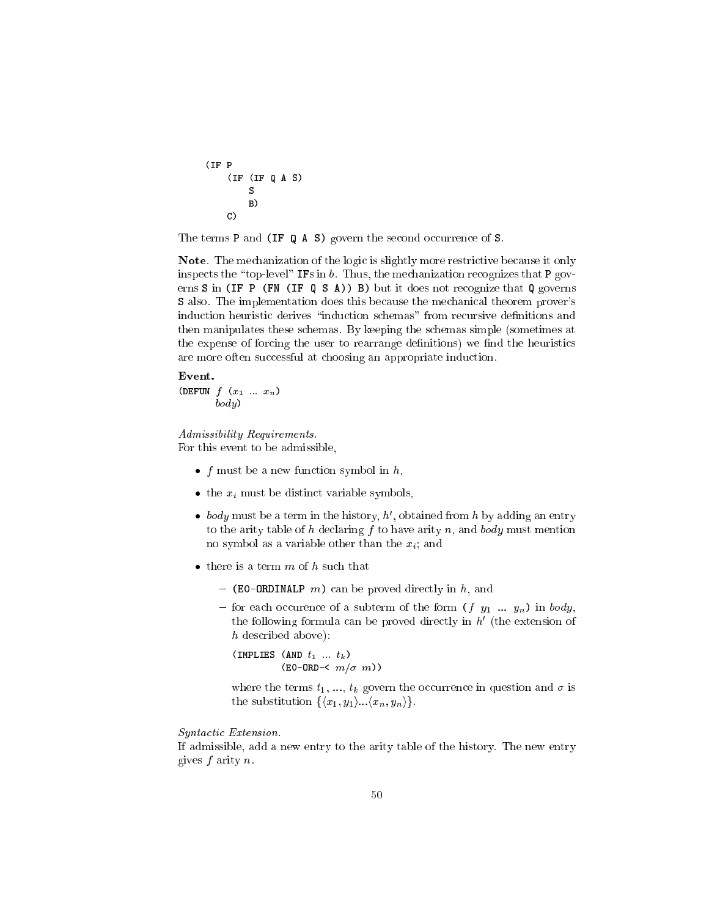```
(IF P
    (IF (IF Q A S)
        S
        B)
    C)
```
The terms **P** and (IF Q A S) govern the second occurrence of S.

Note. The mechanization of the logic is slightly more restrictive because it only inspects the "top-level" IFs in  $b$ . Thus, the mechanization recognizes that P governs S in (IF P (FN (IF  $Q S A$ )) B) but it does not recognize that  $Q$  governs S also. The implementation does this because the mechanical theorem prover's induction heuristic derives "induction schemas" from recursive definitions and then manipulates these schemas. By keeping the schemas simple (sometimes at the expense of forcing the user to rearrange definitions) we find the heuristics are more often successful at choosing an appropriate induction.

### Event.

(DEFUN  $f(x_1 \dots x_n)$ ) body)

# Admissibility Requirements.

For this event to be admissible,

- f must be a new function symbol in  $h$ ,
- $\bullet$  the  $x_i$  must be distinct variable symbols,
- $\bullet$  *body* must be a term in the history,  $n$  , obtained from  $n$  by adding an entry to the arity table of h declaring f to have arity n, and body must mention no symbol as a variable other than the  $x_i$ ; and
- $\bullet$  there is a term  $m$  of  $h$  such that
	- $-$  (EO-ORDINALP m) can be proved directly in h, and
	- for each occurence of a subterm of the form  $(f \ y_1 \ ... \ y_n)$  in body, the following formula can be proved directly in  $n$  (the extension of h described above):

(IMPLIES (AND  $t_1$  ...  $t_k$ )  $(EO-ORD-& m/\sigma m)$ 

where the terms  $t_1, ..., t_k$  govern the occurrence in question and  $\sigma$  is the substitution  $\{\langle x_1, y_1\rangle...\langle x_n, y_n\rangle\}.$ 

Syntactic Extension.

If admissible, add a new entry to the arity table of the history. The new entry gives  $f$  arity  $n$ .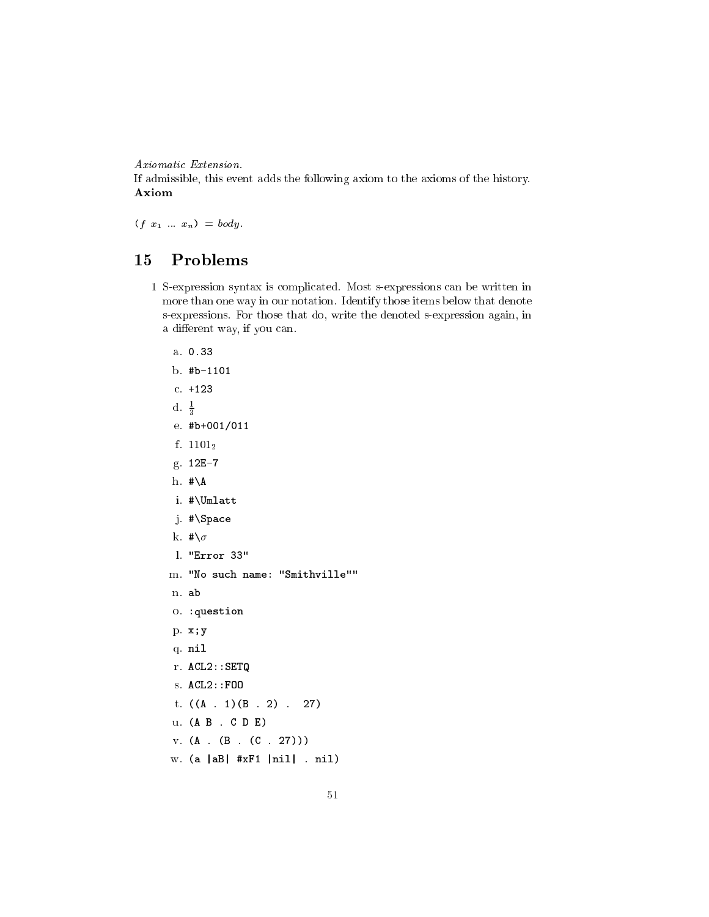Axiomatic Extension.

If admissible, this event adds the following axiom to the axioms of the history. Axiom

 $(f x_1 ... x_n) = body.$ 

# 15 Problems

1 S-expression syntax is complicated. Most s-expressions can be written in more than one way in our notation. Identify those items below that denote s-expressions. For those that do, write the denoted s-expression again, in a different way, if you can.

|                  | a. 0.33                             |
|------------------|-------------------------------------|
|                  | $b.$ #b-1101                        |
|                  | $c. + 123$                          |
| d. $\frac{1}{3}$ |                                     |
|                  | e. $#b+001/011$                     |
|                  | f. $1101_2$                         |
|                  | g. 12E-7                            |
|                  | h. $\# \A$                          |
|                  | i. #\Umlatt                         |
|                  | j. #\Space                          |
|                  | k. $\#\n\setminus \sigma$           |
|                  | 1. "Error 33"                       |
|                  | m. "No such name: "Smithville""     |
|                  | n. ab                               |
|                  | 0. : question                       |
|                  | p. x; y                             |
|                  | q. nil                              |
|                  | $r.$ ACL2:: SETQ                    |
|                  | s. ACL2::F00                        |
|                  | t. $((A \t1)(B \t2) \t27)$          |
|                  | u. (A B . C D E)                    |
|                  | v. (A. (B. (C. 27)))                |
|                  | w. $(a  aB  \#xF1  ni1  \dots ni1)$ |
|                  |                                     |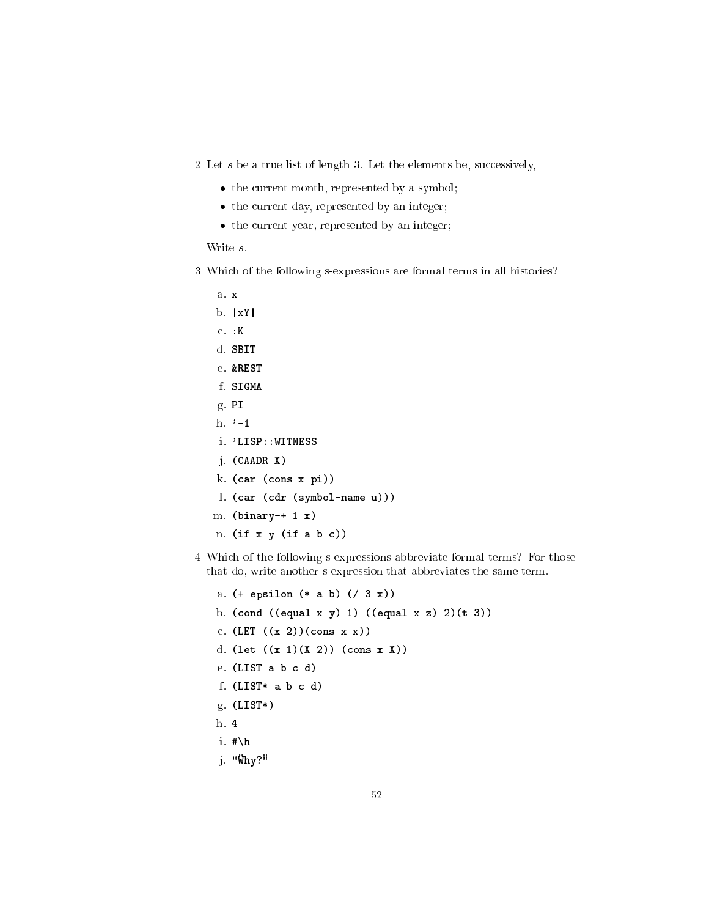2 Let s be a true list of length 3. Let the elements be, successively,

- the current month, represented by a symbol;
- the current day, represented by an integer;
- the current year, represented by an integer;

- 3 Which of the following s-expressions are formal terms in all histories?
	- a. x
	- $b. |xY|$
	- c. :K
	- d. SBIT
	- e. &REST
	- f. SIGMA
	- g. PI
	- h.  $\rightarrow -1$
	- i. 'LISP::WITNESS
	- j. (CAADR X)
	- k. (car (cons <sup>x</sup> pi))
	- l. (car (cdr (symbol-name u)))
	- m.  $(binary-+ 1 x)$
	- n.  $(if x y (if a b c))$
- 4 Which of the following s-expressions abbreviate formal terms? For those that do, write another s-expression that abbreviates the same term.
	- a. (+ epsilon (\* <sup>a</sup> b) (/ <sup>3</sup> x))
	- b. (cond ((equal x y) 1) ((equal x z) 2)(t 3))
	- c.  $(LET ((x 2)) (cons x x))$
	- d. (let ((x 1)(X 2)) (cons <sup>x</sup> X))
	- e. (LIST <sup>a</sup> b <sup>c</sup> d)
	- f. (LIST\* <sup>a</sup> b <sup>c</sup> d)
	- g. (LIST\*)
	- h. 4
	- i.  $\sharp \hbar$
	- j. "Why?"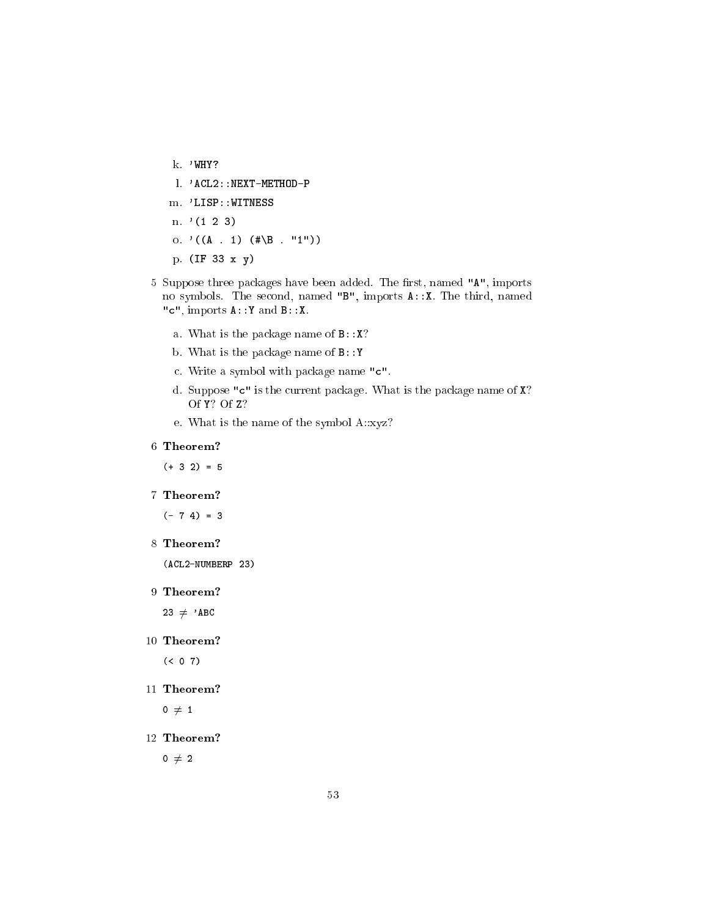- k. 'WHY? l. 'ACL2::NEXT-METHOD-P m. 'LISP::WITNESS n.  $(1 2 3)$ o. ' $((A \t1)$  $(*\B. "1")$ p. (IF <sup>33</sup> <sup>x</sup> y)
- 5 Suppose three packages have been added. The first, named "A", imports no symbols. The second, named "B", imports A::X. The third, named "c", imports A::Y and B::X.
	- a. What is the package name of  $B::X?$
	- b. What is the package name of B::Y
	- c. Write a symbol with package name "c".
	- d. Suppose "c" is the current package. What is the package name of X? Of Y? Of Z?
	- e. What is the name of the symbol A::xyz?

# 6 Theorem?

 $(+ 3 2) = 5$ 

7 Theorem?

 $(- 7 4) = 3$ 

8 Theorem?

(ACL2-NUMBERP 23)

9 Theorem?

 $23 \neq$  'ABC

- 10 Theorem?  $( < 0 7)$ 
	-
- 11 Theorem?

 $0 \neq 1$ 

12 Theorem?

 $0 \neq 2$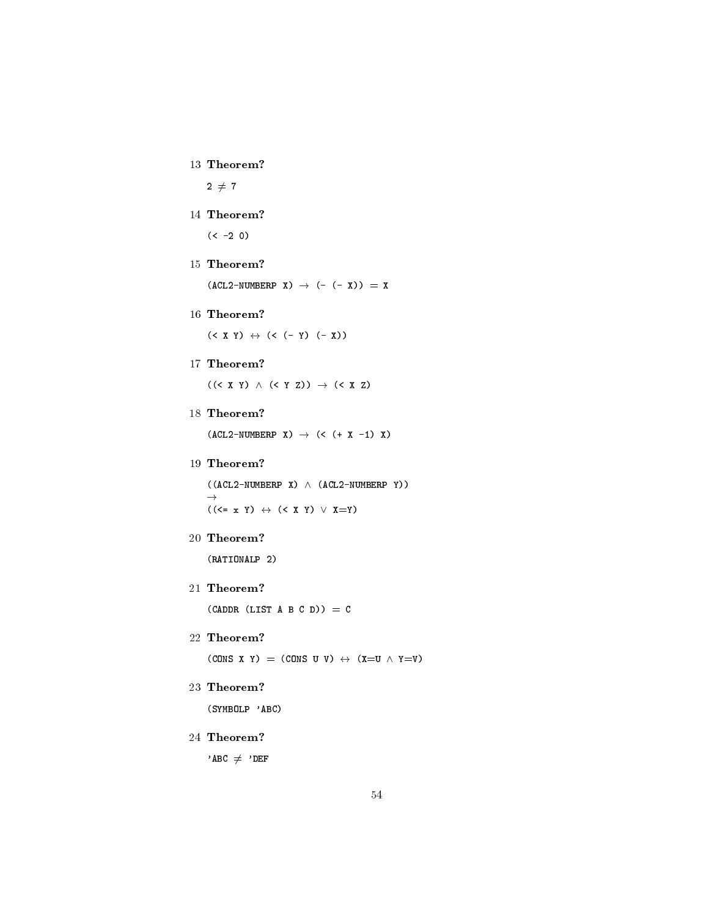13 Theorem?

 $2 \neq 7$ 

14 Theorem?

 $(< -2 0)$ 

15 Theorem?

 $(ACL2-NUMBERP X) \rightarrow (- (- X)) = X$ 

16 Theorem?

 $(< X Y) \leftrightarrow (< (- Y) (- X))$ 

17 Theorem?

 $((\langle X \ Y \rangle \land (\langle Y \ Z \rangle) \rightarrow (\langle X \ Z \rangle)$ 

18 Theorem?

 $(ACL2-NUMBERP X) \rightarrow (< (+ X -1) X)$ 

# 19 Theorem?

 $((ACL2-NUMBERP X) \wedge (ACL2-NUMBERP Y))$  $\rightarrow$  $((\langle = x Y \rangle \leftrightarrow (\langle X Y \rangle \vee X=Y))$ 

20 Theorem?

(RATIONALP 2)

21 Theorem?

 $(CADDR (LIST A B C D)) = C$ 

# 22 Theorem?

(CONS X Y) = (CONS U V)  $\leftrightarrow$  (X=U  $\land$  Y=V)

# 23 Theorem?

(SYMBOLP 'ABC)

24 Theorem?

 $'$ ABC  $\neq$  'DEF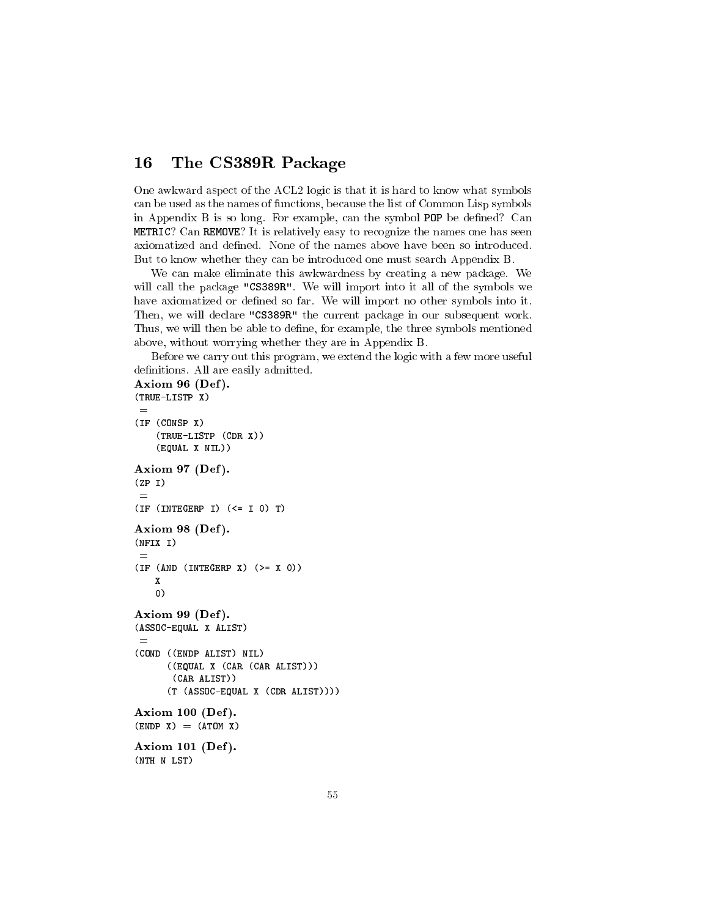#### The CS389R Package 16

One awkward aspect of the ACL2 logic is that it is hard to know what symbols can be used as the names of functions, because the list of Common Lisp symbols in Appendix B is so long. For example, can the symbol POP be defined? Can METRIC? Can REMOVE? It is relatively easy to recognize the names one has seen axiomatized and defined. None of the names above have been so introduced. But to know whether they can be introduced one must search Appendix B.

We can make eliminate this awkwardness by creating a new package. We will call the package "CS389R". We will import into it all of the symbols we have axiomatized or defined so far. We will import no other symbols into it. Then, we will declare "CS389R" the current package in our subsequent work. Thus, we will then be able to define, for example, the three symbols mentioned above, without worrying whether they are in Appendix B.

Before we carry out this program, we extend the logic with a few more useful definitions. All are easily admitted.

```
Axiom 96 (Def).
(TRUE-LISTP X)
 =(IF (CONSP X)
    (TRUE-LISTP (CDR X))
    (EQUAL X NIL))
Axiom 97 (Def).
(ZP I)
 =(IF (INTERP I) (<= I 0) T)Axiom 98 (Def).
(NFIX I)
 =(IF (AND (INTERP X) (> = X 0))X
    0)
Axiom 99 (Def).
(ASSOC-EQUAL X ALIST)
 =(COND ((ENDP ALIST) NIL)
      ((EQUAL X (CAR (CAR ALIST)))
       (CAR ALIST))
      (T (ASSOC-EQUAL X (CDR ALIST))))
Axiom 100 (Def).
(ENDP X) = (ATOM X)Axiom 101 (Def).
(NTH N LST)
```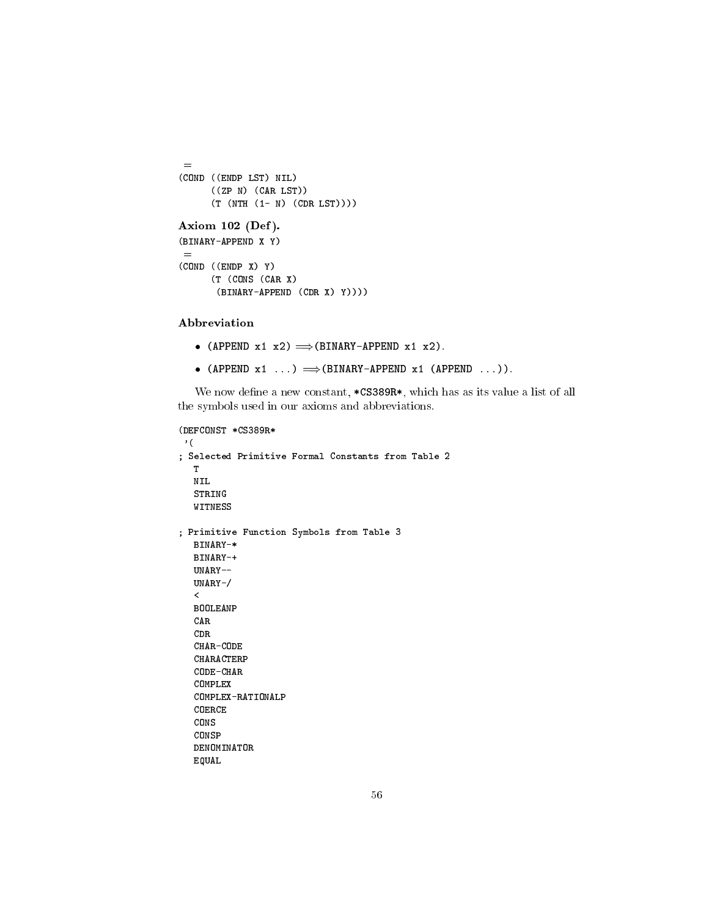```
=
(COND ((ENDP LST) NIL)
      ((ZP N) (CAR LST))
      (T (NTH (1- N) (CDR LST))))
Axiom 102 (Def).
(BINARY-APPEND X Y)
 =
(COND ((ENDP X) Y)
      (T (CONS (CAR X)
      (BINARY-APPEND (CDR X) Y))))
```
Abbreviation

- (APPEND  $x1$   $x2$ )  $\Longrightarrow$  (BINARY-APPEND  $x1$   $x2$ ).
- (APPEND  $x1$  ...)  $\Longrightarrow$  (BINARY-APPEND  $x1$  (APPEND ...)).

We now define a new constant, \*CS389R\*, which has as its value a list of all the symbols used in our axioms and abbreviations.

```
(DEFCONST *CS389R*
'(
; Selected Primitive Formal Constants from Table 2
  T
  NIL
  STRING
  WITNESS
; Primitive Function Symbols from Table 3
  BINARY-*
  UNARY - -UNARY-/
  \precBOOLEANP
  CARCDR
  CHAR-CODE
  CHARACTERP
  CODE-CHAR
  COMPLEX
  COMPLEX-RATIONALP
  COERCE
  CONS
  CONSP
  DENOMINATOR
  EQUAL
```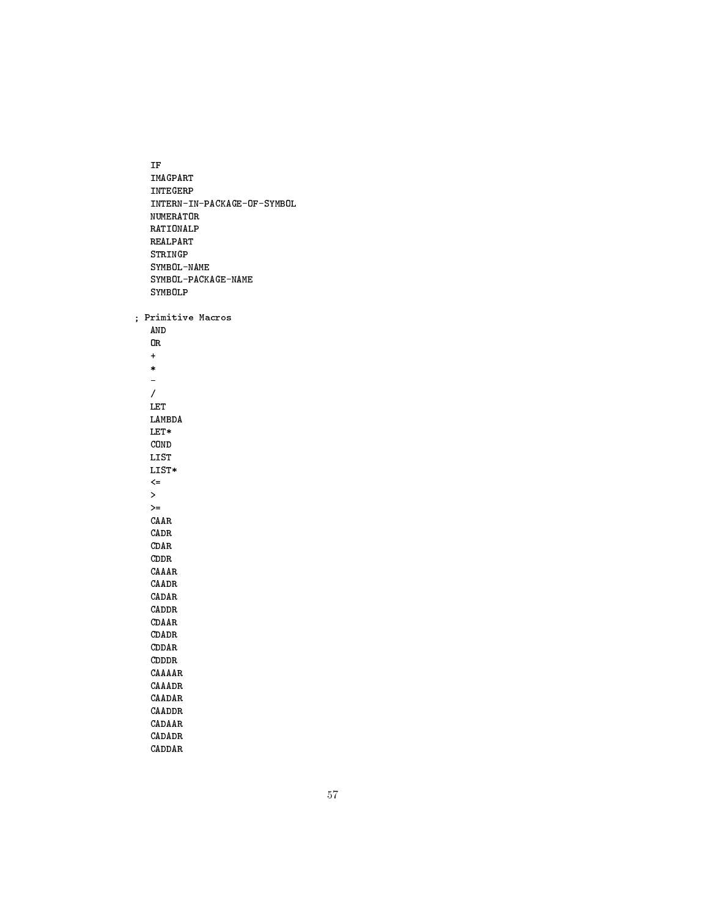IF IMAGPART INTEGERP INTERN-IN-PACKAGE-OF-SYMBOL NUMERATOR RATIONALP REALPART STRINGP SYMBOL-NAME SYMBOL-PACKAGE-NAME SYMBOLP ; Primitive Macros AND OR + \* L. / LET LAMBDA LET\* COND LIST LIST\*  $\leq$  $\geq$  $>=$ CAAR CADR CDAR CDDR CAAAR CAADR CADAR CADDR CDAAR CDADR CDDAR CDDDR CAAAAR CAAADR CAADAR CAADDR CADAAR CADADR CADDAR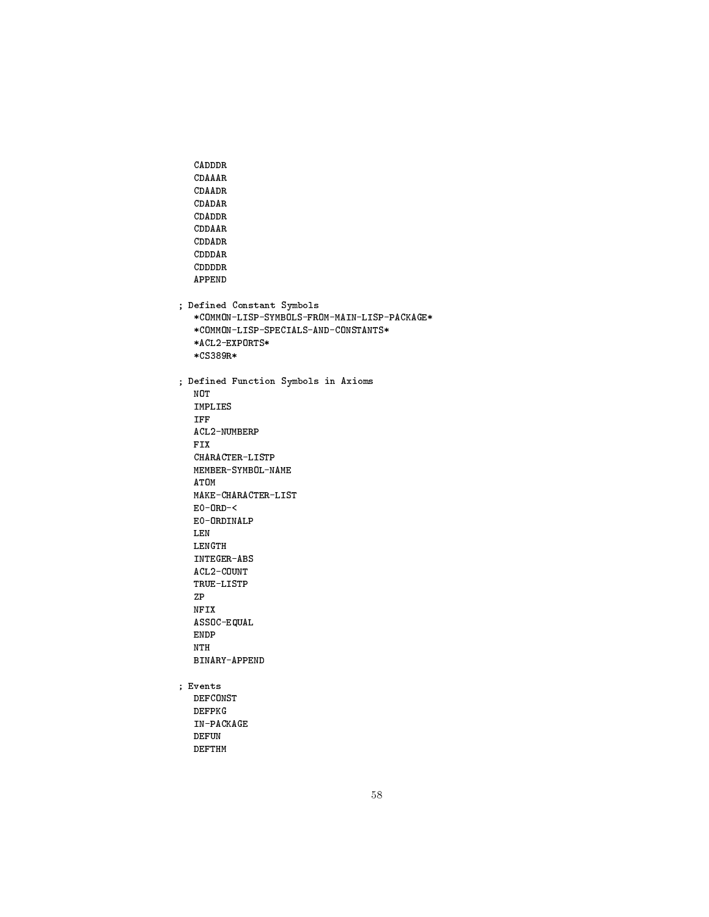```
CADDDR
  CDAAAR
  CDAADR
  CDADAR
  CDADDR
  CDDAAR
  CDDADR
  CDDDAR
  CDDDDR
  APPEND
; Defined Constant Symbols
  *COMMON-LISP-SYMBOLS-FROM-MAIN-LISP-PACKAGE*
  *COMMON-LISP-SPECIALS-AND-CONSTANTS*
  *ACL2-EXPORTS*
  *CS389R*
; Defined Function Symbols in Axioms
  NOT
  IMPLIES
  IFF
  ACL2-NUMBERP
  FIX
  CHARACTER-LISTP
  MEMBER-SYMBOL-NAME
  ATOM
  MAKE-CHARACTER-LIST
  E0-ORD-<
  E0-ORDINALP
  LEN
  LENGTH
  INTEGER-ABS
  ACL2-COUNT
  TRUE-LISTP
  ZP
  NFIX
  ASSOC-EQUAL
  ENDP
  NTH
  BINARY-APPEND
; Events
  DEFCONST
  DEFPKG
  IN-PACKAGE
  DEFUN
  DEFTHM
```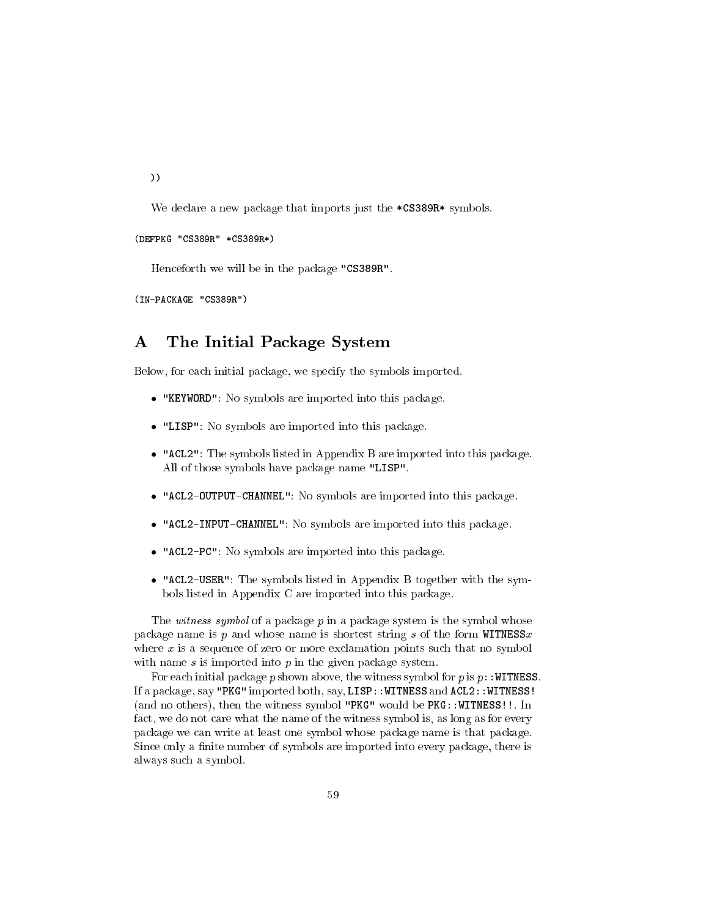))

We declare a new package that imports just the \*CS389R\* symbols.

### (DEFPKG "CS389R" \*CS389R\*)

Henceforth we will be in the package "CS389R".

(IN-PACKAGE "CS389R")

### The Initial Package System  $\mathbf{A}$

Below, for each initial package, we specify the symbols imported.

- "KEYWORD": No symbols are imported into this package.
- "LISP": No symbols are imported into this package.
- "ACL2": The symbols listed in Appendix B are imported into this package. All of those symbols have package name "LISP".
- "ACL2-OUTPUT-CHANNEL": No symbols are imported into this package.
- "ACL2-INPUT-CHANNEL": No symbols are imported into this package.
- "ACL2-PC": No symbols are imported into this package.
- "ACL2-USER": The symbols listed in Appendix B together with the symbols listed in Appendix C are imported into this package.

The witness symbol of a package  $p$  in a package system is the symbol whose package name is p and whose name is shortest string s of the form  $WITNESSx$ where  $x$  is a sequence of zero or more exclamation points such that no symbol with name  $s$  is imported into  $p$  in the given package system.

For each initial package p shown above, the witness symbol for p is  $p$ : WITNESS. If a package, say "PKG" imported both, say, LISP::WITNESS and ACL2::WITNESS! (and no others), then the witness symbol "PKG" would be PKG::WITNESS!!. In fact, we do not care what the name of the witness symbol is, as long as for every package we can write at least one symbol whose package name is that package. Since only a finite number of symbols are imported into every package, there is always such a symbol.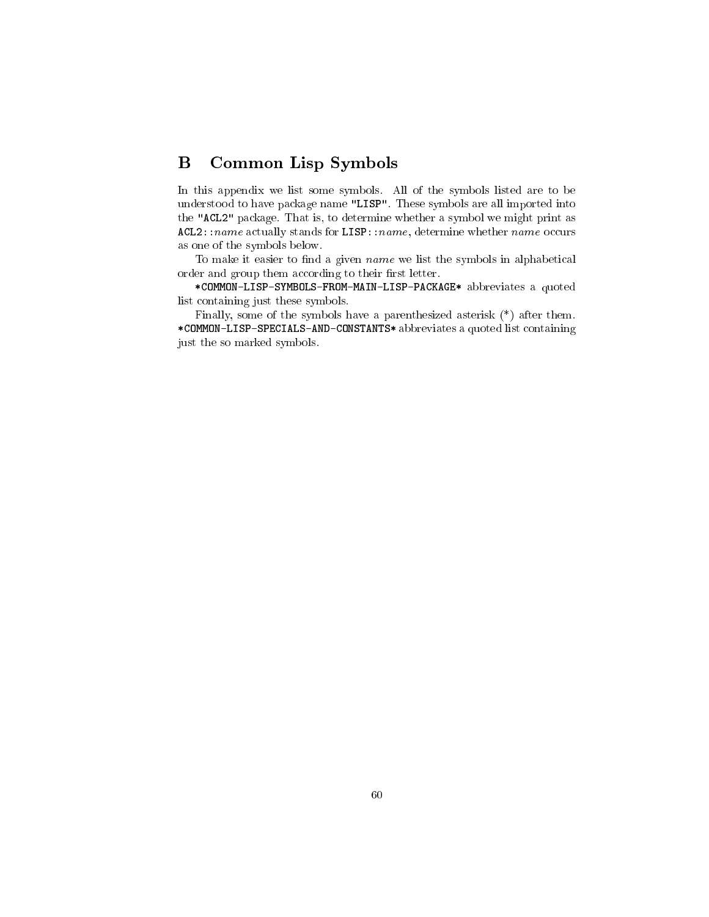# B Common Lisp Symbols

In this appendix we list some symbols. All of the symbols listed are to be understood to have package name "LISP". These symbols are all imported into the "ACL2" package. That is, to determine whether a symbol we might print as  $ACL2: name actually stands for LISP: name, determine whether name occurs$ as one of the symbols below.

To make it easier to find a given *name* we list the symbols in alphabetical order and group them according to their first letter.

\*COMMON-LISP-SYMBOLS-FROM-MAIN-LISP-PACKAGE\* abbreviates a quoted list containing just these symbols.

Finally, some of the symbols have a parenthesized asterisk (\*) after them. \*COMMON-LISP-SPECIALS-AND-CONSTANTS\* abbreviates a quoted list containing just the so marked symbols.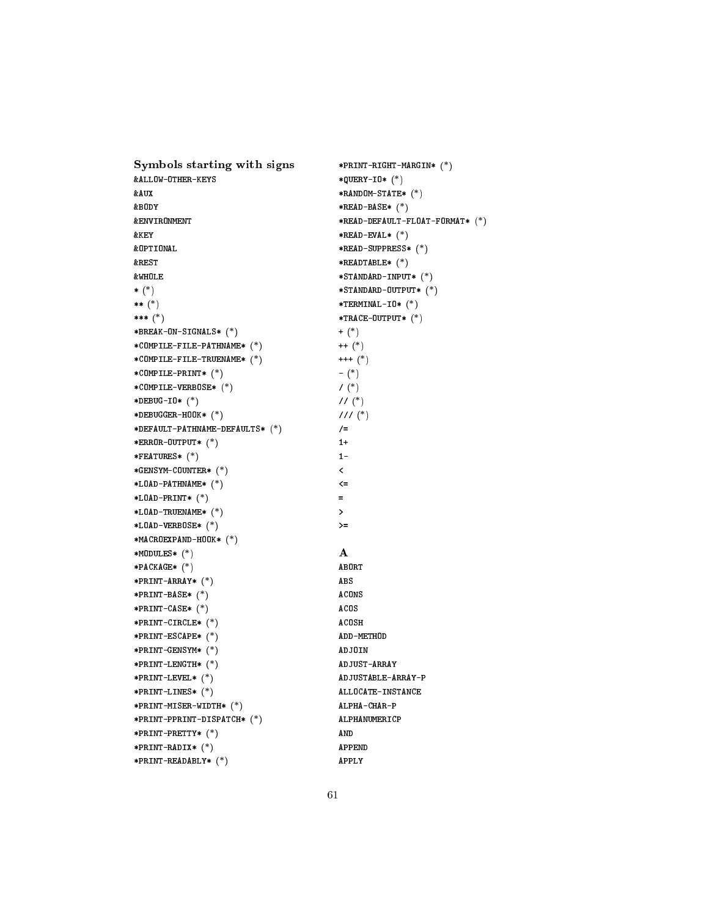Symbols starting with signs \*PRINT-RIGHT-MARGIN\* (\*) &ALLOW-OTHER-KEYS \*QUERY-IO\* (\*) &AUX \*RANDOM-STATE\* (\*) &BODY \*READ-BASE\* (\*) **&ENVIRONMENT** \*READ-DEFAULT-FLOAT-FORMAT\* (\*) &KEY \*READ-EVAL\* (\*) \*READ-SUPPRESS\* (\*) &REST \*READTABLE\* (\*) &WHOLE \*STANDARD-INPUT\* (\*)  $*$  (\*) \*STANDARD-OUTPUT\* (\*) \*\* (\*)  $*TERMINAL-IO* (*)$ \*\*\* (\*) \*TRACE-OUTPUT\* (\*) \*BREAK-ON-SIGNALS\* (\*) + (\*) \*COMPILE-FILE-PATHNAME\* (\*) ++ (\*) \*COMPILE-FILE-TRUENAME\* (\*) +++ (\*) \*COMPILE-PRINT\* (\*) - (\*) \*COMPILE-VERBOSE\* (\*)  $/$  (\*) \*DEBUG-IO\* (\*)  $1/(*)$ \*DEBUGGER-HOOK\* (\*) /// (\*) \*DEFAULT-PATHNAME-DEFAULTS\* (\*)  $/$ = \*ERROR-OUTPUT\* (\*)  $1+$ \*FEATURES\* (\*)  $1 -$ \*GENSYM-COUNTER\* (\*)  $\prec$ \*LOAD-PATHNAME\* (\*) \*LOAD-PRINT\* (\*)  $\blacksquare$ \*LOAD-TRUENAME\* (\*)  $\rightarrow$ \*LOAD-VERBOSE\* (\*)  $> =$ \*MACROEXPAND-HOOK\* (\*) \*MODULES\* (\*) A \*PACKAGE\* (\*) ABORT \*PRINT-ARRAY\* (\*) ABS \*PRINT-BASE\* (\*) ACONS \*PRINT-CASE\* (\*) ACOS \*PRINT-CIRCLE\* (\*) ACOSH \*PRINT-ESCAPE\* (\*) ADD-METHOD \*PRINT-GENSYM\* (\*) ADJOIN \*PRINT-LENGTH\* (\*) ADJUST-ARRAY ADJUSTABLE-ARRAY-P \*PRINT-LEVEL\* (\*) \*PRINT-LINES\* (\*) ALLOCATE-INSTANCE \*PRINT-MISER-WIDTH\* (\*) ALPHA-CHAR-P \*PRINT-PPRINT-DISPATCH\* (\*) ALPHANUMERICP \*PRINT-PRETTY\* (\*) AND \*PRINT-RADIX\* (\*) APPEND \*PRINT-READABLY\* (\*) APPLY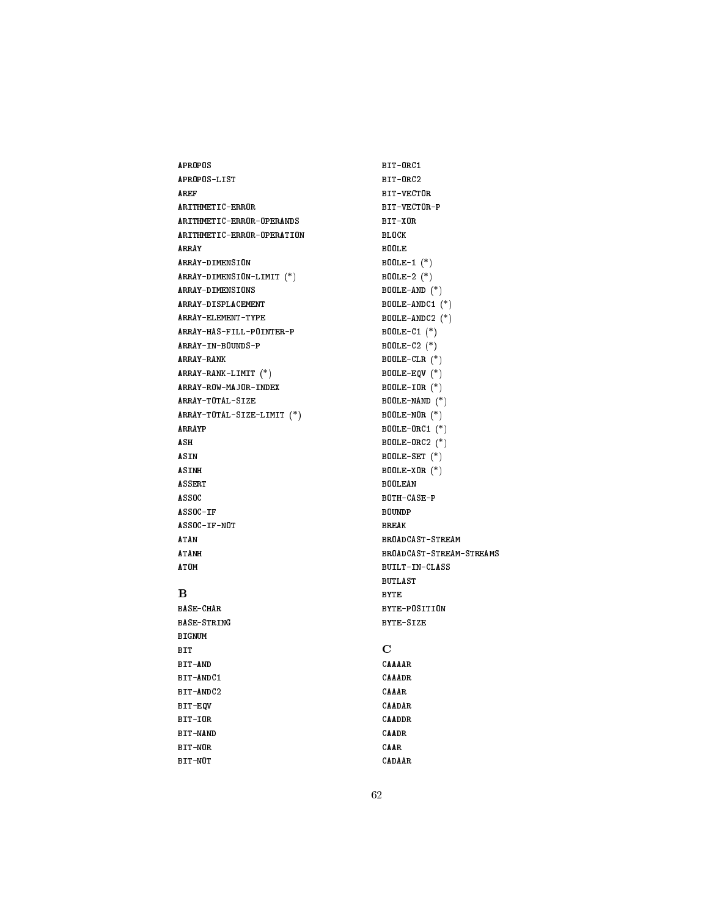APROPOS APROPOS-LIST AREF ARITHMETIC-ERROR ARITHMETIC-ERROR-OPERANDS ARITHMETIC-ERROR-OPERATION ARRAY-DIMENSION ARRAY-DIMENSION-LIMIT (\*) ARRAY-DIMENSIONS ARRAY-DISPLACEMENT ARRAY-ELEMENT-TYPE ARRAY-HAS-FILL-POINTER-P ARRAY-IN-BOUNDS-P ARRAY-RANK ARRAY-RANK-LIMIT (\*) ARRAY-ROW-MAJOR-INDEX ARRAY-TOTAL-SIZE ARRAY-TOTAL-SIZE-LIMIT (\*) ARRAYP ASH ASIN ASINH ASSERT ASSOC ASSOC-IF ASSOC-IF-NOT ATAN ATANH

ATOM

 $\bf{B}$ 

BASE-CHAR BASE-STRING BIGNUM BIT BIT-AND BIT-ANDC1

BIT-EQV BIT-IOR BIT-NAND BIT-NOR BIT-NOT

BIT-ANDC2

# BIT-ORC1 BIT-ORC2 BIT-VECTOR BIT-VECTOR-P BIT-XOR BLOCK BOOLE BOOLE-1 (\*) BOOLE-2 (\*) BOOLE-AND (\*) BOOLE-ANDC1 (\*) BOOLE-ANDC2 (\*) BOOLE-C1 (\*) BOOLE-C2 (\*) BOOLE-CLR (\*) BOOLE-EQV (\*) BOOLE-IOR (\*) BOOLE-NAND (\*) BOOLE-NOR (\*) BOOLE-ORC1 (\*) BOOLE-ORC2 (\*) BOOLE-SET (\*) BOOLE-XOR (\*) BOOLEAN BOTH-CASE-P BOUNDP BREAK BROADCAST-STREAM BROADCAST-STREAM-STREAMS BUILT-IN-CLASS BUTLAST BYTE BYTE-POSITION BYTE-SIZE  $\overline{C}$ CAAAAR

# 62

CAAADR

CAADAR CAADDR CAADR CAAR CADAAR

CAAAR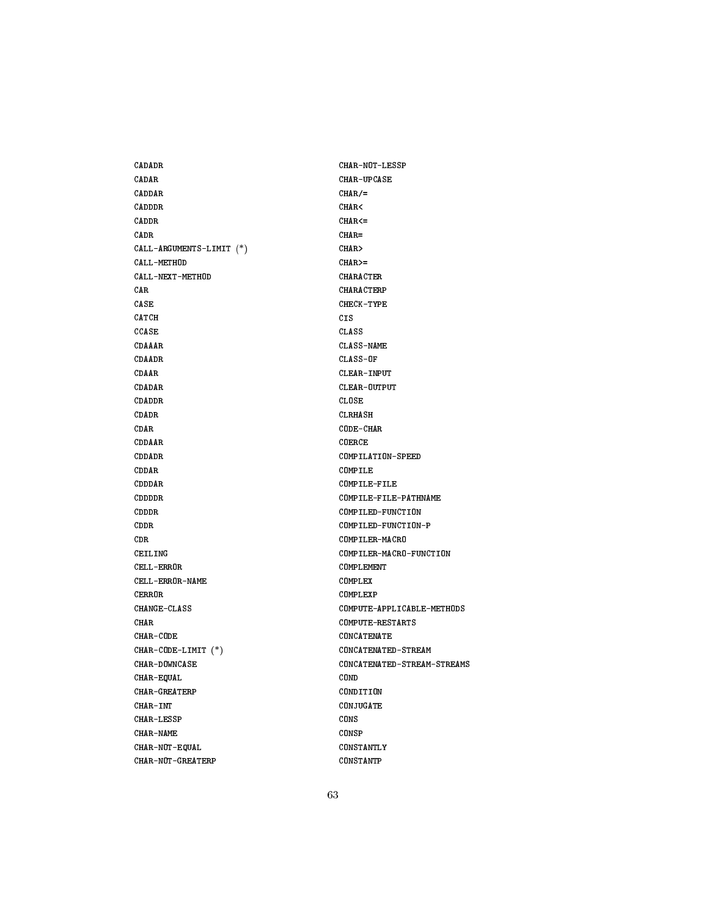CADADR CADAR CADDAR CADDDR CADDR CADR CALL-ARGUMENTS-LIMIT (\*) CALL-METHOD CALL-NEXT-METHOD CAR CASE CATCH CCASE CDAAAR CDAADR CDAAR CDADAR CDADDR CDADR CDAR CDDAAR CDDADR CDDAR CDDDAR CDDDDR CDDDR CDDR CDR CEILING CELL-ERROR CELL-ERROR-NAME CERROR CHANGE-CLASS CHAR CHAR-CODE CHAR-CODE-LIMIT (\*) CHAR-DOWNCASE CHAR-EQUAL CHAR-GREATERP CHAR-INT CHAR-LESSP CHAR-NAME CHAR-NOT-EQUAL CHAR-NOT-GREATERP

CHAR-NOT-LESSP CHAR-UPCASE  $CHAR/=$ CHAR<  $CHAR < =$ CHAR= CHAR> CHAR>= CHARACTER CHARACTERP CHECK-TYPE CIS CLASS CLASS-NAME CLASS-OF CLEAR-INPUT CLEAR-OUTPUT CLOSE CLRHASH CODE-CHAR COERCE COMPILATION-SPEED COMPILE COMPILE-FILE COMPILE-FILE-PATHNAME COMPILED-FUNCTION COMPILED-FUNCTION-P COMPILER-MACRO COMPILER-MACRO-FUNCTION COMPLEMENT COMPLEX COMPLEXP COMPUTE-APPLICABLE-METHODS COMPUTE-RESTARTS CONCATENATE CONCATENATED-STREAM CONCATENATED-STREAM-STREAMS COND CONDITION CONJUGATE CONS CONSP CONSTANTLY CONSTANTP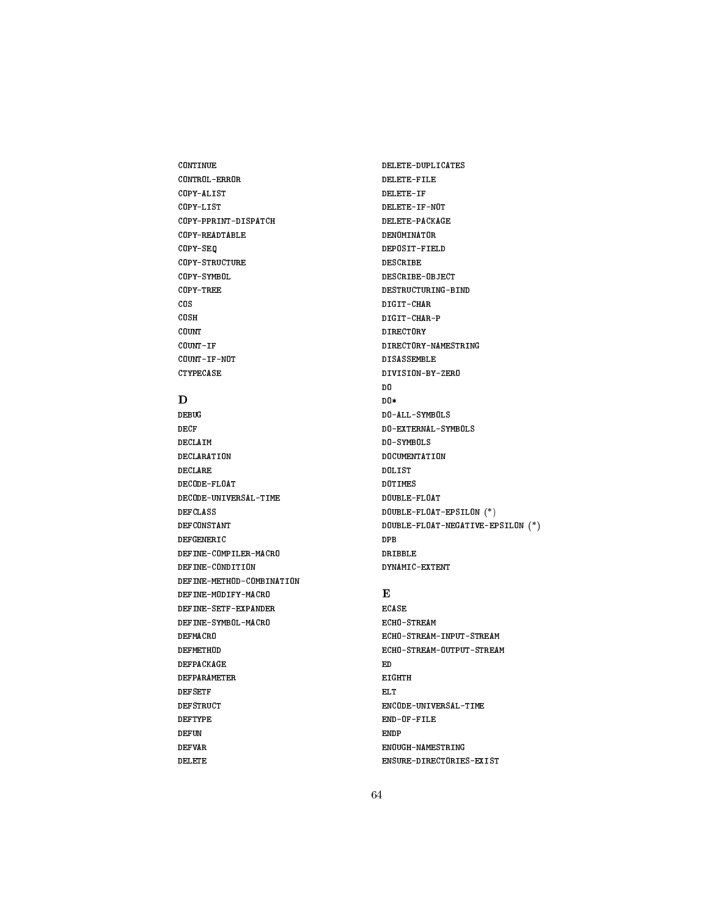CONTINUE CONTROL-ERROR COPY-ALIST COPY-LIST COPY-PPRINT-DISPATCH COPY-READTABLE COPY-SEQ COPY-STRUCTURE COPY-SYMBOL COPY-TREE COS COSH COUNT COUNT-IF COUNT-IF-NOT CTYPECASE

# D

DEBUG DECF DECLAIM DECLARATION DECLARE DECODE-FLOAT DECODE-UNIVERSAL-TIME DEFCLASS DEFCONSTANT DEFGENERIC DEFINE-COMPILER-MACRO DEFINE-CONDITION DEFINE-METHOD-COMBINATION DEFINE-MODIFY-MACRO DEFINE-SETF-EXPANDER DEFINE-SYMBOL-MACRO DEFMACRO DEFMETHOD DEFPACKAGE DEFPARAMETER **DEFSETF** DEFSTRUCT DEFTYPE DEFUN DEFVAR DELETE

DELETE-DUPLICATES DELETE-FILE DELETE-IF DELETE-IF-NOT DELETE-PACKAGE DENOMINATOR DESCRIBE DESCRIBE-OBJECT DESTRUCTURING-BIND DIGIT-CHAR DIGIT-CHAR-P DIRECTORY DIRECTORY-NAMESTRING DISASSEMBLE DIVISION-BY-ZERO D<sub>0</sub> DO\* DO-ALL-SYMBOLS DO-EXTERNAL-SYMBOLS DO-SYMBOLS DOCUMENTATION DOLIST DOTIMES DOUBLE-FLOAT DOUBLE-FLOAT-EPSILON (\*) DOUBLE-FLOAT-NEGATIVE-EPSILON (\*) DPB DRIBBLE DYNAMIC-EXTENT

# $\bf{E}$

ECASE ECHO-STREAM ECHO-STREAM-INPUT-STREAM ECHO-STREAM-OUTPUT-STREAM ED **EIGHTH** EL T ENCODE-UNIVERSAL-TIME END-OF-FILE ENDP ENOUGH-NAMESTRING ENSURE-DIRECTORIES-EXIST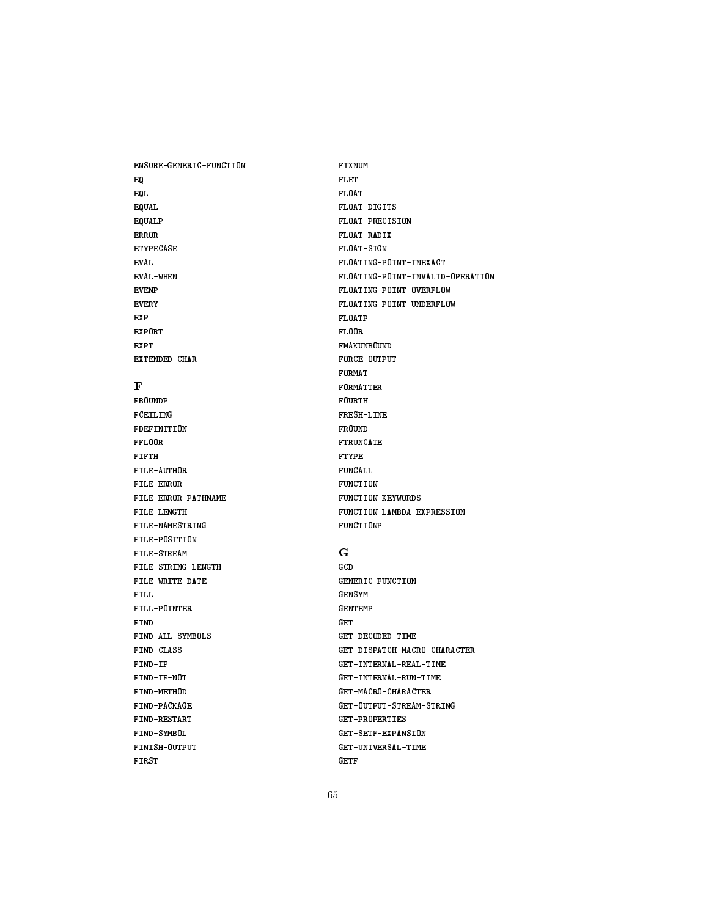ENSURE-GENERIC-FUNCTION EQ EQL EQUAL EQUALP ERROR ETYPECASE EVAL EVAL-WHEN EVENP EVERY EXP EXPORT EXPT EXTENDED-CHAR  $\mathbf{F}$ FBOUNDP FCEILING FDEFINITION FFLOOR FIFTH FILE-AUTHOR FILE-ERROR FILE-ERROR-PATHNAME FILE-LENGTH FILE-NAMESTRING FILE-POSITION FILE-STREAM FILE-STRING-LENGTH FILE-WRITE-DATE FILL FILL-POINTER **FIND** FIND-ALL-SYMBOLS FIND-CLASS FIND-IF FIND-IF-NOT FIND-METHOD FIND-PACKAGE FIND-RESTART FIND-SYMBOL FINISH-OUTPUT FIRST

FIXNUM FLET FLOAT FLOAT-DIGITS FLOAT-PRECISION FLOAT-RADIX FLOAT-SIGN FLOATING-POINT-INEXACT FLOATING-POINT-INVALID-OPERATION FLOATING-POINT-OVERFLOW FLOATING-POINT-UNDERFLOW FLOATP FLOOR FMAKUNBOUND FORCE-OUTPUT FORMAT FORMATTER FOURTH FRESH-LINE FROUND FTRUNCATE **FTYPE** FUNCALL FUNCTION FUNCTION-KEYWORDS FUNCTION-LAMBDA-EXPRESSION FUNCTIONP G GCD GENERIC-FUNCTION GENSYM GENTEMP GET GET-DECODED-TIME GET-DISPATCH-MACRO-CHARACTER GET-INTERNAL-REAL-TIME GET-INTERNAL-RUN-TIME GET-MACRO-CHARACTER GET-OUTPUT-STREAM-STRING GET-PROPERTIES GET-SETF-EXPANSION GET-UNIVERSAL-TIME GETF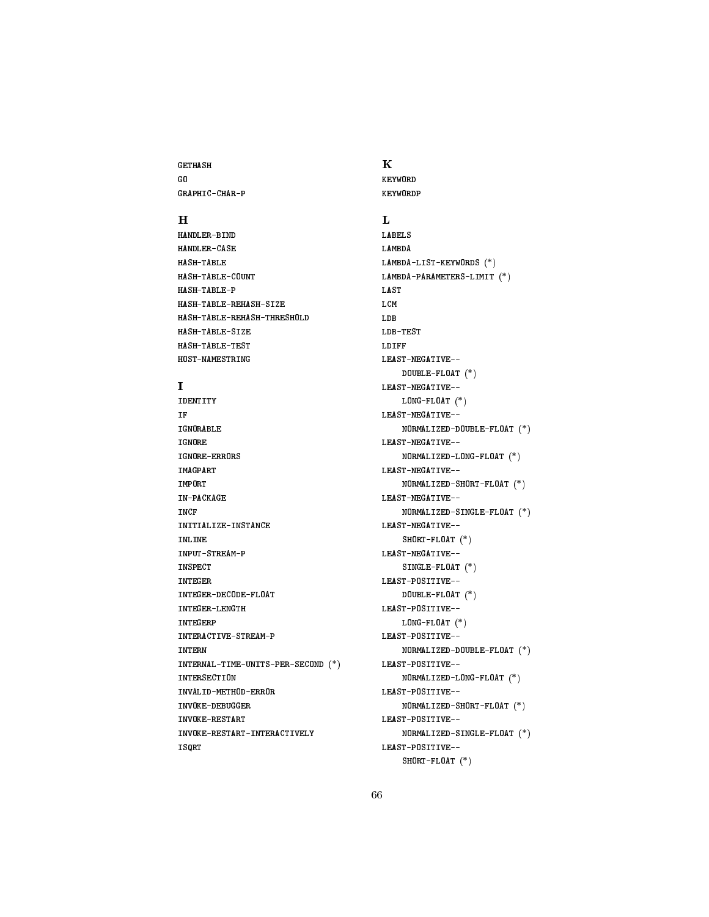GETHASH GO GRAPHIC-CHAR-P

# $\mathbf H$

HANDLER-BIND HANDLER-CASE HASH-TABLE HASH-TABLE-COUNT HASH-TABLE-P HASH-TABLE-REHASH-SIZE HASH-TABLE-REHASH-THRESHOLD HASH-TABLE-SIZE HASH-TABLE-TEST HOST-NAMESTRING

# $\mathbf{I}$

IDENTITY **TF** IGNORABLE IGNORE IGNORE-ERRORS IMAGPART IMPORT IN-PACKAGE INCF INITIALIZE-INSTANCE INLINE INPUT-STREAM-P INSPECT INTEGER INTEGER-DECODE-FLOAT INTEGER-LENGTH INTEGERP INTERACTIVE-STREAM-P INTERN INTERNAL-TIME-UNITS-PER-SECOND (\*) **INTERSECTION** INVALID-METHOD-ERROR INVOKE-DEBUGGER INVOKE-RESTART INVOKE-RESTART-INTERACTIVELY ISQRT

# K KEYWORD

KEYWORD P

 $\mathbf{L}$ LABELS LAMBDA LAMBDA-LIST-KEYWORDS (\*) LAMBDA-PARAMETERS-LIMIT (\*) LAST LCM LDB LDB-TEST LDIFF LEAST-NEGATIVE-- DOUBLE-FLOAT (\*) LEAST-NEGATIVE-- LONG-FLOAT (\*) LEAST-NEGATIVE-- NORMALIZED-DOUBLE-FLOAT (\*) LEAST-NEGATIVE-- NORMALIZED-LONG-FLOAT (\*) LEAST-NEGATIVE-- NORMALIZED-SHORT-FLOAT (\*) LEAST-NEGATIVE-- NORMALIZED-SINGLE-FLOAT (\*) LEAST-NEGATIVE-- SHORT-FLOAT (\*) LEAST-NEGATIVE-- SINGLE-FLOAT (\*) LEAST-POSITIVE-- DOUBLE-FLOAT (\*) LEAST-POSITIVE-- LONG-FLOAT (\*) LEAST-POSITIVE-- NORMALIZED-DOUBLE-FLOAT (\*) LEAST-POSITIVE-- NORMALIZED-LONG-FLOAT (\*) LEAST-POSITIVE--NORMALIZED-SHORT-FLOAT (\*) LEAST-POSITIVE-- NORMALIZED-SINGLE-FLOAT (\*) LEAST-POSITIVE-- SHORT-FLOAT (\*)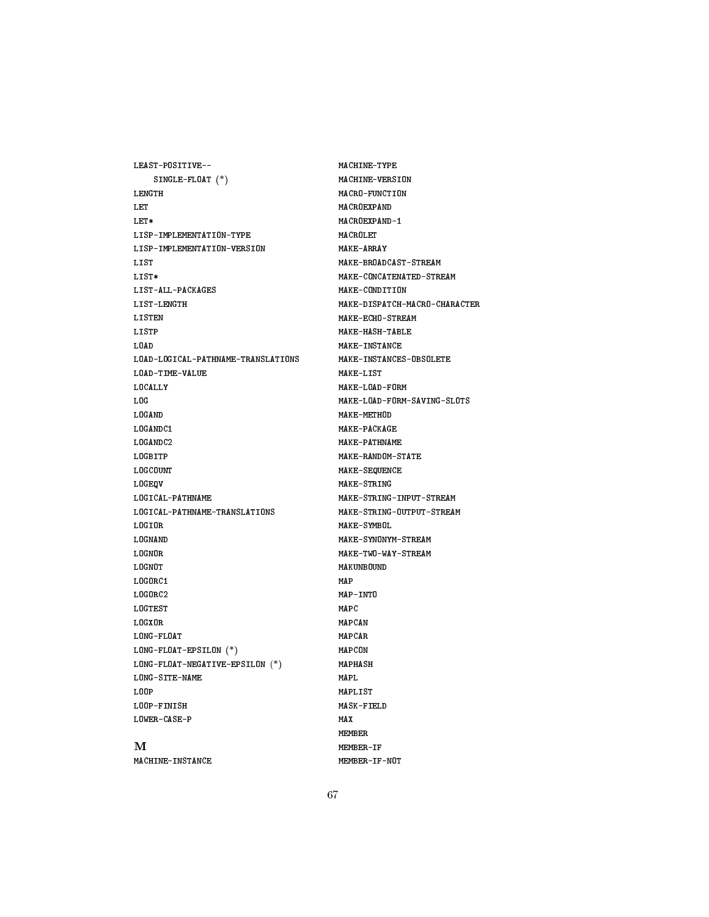LEAST-POSITIVE-- SINGLE-FLOAT (\*) LENGTH **LET** LET\* LISP-IMPLEMENTATION-TYPE LISP-IMPLEMENTATION-VERSION LIST LIST\* LIST-ALL-PACKAGES LIST-LENGTH LISTEN LISTP LOAD LOAD-LOGICAL-PATHNAME-TRANSLATIONS LOAD-TIME-VALUE LOCALLY LOG LOGAND LOGANDC1 LOGANDC2 **LOGBITP** LOGCOUNT LOGEQV LOGICAL-PATHNAME LOGICAL-PATHNAME-TRANSLATIONS LOGIOR LOGNAND LOGNOR LOGNOT LOGORC1 LOGORC2 LOGTEST LOGXOR LONG-FLOAT LONG-FLOAT-EPSILON (\*) LONG-FLOAT-NEGATIVE-EPSILON (\*) LONG-SITE-NAME L00P LOOP-FINISH LOWER-CASE-P M MACHINE-INSTANCE

MACHINE-TYPE MACHINE-VERSION MACRO-FUNCTION MACROEXPAND MACROEXPAND-1 MACROLET MAKE-ARRAY MAKE-BROADCAST-STREAM MAKE-CONCATENATED-STREAM MAKE-CONDITION MAKE-DISPATCH-MACRO-CHARACTER MAKE-ECHO-STREAM MAKE-HASH-TABLE MAKE-INSTANCE MAKE-INSTANCES-OBSOLETE MAKE-LIST MAKE-LOAD-FORM MAKE-LOAD-FORM-SAVING-SLOTS MAKE-METHOD MAKE-PACKAGE MAKE-PATHNAME MAKE-RANDOM-STATE MAKE-SEQUENCE MAKE-STRING MAKE-STRING-INPUT-STREAM MAKE-STRING-OUTPUT-STREAM MAKE-SYMBOL MAKE-SYNONYM-STREAM MAKE-TWO-WAY-STREAM MAKUNBOUND MAP MAP-INTO MAPC MAPCAN MAPCAR MAPCON MAPHASH MAPL MAPLIST MASK-FIELD MAX MEMBER MEMBER-IF MEMBER-IF-NOT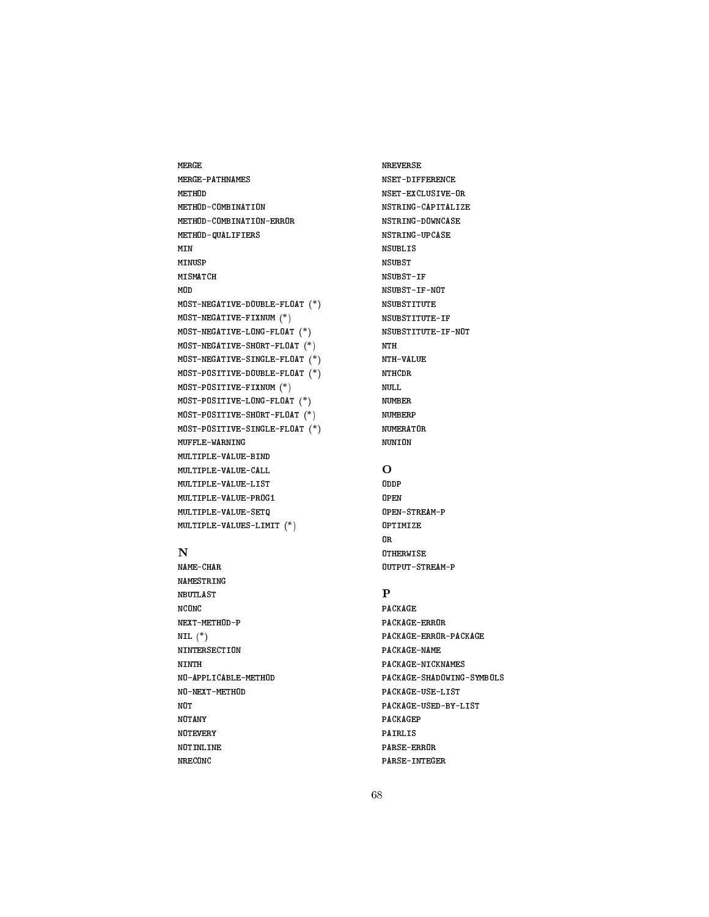MERGE MERGE-PATHNAMES METHOD METHOD-COMBINATION METHOD-COMBINATION-ERROR METHOD-QUALIFIERS MINUSP MISMATCH MOD MOST-NEGATIVE-DOUBLE-FLOAT (\*) MOST-NEGATIVE-FIXNUM (\*) MOST-NEGATIVE-LONG-FLOAT (\*) MOST-NEGATIVE-SHORT-FLOAT (\*) MOST-NEGATIVE-SINGLE-FLOAT (\*) MOST-POSITIVE-DOUBLE-FLOAT (\*) MOST-POSITIVE-FIXNUM (\*) MOST-POSITIVE-LONG-FLOAT (\*) MOST-POSITIVE-SHORT-FLOAT (\*) MOST-POSITIVE-SINGLE-FLOAT (\*) MUFFLE-WARNING MULTIPLE-VALUE-BIND MULTIPLE-VALUE-CALL MULTIPLE-VALUE-LIST MULTIPLE-VALUE-PROG1 MULTIPLE-VALUE-SETQ MULTIPLE-VALUES-LIMIT (\*)

# N

NAME-CHAR NAMESTRING NBUTLAST **NCONC** NEXT-METHOD-P NIL  $(*)$ NINTERSECTION NINTH NO-APPLICABLE-METHOD NO-NEXT-METHOD NOT NOTANY **NOTEVERY** NOTINLINE NRECONC

NREVERSE NSET-DIFFERENCE NSET-EXCLUSIVE-OR NSTRING-CAPITALIZE NSTRING-DOWNCASE NSTRING-UPCASE NSUBLIS NSUBST NSUBST-IF NSUBST-IF-NOT NSUBSTITUTE NSUBSTITUTE-IF NSUBSTITUTE-IF-NOT NTH NTH-VALUE NTHCDR **NULL** NUMBER NUMBERP NUMERATOR NUNION

OPEN OPEN-STREAM-P OPTIMIZE OR **OTHERWISE** OUTPUT-STREAM-P

# $\mathbf{P}$

PACKAGE PACKAGE-ERROR PACKAGE-ERROR-PACKAGE PACKAGE-NAME PACKAGE-NICKNAMES PACKAGE-SHADOWING-SYMBOLS PACKAGE-USE-LIST PACKAGE-USED-BY-LIST PACKAGEP PAIRLIS PARSE-ERROR PARSE-INTEGER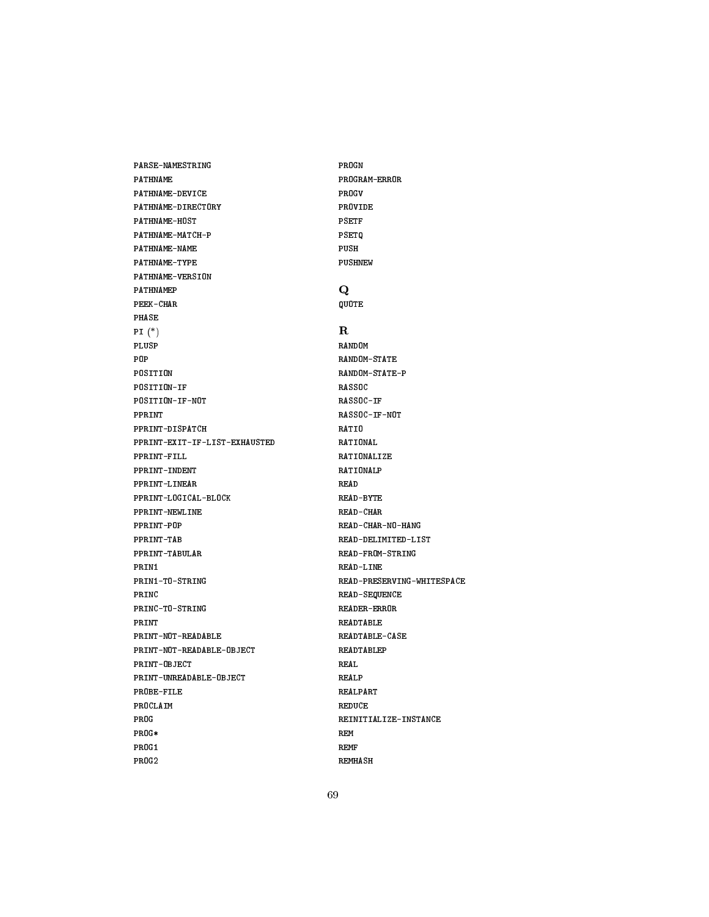PATHNAME PATHNAME-DEVICE PATHNAME-DIRECTORY PATHNAME-HOST PATHNAME-MATCH-P PATHNAME-NAME PATHNAME-TYPE PATHNAME-VERSION PATHNAMEP PEEK-CHAR PHASE PI (\*) PLUSP POP POSITION POSITION-IF POSITION-IF-NOT PPRINT PPRINT-DISPATCH PPRINT-EXIT-IF-LIST-EXHAUSTED PPRINT-FILL PPRINT-INDENT PPRINT-LINEAR PPRINT-LOGICAL-BLOCK PPRINT-NEWLINE PPRINT-POP PPRINT-TAB PPRINT-TABULAR PRIN1 PRIN1-TO-STRING PRINC PRINC-TO-STRING PRINT PRINT-NOT-READABLE PRINT-NOT-READABLE-OBJECT PRINT-OBJECT PRINT-UNREADABLE-OBJECT PROBE-FILE PROCLAIM PROG PROG\* PROG1 PROG2

PARSE-NAMESTRING

PROGN PROGRAM-ERROR PROGV PROVIDE **PSETF** PSETQ PUSH PUSHNEW Q QUOTE R RANDOM RANDOM-STATE RANDOM-STATE-P **RASSOC** RASSOC-IF RASSOC-IF-NOT RATIO RATIONAL **RATIONALIZE** RATIONALP READ-BYTE READ-CHAR READ-CHAR-NO-HANG READ-DELIMITED-LIST READ-FROM-STRING READ-LINE READ-PRESERVING-WHITESPACE READ-SEQUENCE READER-ERROR READTABLE READTABLE-CASE READTABLEP REAL REALP **REALPART** REDUCE REINITIALIZE-INSTANCE REM REMF REMHASH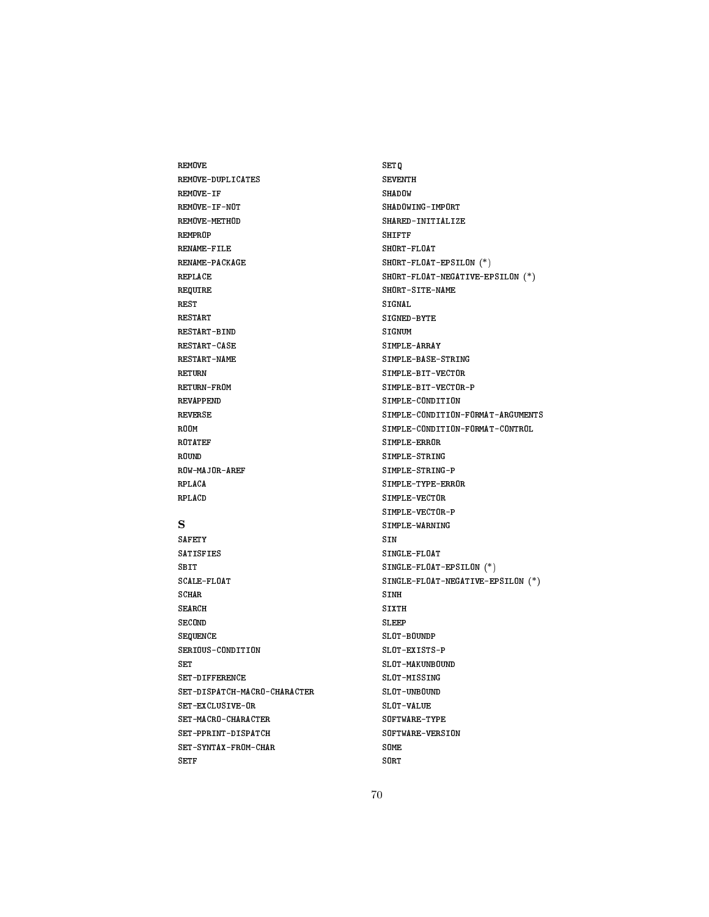REMOVE REMOVE-DUPLICATES REMOVE-IF REMOVE-IF-NOT REMOVE-METHOD REMPROP RENAME-FILE RENAME-PACKAGE REPLACE REQUIRE REST RESTART RESTART-BIND RESTART-CASE RESTART-NAME RETURN RETURN-FROM REVAPPEND REVERSE ROOM ROTATEF ROUND ROW-MAJOR-AREF RPLACA RPLACD

# S

**SAFETY** SATISFIES SBIT SCALE-FLOAT SCHAR SEARCH **SECOND** SEQUENCE SERIOUS-CONDITION SET SET-DIFFERENCE SET-DISPATCH-MACRO-CHARACTER SET-EXCLUSIVE-OR SET-MACRO-CHARACTER SET-PPRINT-DISPATCH SET-SYNTAX-FROM-CHAR SETF

SETQ SEVENTH SHADOW SHADOWING-IMPORT SHARED-INITIALIZE SHIFTF SHORT-FLOAT SHORT-FLOAT-EPSILON (\*) SHORT-FLOAT-NEGATIVE-EPSILON (\*) SHORT-SITE-NAME SIGNAL SIGNED-BYTE SIGNUM SIMPLE-ARRAY SIMPLE-BASE-STRING SIMPLE-BIT-VECTOR SIMPLE-BIT-VECTOR-P SIMPLE-CONDITION SIMPLE-CONDITION-FORMAT-ARGUMENTS SIMPLE-CONDITION-FORMAT-CONTROL SIMPLE-ERROR SIMPLE-STRING SIMPLE-STRING-P SIMPLE-TYPE-ERROR SIMPLE-VECTOR SIMPLE-VECTOR-P SIMPLE-WARNING SIN SINGLE-FLOAT SINGLE-FLOAT-EPSILON (\*) SINGLE-FLOAT-NEGATIVE-EPSILON (\*) SINH SIXTH **SLEEP** SLOT-BOUNDP SLOT-EXISTS-P SLOT-MAKUNBOUND SLOT-MISSING SLOT-UNBOUND SLOT-VALUE SOFTWARE-TYPE SOFTWARE-VERSION SOME SORT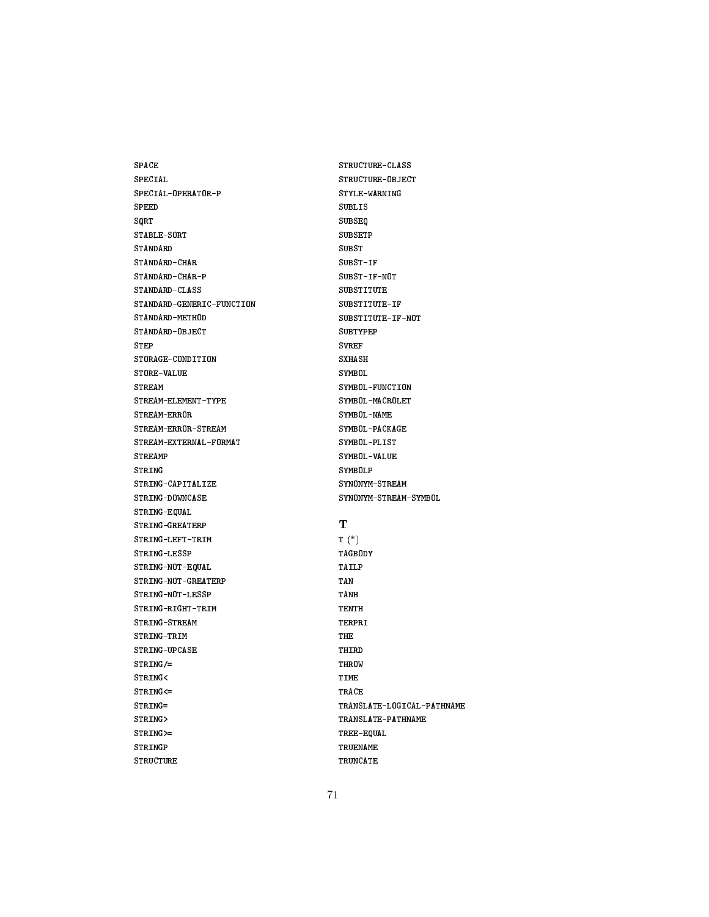SPACE SPECIAL SPECIAL-OPERATOR-P **SPEED** SORT SQRT STABLE-SORT STANDARD-CHAR STANDARD-CHAR-P STANDARD-CLASS STANDARD-GENERIC-FUNCTION STANDARD-METHOD STANDARD-OBJECT STEP STORAGE-CONDITION STORE-VALUE **STREAM** STREAM-ELEMENT-TYPE STREAM-ERROR STREAM-ERROR-STREAM STREAM-EXTERNAL-FORMAT **STREAMP** STRING STRING-CAPITALIZE STRING-DOWNCASE STRING-EQUAL STRING-GREATERP STRING-LEFT-TRIM STRING-LESSP STRING-NOT-EQUAL STRING-NOT-GREATERP STRING-NOT-LESSP STRING-RIGHT-TRIM STRING-STREAM STRING-TRIM STRING-UPCASE STRING/= STRING<  $STRING < =$ STRING= STRING> STRING>= STRINGP STRUCTURE

STRUCTURE-CLASS STRUCTURE-OBJECT STYLE-WARNING SUBLIS **SUBSEQ** SUBSEQ SUBSETP SUBST-IF SUBST-IF-NOT SUBSTITUTE SUBSTITUTE-IF SUBSTITUTE-IF-NOT SUBTYPEP SVREF SXHASH SYMBOL SYMBOL-FUNCTION SYMBOL-MACROLET SYMBOL-NAME SYMBOL-PACKAGE SYMBOL-PLIST SYMBOL-VALUE SYMBOLP SYNONYM-STREAM SYNONYM-STREAM-SYMBOL T T (\*) TAGBODY TAILP TAN TANH TENTH TERPRI THE THIRD THROW TIME TRACE TRANSLATE-LOGICAL-PATHNAME TRANSLATE-PATHNAME TREE-EQUAL TRUENAME TRUNCATE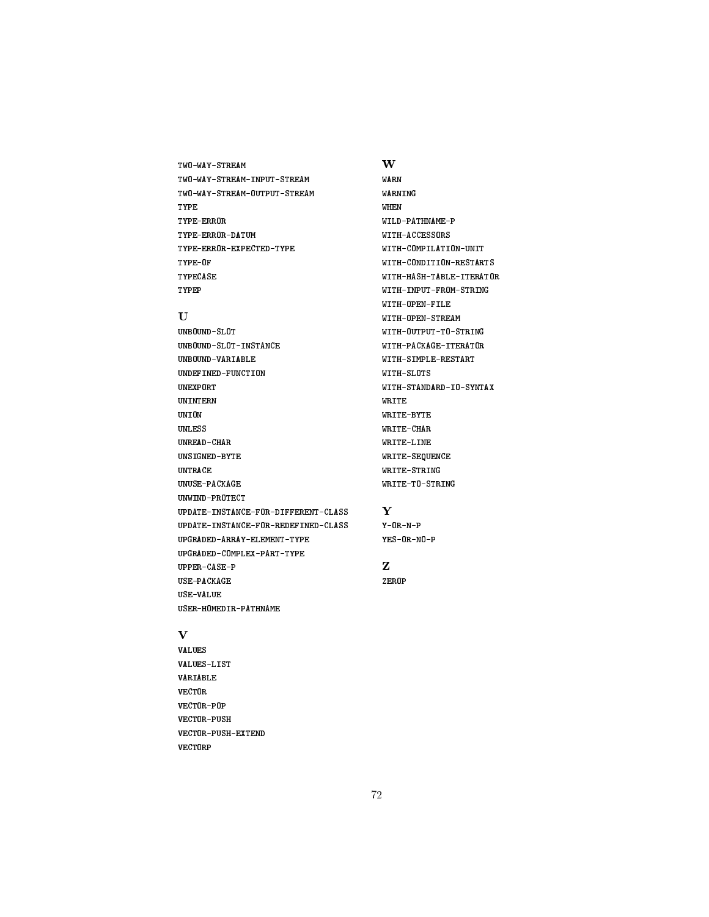# TWO-WAY-STREAM TWO-WAY-STREAM-INPUT-STREAM TWO-WAY-STREAM-OUTPUT-STREAM TYPE TYPE-ERROR TYPE-ERROR-DATUM TYPE-ERROR-EXPECTED-TYPE TYPE-OF TYPECASE TYPEP

# U

UNBOUND-SLOT UNBOUND-SLOT-INSTANCE UNBOUND-VARIABLE UNDEFINED-FUNCTION UNEXPORT UNINTERN UNION UNLESS UNREAD-CHAR UNSIGNED-BYTE UNTRACE UNUSE-PACKAGE UNWIND-PROTECT UPDATE-INSTANCE-FOR-DIFFERENT-CLASS UPDATE-INSTANCE-FOR-REDEFINED-CLASS UPGRADED-ARRAY-ELEMENT-TYPE UPGRADED-COMPLEX-PART-TYPE UPPER-CASE-P USE-PACKAGE USE-VALUE USER-HOMEDIR-PATHNAME

# W

WARN WARNING WHEN WILD-PATHNAME-P WITH-ACCESSORS WITH-COMPILATION-UNIT WITH-CONDITION-RESTARTS WITH-HASH-TABLE-ITERATOR WITH-INPUT-FROM-STRING WITH-OPEN-FILE WITH-OPEN-STREAM WITH-OUTPUT-TO-STRING WITH-PACKAGE-ITERATOR WITH-SIMPLE-RESTART WITH-SLOTS WITH-STANDARD-IO-SYNTAX WRITE WRITE-BYTE WRITE-CHAR WRITE-LINE **WRITE-SEQUENCE** WE IN THE SEQUENCE IN THE SEQUENCE IN THE SEQUENCE IN THE SEQUENCE IN THE SEQUENCE IN THE SEQUENCE IN THE SEQUENCE IN THE SEQUENCE IN THE SEQUENCE IN THE SEQUENCE IN THE SEQUENCE IN THE SEQUENCE IN THE SEQUENCE IN THE SEQU WRITE-STRING WRITE-TO-STRING

# Y

Y-OR-N-P YES-OR-NO-P

# Z

ZEROP

# $\mathbf{V}$

VALUES VALUES-LIST **VARIABLE VECTOR** VECTOR-POP VECTOR-PUSH VECTOR-PUSH-EXTEND VECTORP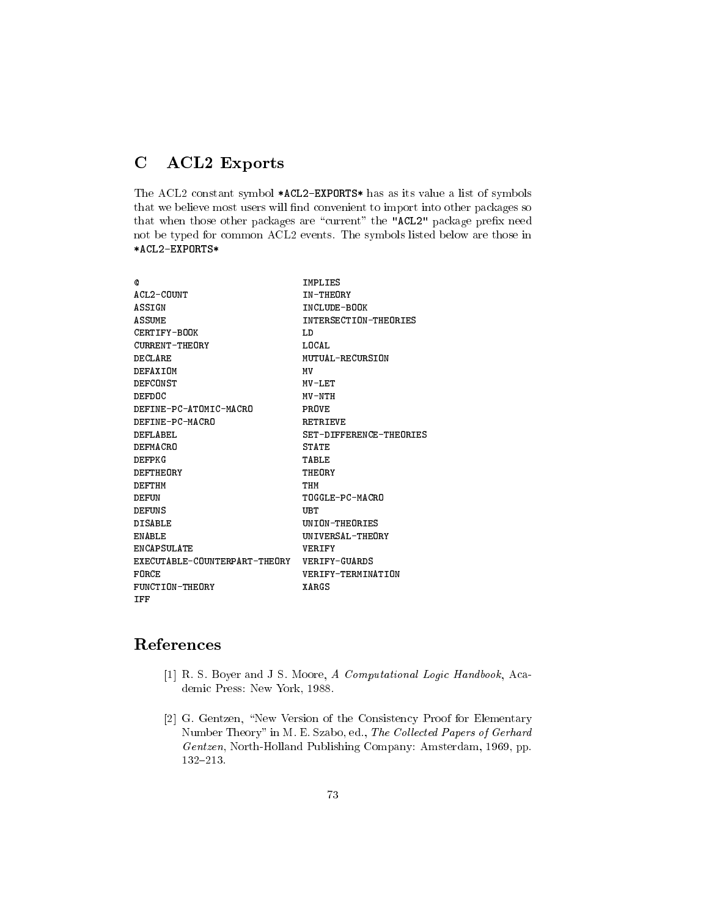## C ACL2 Exports

The ACL2 constant symbol \*ACL2-EXPORTS\* has as its value a list of symbols that we believe most users will find convenient to import into other packages so that when those other packages are "current" the "ACL2" package prefix need not be typed for common ACL2 events. The symbols listed below are those in \*ACL2-EXPORTS\*

| Q                                           | IMPLIES                 |
|---------------------------------------------|-------------------------|
| ACL2-COUNT                                  | <b>TN-THEORY</b>        |
| ASSIGN                                      | INCLUDE-BOOK            |
| <b>ASSUME</b>                               | INTERSECTION-THEORIES   |
| CERTIFY-BOOK                                | T.D                     |
| <b>CURRENT-THEORY</b>                       | LOCAL                   |
| DECLARE                                     | MUTUAL-RECURSION        |
| DEFAXIOM                                    | МV                      |
| DEFCONST                                    | MV-LET                  |
| DEFDOC                                      | MV-NTH                  |
| DEFINE-PC-ATOMIC-MACRO                      | PROVE                   |
| DEFINE-PC-MACRO                             | <b>RETRIEVE</b>         |
| DEFLABEL                                    | SET-DIFFERENCE-THEORIES |
| DEFMACRO                                    | <b>STATE</b>            |
| DEFPKG                                      | TABLE.                  |
| DEFTHEORY                                   | THEORY                  |
| DEFTHM                                      | THM                     |
| DEFUN                                       | TOGGLE-PC-MACRO         |
| <b>DEFUNS</b>                               | UB T                    |
| <b>DISABLE</b>                              | UNION-THEORIES          |
| FN ABLE                                     | UN TVERSAL-THEORY       |
| <b>FNCAPSULATE</b>                          | <b>VERTEY</b>           |
| EXECUTABLE-COUNTERPART-THEORY VERIFY-GUARDS |                         |
| FORCE                                       | VERIFY-TERMINATION      |
| FUNCTION-THEORY                             | XARCS                   |
| TFF                                         |                         |

## References

- [1] R. S. Boyer and J S. Moore, A Computational Logic Handbook, Academic Press: New York, 1988.
- [2] G. Gentzen, "New Version of the Consistency Proof for Elementary Number Theory" in M. E. Szabo, ed., The Collected Papers of Gerhard Gentzen, North-Holland Publishing Company: Amsterdam, 1969, pp. 132-213.